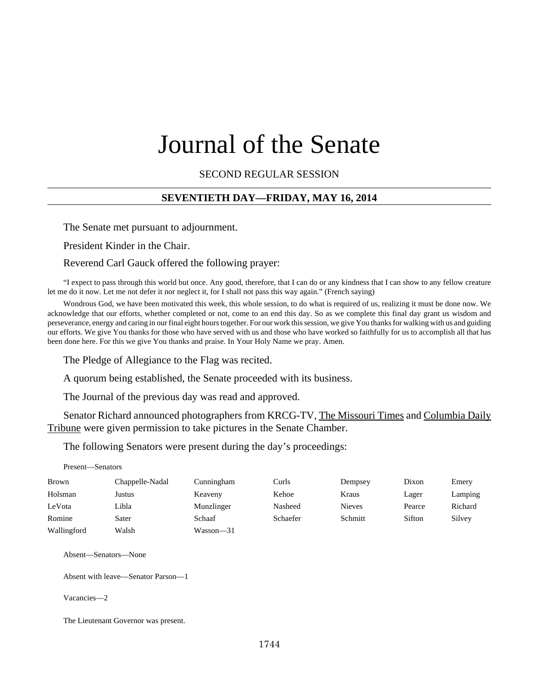# Journal of the Senate

#### SECOND REGULAR SESSION

#### **SEVENTIETH DAY—FRIDAY, MAY 16, 2014**

The Senate met pursuant to adjournment.

President Kinder in the Chair.

#### Reverend Carl Gauck offered the following prayer:

"I expect to pass through this world but once. Any good, therefore, that I can do or any kindness that I can show to any fellow creature let me do it now. Let me not defer it nor neglect it, for I shall not pass this way again." (French saying)

Wondrous God, we have been motivated this week, this whole session, to do what is required of us, realizing it must be done now. We acknowledge that our efforts, whether completed or not, come to an end this day. So as we complete this final day grant us wisdom and perseverance, energy and caring in our final eight hours together. For our work this session, we give You thanks for walking with us and guiding our efforts. We give You thanks for those who have served with us and those who have worked so faithfully for us to accomplish all that has been done here. For this we give You thanks and praise. In Your Holy Name we pray. Amen.

The Pledge of Allegiance to the Flag was recited.

A quorum being established, the Senate proceeded with its business.

The Journal of the previous day was read and approved.

Senator Richard announced photographers from KRCG-TV, The Missouri Times and Columbia Daily Tribune were given permission to take pictures in the Senate Chamber.

The following Senators were present during the day's proceedings:

Present—Senators

| <b>Brown</b> | Chappelle-Nadal | Cunningham | Curls    | Dempsey       | Dixon  | Emery   |
|--------------|-----------------|------------|----------|---------------|--------|---------|
| Holsman      | Justus          | Keaveny    | Kehoe    | Kraus         | Lager  | Lamping |
| LeVota       | Libla           | Munzlinger | Nasheed  | <b>Nieves</b> | Pearce | Richard |
| Romine       | Sater           | Schaaf     | Schaefer | Schmitt       | Sifton | Silvey  |
| Wallingford  | Walsh           | Wasson-31  |          |               |        |         |

Absent—Senators—None

Absent with leave—Senator Parson—1

Vacancies—2

The Lieutenant Governor was present.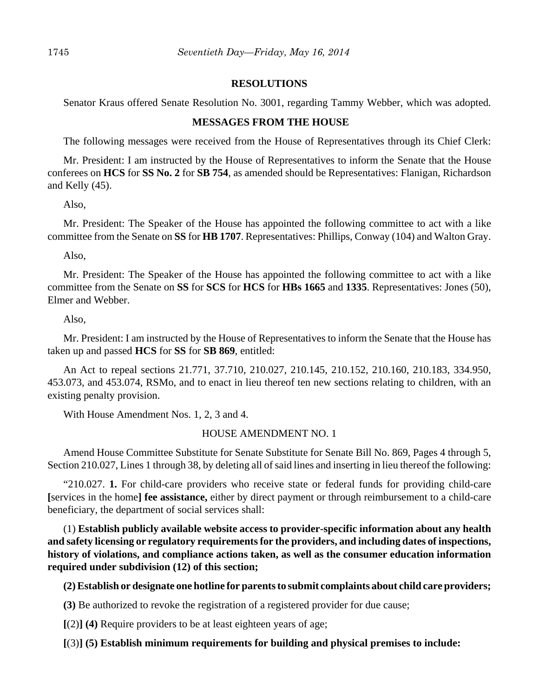#### **RESOLUTIONS**

Senator Kraus offered Senate Resolution No. 3001, regarding Tammy Webber, which was adopted.

#### **MESSAGES FROM THE HOUSE**

The following messages were received from the House of Representatives through its Chief Clerk:

Mr. President: I am instructed by the House of Representatives to inform the Senate that the House conferees on **HCS** for **SS No. 2** for **SB 754**, as amended should be Representatives: Flanigan, Richardson and Kelly (45).

Also,

Mr. President: The Speaker of the House has appointed the following committee to act with a like committee from the Senate on **SS** for **HB 1707**. Representatives: Phillips, Conway (104) and Walton Gray.

Also,

Mr. President: The Speaker of the House has appointed the following committee to act with a like committee from the Senate on **SS** for **SCS** for **HCS** for **HBs 1665** and **1335**. Representatives: Jones (50), Elmer and Webber.

Also,

Mr. President: I am instructed by the House of Representatives to inform the Senate that the House has taken up and passed **HCS** for **SS** for **SB 869**, entitled:

An Act to repeal sections 21.771, 37.710, 210.027, 210.145, 210.152, 210.160, 210.183, 334.950, 453.073, and 453.074, RSMo, and to enact in lieu thereof ten new sections relating to children, with an existing penalty provision.

With House Amendment Nos. 1, 2, 3 and 4.

#### HOUSE AMENDMENT NO. 1

Amend House Committee Substitute for Senate Substitute for Senate Bill No. 869, Pages 4 through 5, Section 210.027, Lines 1 through 38, by deleting all of said lines and inserting in lieu thereof the following:

"210.027. **1.** For child-care providers who receive state or federal funds for providing child-care **[**services in the home**] fee assistance,** either by direct payment or through reimbursement to a child-care beneficiary, the department of social services shall:

(1) **Establish publicly available website access to provider-specific information about any health and safety licensing or regulatory requirements for the providers, and including dates of inspections, history of violations, and compliance actions taken, as well as the consumer education information required under subdivision (12) of this section;**

**(2) Establish or designate one hotline for parents to submit complaints about child care providers;**

**(3)** Be authorized to revoke the registration of a registered provider for due cause;

**[**(2)**] (4)** Require providers to be at least eighteen years of age;

**[**(3)**] (5) Establish minimum requirements for building and physical premises to include:**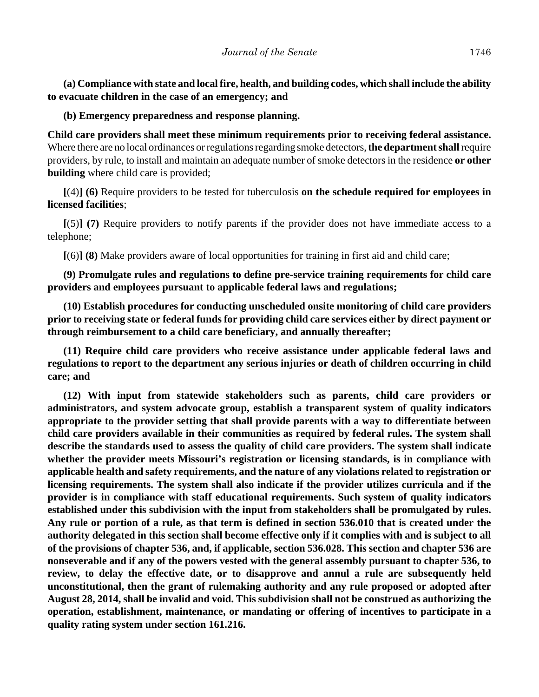**(a) Compliance with state and local fire, health, and building codes, which shall include the ability to evacuate children in the case of an emergency; and**

**(b) Emergency preparedness and response planning.**

**Child care providers shall meet these minimum requirements prior to receiving federal assistance.** Where there are no local ordinances or regulations regarding smoke detectors, **the department shall** require providers, by rule, to install and maintain an adequate number of smoke detectors in the residence **or other building** where child care is provided;

**[**(4)**] (6)** Require providers to be tested for tuberculosis **on the schedule required for employees in licensed facilities**;

**[**(5)**] (7)** Require providers to notify parents if the provider does not have immediate access to a telephone;

**[**(6)**] (8)** Make providers aware of local opportunities for training in first aid and child care;

**(9) Promulgate rules and regulations to define pre-service training requirements for child care providers and employees pursuant to applicable federal laws and regulations;**

**(10) Establish procedures for conducting unscheduled onsite monitoring of child care providers prior to receiving state or federal funds for providing child care services either by direct payment or through reimbursement to a child care beneficiary, and annually thereafter;**

**(11) Require child care providers who receive assistance under applicable federal laws and regulations to report to the department any serious injuries or death of children occurring in child care; and** 

**(12) With input from statewide stakeholders such as parents, child care providers or administrators, and system advocate group, establish a transparent system of quality indicators appropriate to the provider setting that shall provide parents with a way to differentiate between child care providers available in their communities as required by federal rules. The system shall describe the standards used to assess the quality of child care providers. The system shall indicate whether the provider meets Missouri's registration or licensing standards, is in compliance with applicable health and safety requirements, and the nature of any violations related to registration or licensing requirements. The system shall also indicate if the provider utilizes curricula and if the provider is in compliance with staff educational requirements. Such system of quality indicators established under this subdivision with the input from stakeholders shall be promulgated by rules. Any rule or portion of a rule, as that term is defined in section 536.010 that is created under the authority delegated in this section shall become effective only if it complies with and is subject to all of the provisions of chapter 536, and, if applicable, section 536.028. This section and chapter 536 are nonseverable and if any of the powers vested with the general assembly pursuant to chapter 536, to review, to delay the effective date, or to disapprove and annul a rule are subsequently held unconstitutional, then the grant of rulemaking authority and any rule proposed or adopted after August 28, 2014, shall be invalid and void. This subdivision shall not be construed as authorizing the operation, establishment, maintenance, or mandating or offering of incentives to participate in a quality rating system under section 161.216.**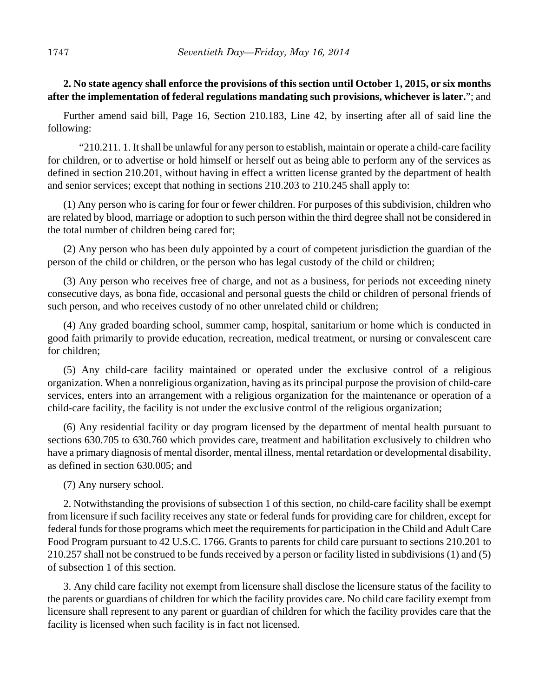# **2. No state agency shall enforce the provisions of this section until October 1, 2015, or six months after the implementation of federal regulations mandating such provisions, whichever is later.**"; and

Further amend said bill, Page 16, Section 210.183, Line 42, by inserting after all of said line the following:

"210.211. 1. It shall be unlawful for any person to establish, maintain or operate a child-care facility for children, or to advertise or hold himself or herself out as being able to perform any of the services as defined in section 210.201, without having in effect a written license granted by the department of health and senior services; except that nothing in sections 210.203 to 210.245 shall apply to:

(1) Any person who is caring for four or fewer children. For purposes of this subdivision, children who are related by blood, marriage or adoption to such person within the third degree shall not be considered in the total number of children being cared for;

(2) Any person who has been duly appointed by a court of competent jurisdiction the guardian of the person of the child or children, or the person who has legal custody of the child or children;

(3) Any person who receives free of charge, and not as a business, for periods not exceeding ninety consecutive days, as bona fide, occasional and personal guests the child or children of personal friends of such person, and who receives custody of no other unrelated child or children;

(4) Any graded boarding school, summer camp, hospital, sanitarium or home which is conducted in good faith primarily to provide education, recreation, medical treatment, or nursing or convalescent care for children;

(5) Any child-care facility maintained or operated under the exclusive control of a religious organization. When a nonreligious organization, having as its principal purpose the provision of child-care services, enters into an arrangement with a religious organization for the maintenance or operation of a child-care facility, the facility is not under the exclusive control of the religious organization;

(6) Any residential facility or day program licensed by the department of mental health pursuant to sections 630.705 to 630.760 which provides care, treatment and habilitation exclusively to children who have a primary diagnosis of mental disorder, mental illness, mental retardation or developmental disability, as defined in section 630.005; and

(7) Any nursery school.

2. Notwithstanding the provisions of subsection 1 of this section, no child-care facility shall be exempt from licensure if such facility receives any state or federal funds for providing care for children, except for federal funds for those programs which meet the requirements for participation in the Child and Adult Care Food Program pursuant to 42 U.S.C. 1766. Grants to parents for child care pursuant to sections 210.201 to 210.257 shall not be construed to be funds received by a person or facility listed in subdivisions (1) and (5) of subsection 1 of this section.

3. Any child care facility not exempt from licensure shall disclose the licensure status of the facility to the parents or guardians of children for which the facility provides care. No child care facility exempt from licensure shall represent to any parent or guardian of children for which the facility provides care that the facility is licensed when such facility is in fact not licensed.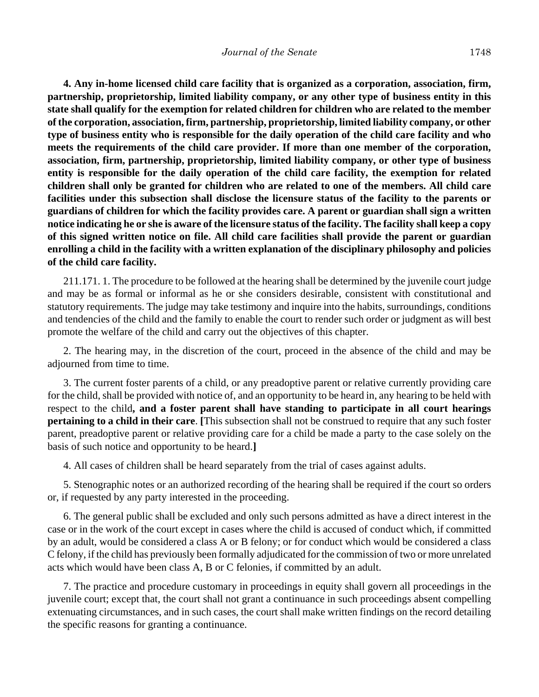**4. Any in-home licensed child care facility that is organized as a corporation, association, firm, partnership, proprietorship, limited liability company, or any other type of business entity in this state shall qualify for the exemption for related children for children who are related to the member of the corporation, association, firm, partnership, proprietorship, limited liability company, or other type of business entity who is responsible for the daily operation of the child care facility and who meets the requirements of the child care provider. If more than one member of the corporation, association, firm, partnership, proprietorship, limited liability company, or other type of business entity is responsible for the daily operation of the child care facility, the exemption for related children shall only be granted for children who are related to one of the members. All child care facilities under this subsection shall disclose the licensure status of the facility to the parents or guardians of children for which the facility provides care. A parent or guardian shall sign a written notice indicating he or she is aware of the licensure status of the facility. The facility shall keep a copy of this signed written notice on file. All child care facilities shall provide the parent or guardian enrolling a child in the facility with a written explanation of the disciplinary philosophy and policies of the child care facility.**

211.171. 1. The procedure to be followed at the hearing shall be determined by the juvenile court judge and may be as formal or informal as he or she considers desirable, consistent with constitutional and statutory requirements. The judge may take testimony and inquire into the habits, surroundings, conditions and tendencies of the child and the family to enable the court to render such order or judgment as will best promote the welfare of the child and carry out the objectives of this chapter.

2. The hearing may, in the discretion of the court, proceed in the absence of the child and may be adjourned from time to time.

3. The current foster parents of a child, or any preadoptive parent or relative currently providing care for the child, shall be provided with notice of, and an opportunity to be heard in, any hearing to be held with respect to the child**, and a foster parent shall have standing to participate in all court hearings pertaining to a child in their care**. **[**This subsection shall not be construed to require that any such foster parent, preadoptive parent or relative providing care for a child be made a party to the case solely on the basis of such notice and opportunity to be heard.**]**

4. All cases of children shall be heard separately from the trial of cases against adults.

5. Stenographic notes or an authorized recording of the hearing shall be required if the court so orders or, if requested by any party interested in the proceeding.

6. The general public shall be excluded and only such persons admitted as have a direct interest in the case or in the work of the court except in cases where the child is accused of conduct which, if committed by an adult, would be considered a class A or B felony; or for conduct which would be considered a class C felony, if the child has previously been formally adjudicated for the commission of two or more unrelated acts which would have been class A, B or C felonies, if committed by an adult.

7. The practice and procedure customary in proceedings in equity shall govern all proceedings in the juvenile court; except that, the court shall not grant a continuance in such proceedings absent compelling extenuating circumstances, and in such cases, the court shall make written findings on the record detailing the specific reasons for granting a continuance.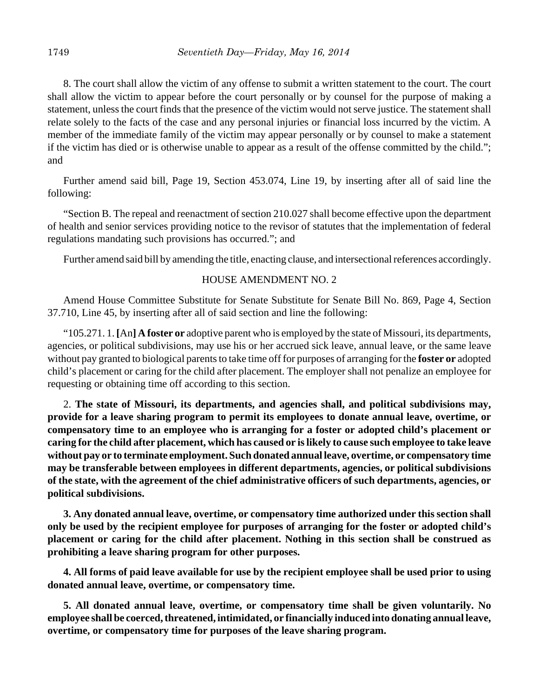8. The court shall allow the victim of any offense to submit a written statement to the court. The court shall allow the victim to appear before the court personally or by counsel for the purpose of making a statement, unless the court finds that the presence of the victim would not serve justice. The statement shall relate solely to the facts of the case and any personal injuries or financial loss incurred by the victim. A member of the immediate family of the victim may appear personally or by counsel to make a statement if the victim has died or is otherwise unable to appear as a result of the offense committed by the child."; and

Further amend said bill, Page 19, Section 453.074, Line 19, by inserting after all of said line the following:

"Section B. The repeal and reenactment of section 210.027 shall become effective upon the department of health and senior services providing notice to the revisor of statutes that the implementation of federal regulations mandating such provisions has occurred."; and

Further amend said bill by amending the title, enacting clause, and intersectional references accordingly.

#### HOUSE AMENDMENT NO. 2

Amend House Committee Substitute for Senate Substitute for Senate Bill No. 869, Page 4, Section 37.710, Line 45, by inserting after all of said section and line the following:

"105.271. 1. **[**An**] A foster or** adoptive parent who is employed by the state of Missouri, its departments, agencies, or political subdivisions, may use his or her accrued sick leave, annual leave, or the same leave without pay granted to biological parents to take time off for purposes of arranging for the **foster or** adopted child's placement or caring for the child after placement. The employer shall not penalize an employee for requesting or obtaining time off according to this section.

2. **The state of Missouri, its departments, and agencies shall, and political subdivisions may, provide for a leave sharing program to permit its employees to donate annual leave, overtime, or compensatory time to an employee who is arranging for a foster or adopted child's placement or caring for the child after placement, which has caused or is likely to cause such employee to take leave without pay or to terminate employment. Such donated annual leave, overtime, or compensatory time may be transferable between employees in different departments, agencies, or political subdivisions of the state, with the agreement of the chief administrative officers of such departments, agencies, or political subdivisions.**

**3. Any donated annual leave, overtime, or compensatory time authorized under this section shall only be used by the recipient employee for purposes of arranging for the foster or adopted child's placement or caring for the child after placement. Nothing in this section shall be construed as prohibiting a leave sharing program for other purposes.**

**4. All forms of paid leave available for use by the recipient employee shall be used prior to using donated annual leave, overtime, or compensatory time.**

**5. All donated annual leave, overtime, or compensatory time shall be given voluntarily. No employee shall be coerced, threatened, intimidated, or financially induced into donating annual leave, overtime, or compensatory time for purposes of the leave sharing program.**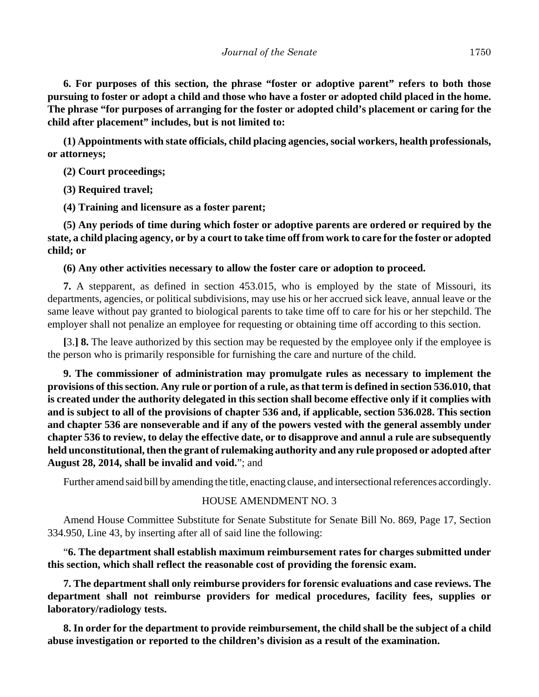**6. For purposes of this section, the phrase "foster or adoptive parent" refers to both those pursuing to foster or adopt a child and those who have a foster or adopted child placed in the home. The phrase "for purposes of arranging for the foster or adopted child's placement or caring for the child after placement" includes, but is not limited to:**

**(1) Appointments with state officials, child placing agencies, social workers, health professionals, or attorneys;**

**(2) Court proceedings;**

**(3) Required travel;**

**(4) Training and licensure as a foster parent;**

**(5) Any periods of time during which foster or adoptive parents are ordered or required by the state, a child placing agency, or by a court to take time off from work to care for the foster or adopted child; or**

## **(6) Any other activities necessary to allow the foster care or adoption to proceed.**

**7.** A stepparent, as defined in section 453.015, who is employed by the state of Missouri, its departments, agencies, or political subdivisions, may use his or her accrued sick leave, annual leave or the same leave without pay granted to biological parents to take time off to care for his or her stepchild. The employer shall not penalize an employee for requesting or obtaining time off according to this section.

**[**3.**] 8.** The leave authorized by this section may be requested by the employee only if the employee is the person who is primarily responsible for furnishing the care and nurture of the child.

**9. The commissioner of administration may promulgate rules as necessary to implement the provisions of this section. Any rule or portion of a rule, as that term is defined in section 536.010, that is created under the authority delegated in this section shall become effective only if it complies with and is subject to all of the provisions of chapter 536 and, if applicable, section 536.028. This section and chapter 536 are nonseverable and if any of the powers vested with the general assembly under chapter 536 to review, to delay the effective date, or to disapprove and annul a rule are subsequently held unconstitutional, then the grant of rulemaking authority and any rule proposed or adopted after August 28, 2014, shall be invalid and void.**"; and

Further amend said bill by amending the title, enacting clause, and intersectional references accordingly.

# HOUSE AMENDMENT NO. 3

Amend House Committee Substitute for Senate Substitute for Senate Bill No. 869, Page 17, Section 334.950, Line 43, by inserting after all of said line the following:

"**6. The department shall establish maximum reimbursement rates for charges submitted under this section, which shall reflect the reasonable cost of providing the forensic exam.**

**7. The department shall only reimburse providers for forensic evaluations and case reviews. The department shall not reimburse providers for medical procedures, facility fees, supplies or laboratory/radiology tests.** 

**8. In order for the department to provide reimbursement, the child shall be the subject of a child abuse investigation or reported to the children's division as a result of the examination.**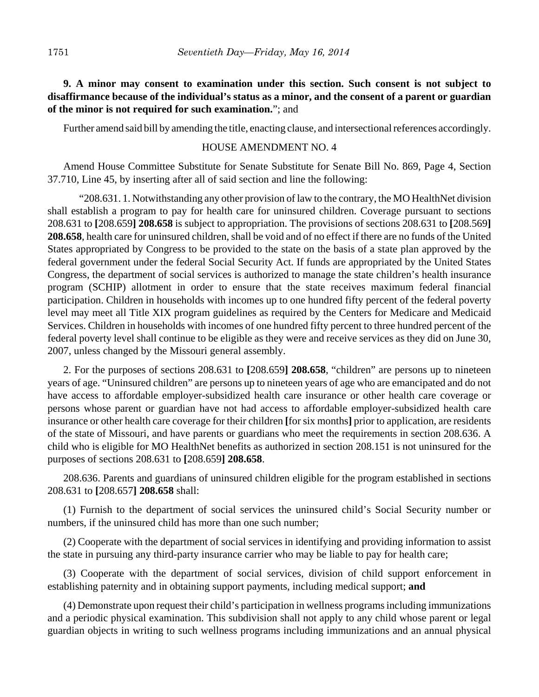**9. A minor may consent to examination under this section. Such consent is not subject to disaffirmance because of the individual's status as a minor, and the consent of a parent or guardian of the minor is not required for such examination.**"; and

Further amend said bill by amending the title, enacting clause, and intersectional references accordingly.

### HOUSE AMENDMENT NO. 4

Amend House Committee Substitute for Senate Substitute for Senate Bill No. 869, Page 4, Section 37.710, Line 45, by inserting after all of said section and line the following:

"208.631. 1. Notwithstanding any other provision of law to the contrary, the MO HealthNet division shall establish a program to pay for health care for uninsured children. Coverage pursuant to sections 208.631 to **[**208.659**] 208.658** is subject to appropriation. The provisions of sections 208.631 to **[**208.569**] 208.658**, health care for uninsured children, shall be void and of no effect if there are no funds of the United States appropriated by Congress to be provided to the state on the basis of a state plan approved by the federal government under the federal Social Security Act. If funds are appropriated by the United States Congress, the department of social services is authorized to manage the state children's health insurance program (SCHIP) allotment in order to ensure that the state receives maximum federal financial participation. Children in households with incomes up to one hundred fifty percent of the federal poverty level may meet all Title XIX program guidelines as required by the Centers for Medicare and Medicaid Services. Children in households with incomes of one hundred fifty percent to three hundred percent of the federal poverty level shall continue to be eligible as they were and receive services as they did on June 30, 2007, unless changed by the Missouri general assembly.

2. For the purposes of sections 208.631 to **[**208.659**] 208.658**, "children" are persons up to nineteen years of age. "Uninsured children" are persons up to nineteen years of age who are emancipated and do not have access to affordable employer-subsidized health care insurance or other health care coverage or persons whose parent or guardian have not had access to affordable employer-subsidized health care insurance or other health care coverage for their children **[**for six months**]** prior to application, are residents of the state of Missouri, and have parents or guardians who meet the requirements in section 208.636. A child who is eligible for MO HealthNet benefits as authorized in section 208.151 is not uninsured for the purposes of sections 208.631 to **[**208.659**] 208.658**.

208.636. Parents and guardians of uninsured children eligible for the program established in sections 208.631 to **[**208.657**] 208.658** shall:

(1) Furnish to the department of social services the uninsured child's Social Security number or numbers, if the uninsured child has more than one such number;

(2) Cooperate with the department of social services in identifying and providing information to assist the state in pursuing any third-party insurance carrier who may be liable to pay for health care;

(3) Cooperate with the department of social services, division of child support enforcement in establishing paternity and in obtaining support payments, including medical support; **and**

(4) Demonstrate upon request their child's participation in wellness programs including immunizations and a periodic physical examination. This subdivision shall not apply to any child whose parent or legal guardian objects in writing to such wellness programs including immunizations and an annual physical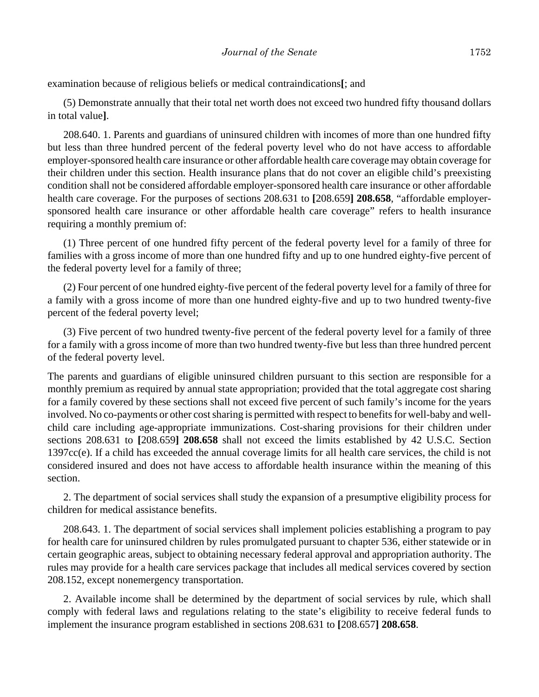examination because of religious beliefs or medical contraindications**[**; and

(5) Demonstrate annually that their total net worth does not exceed two hundred fifty thousand dollars in total value**]**.

208.640. 1. Parents and guardians of uninsured children with incomes of more than one hundred fifty but less than three hundred percent of the federal poverty level who do not have access to affordable employer-sponsored health care insurance or other affordable health care coverage may obtain coverage for their children under this section. Health insurance plans that do not cover an eligible child's preexisting condition shall not be considered affordable employer-sponsored health care insurance or other affordable health care coverage. For the purposes of sections 208.631 to **[**208.659**] 208.658**, "affordable employersponsored health care insurance or other affordable health care coverage" refers to health insurance requiring a monthly premium of:

(1) Three percent of one hundred fifty percent of the federal poverty level for a family of three for families with a gross income of more than one hundred fifty and up to one hundred eighty-five percent of the federal poverty level for a family of three;

(2) Four percent of one hundred eighty-five percent of the federal poverty level for a family of three for a family with a gross income of more than one hundred eighty-five and up to two hundred twenty-five percent of the federal poverty level;

(3) Five percent of two hundred twenty-five percent of the federal poverty level for a family of three for a family with a gross income of more than two hundred twenty-five but less than three hundred percent of the federal poverty level.

The parents and guardians of eligible uninsured children pursuant to this section are responsible for a monthly premium as required by annual state appropriation; provided that the total aggregate cost sharing for a family covered by these sections shall not exceed five percent of such family's income for the years involved. No co-payments or other cost sharing is permitted with respect to benefits for well-baby and wellchild care including age-appropriate immunizations. Cost-sharing provisions for their children under sections 208.631 to **[**208.659**] 208.658** shall not exceed the limits established by 42 U.S.C. Section 1397cc(e). If a child has exceeded the annual coverage limits for all health care services, the child is not considered insured and does not have access to affordable health insurance within the meaning of this section.

2. The department of social services shall study the expansion of a presumptive eligibility process for children for medical assistance benefits.

208.643. 1. The department of social services shall implement policies establishing a program to pay for health care for uninsured children by rules promulgated pursuant to chapter 536, either statewide or in certain geographic areas, subject to obtaining necessary federal approval and appropriation authority. The rules may provide for a health care services package that includes all medical services covered by section 208.152, except nonemergency transportation.

2. Available income shall be determined by the department of social services by rule, which shall comply with federal laws and regulations relating to the state's eligibility to receive federal funds to implement the insurance program established in sections 208.631 to **[**208.657**] 208.658**.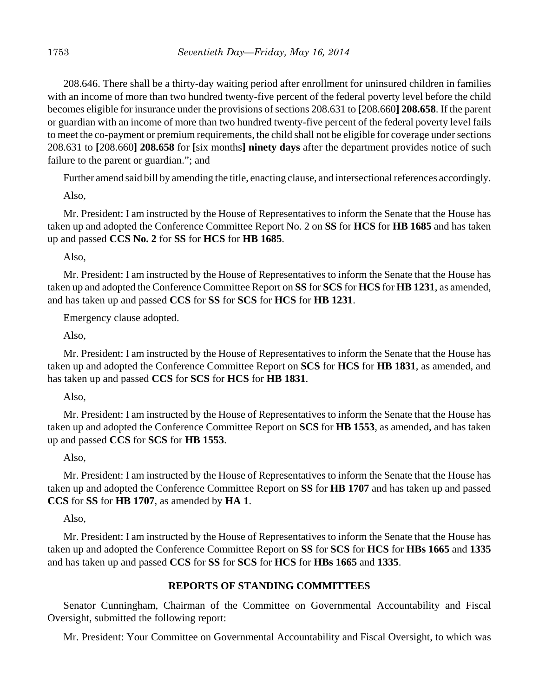208.646. There shall be a thirty-day waiting period after enrollment for uninsured children in families with an income of more than two hundred twenty-five percent of the federal poverty level before the child becomes eligible for insurance under the provisions of sections 208.631 to **[**208.660**] 208.658**. If the parent or guardian with an income of more than two hundred twenty-five percent of the federal poverty level fails to meet the co-payment or premium requirements, the child shall not be eligible for coverage under sections 208.631 to **[**208.660**] 208.658** for **[**six months**] ninety days** after the department provides notice of such failure to the parent or guardian."; and

Further amend said bill by amending the title, enacting clause, and intersectional references accordingly.

Also,

Mr. President: I am instructed by the House of Representatives to inform the Senate that the House has taken up and adopted the Conference Committee Report No. 2 on **SS** for **HCS** for **HB 1685** and has taken up and passed **CCS No. 2** for **SS** for **HCS** for **HB 1685**.

Also,

Mr. President: I am instructed by the House of Representatives to inform the Senate that the House has taken up and adopted the Conference Committee Report on **SS** for **SCS** for **HCS** for **HB 1231**, as amended, and has taken up and passed **CCS** for **SS** for **SCS** for **HCS** for **HB 1231**.

Emergency clause adopted.

Also,

Mr. President: I am instructed by the House of Representatives to inform the Senate that the House has taken up and adopted the Conference Committee Report on **SCS** for **HCS** for **HB 1831**, as amended, and has taken up and passed **CCS** for **SCS** for **HCS** for **HB 1831**.

Also,

Mr. President: I am instructed by the House of Representatives to inform the Senate that the House has taken up and adopted the Conference Committee Report on **SCS** for **HB 1553**, as amended, and has taken up and passed **CCS** for **SCS** for **HB 1553**.

Also,

Mr. President: I am instructed by the House of Representatives to inform the Senate that the House has taken up and adopted the Conference Committee Report on **SS** for **HB 1707** and has taken up and passed **CCS** for **SS** for **HB 1707**, as amended by **HA 1**.

Also,

Mr. President: I am instructed by the House of Representatives to inform the Senate that the House has taken up and adopted the Conference Committee Report on **SS** for **SCS** for **HCS** for **HBs 1665** and **1335** and has taken up and passed **CCS** for **SS** for **SCS** for **HCS** for **HBs 1665** and **1335**.

#### **REPORTS OF STANDING COMMITTEES**

Senator Cunningham, Chairman of the Committee on Governmental Accountability and Fiscal Oversight, submitted the following report:

Mr. President: Your Committee on Governmental Accountability and Fiscal Oversight, to which was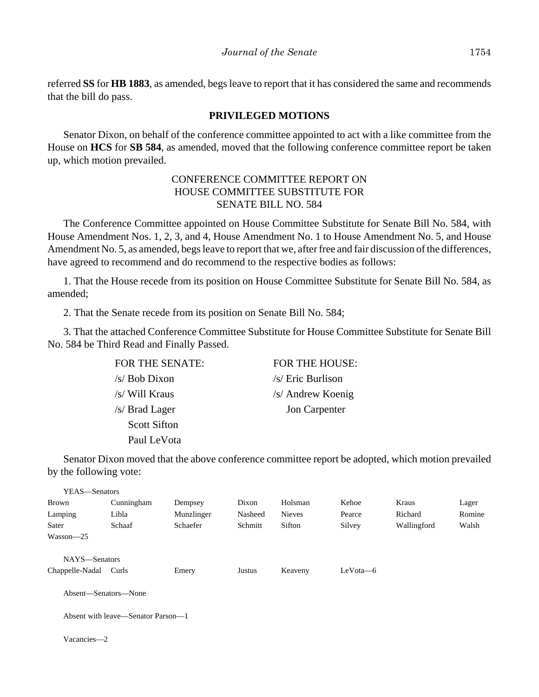referred **SS** for **HB 1883**, as amended, begs leave to report that it has considered the same and recommends that the bill do pass.

#### **PRIVILEGED MOTIONS**

Senator Dixon, on behalf of the conference committee appointed to act with a like committee from the House on **HCS** for **SB 584**, as amended, moved that the following conference committee report be taken up, which motion prevailed.

### CONFERENCE COMMITTEE REPORT ON HOUSE COMMITTEE SUBSTITUTE FOR SENATE BILL NO. 584

The Conference Committee appointed on House Committee Substitute for Senate Bill No. 584, with House Amendment Nos. 1, 2, 3, and 4, House Amendment No. 1 to House Amendment No. 5, and House Amendment No. 5, as amended, begs leave to report that we, after free and fair discussion of the differences, have agreed to recommend and do recommend to the respective bodies as follows:

1. That the House recede from its position on House Committee Substitute for Senate Bill No. 584, as amended;

2. That the Senate recede from its position on Senate Bill No. 584;

3. That the attached Conference Committee Substitute for House Committee Substitute for Senate Bill No. 584 be Third Read and Finally Passed.

| FOR THE SENATE: |
|-----------------|
| $/s/$ Bob Dixon |
| /s/ Will Kraus  |
| /s/ Brad Lager  |
| Scott Sifton    |
| Paul LeVota     |

FOR THE HOUSE:  $/s/$  Eric Burlison /s/ Andrew Koenig Jon Carpenter

Senator Dixon moved that the above conference committee report be adopted, which motion prevailed by the following vote:

| YEAS—Senators                                                           |                                             |            |         |               |            |             |        |
|-------------------------------------------------------------------------|---------------------------------------------|------------|---------|---------------|------------|-------------|--------|
| Brown                                                                   | Cunningham                                  | Dempsey    | Dixon   | Holsman       | Kehoe      | Kraus       | Lager  |
| Lamping                                                                 | Libla                                       | Munzlinger | Nasheed | <b>Nieves</b> | Pearce     | Richard     | Romine |
| Sater                                                                   | Schaaf                                      | Schaefer   | Schmitt | Sifton        | Silvey     | Wallingford | Walsh  |
| $Wasson - 25$                                                           |                                             |            |         |               |            |             |        |
| NAYS-Senators<br>Chappelle-Nadal<br>Absent—Senators—None<br>Vacancies-2 | Curls<br>Absent with leave—Senator Parson—1 | Emery      | Justus  | Keaveny       | $LeVota-6$ |             |        |
|                                                                         |                                             |            |         |               |            |             |        |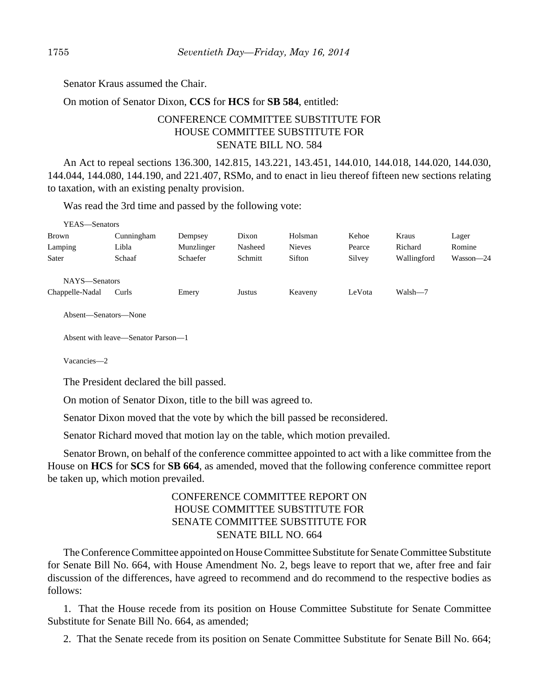Senator Kraus assumed the Chair.

On motion of Senator Dixon, **CCS** for **HCS** for **SB 584**, entitled:

# CONFERENCE COMMITTEE SUBSTITUTE FOR HOUSE COMMITTEE SUBSTITUTE FOR SENATE BILL NO. 584

An Act to repeal sections 136.300, 142.815, 143.221, 143.451, 144.010, 144.018, 144.020, 144.030, 144.044, 144.080, 144.190, and 221.407, RSMo, and to enact in lieu thereof fifteen new sections relating to taxation, with an existing penalty provision.

Was read the 3rd time and passed by the following vote:

| YEAS—Senators   |            |            |         |               |        |             |           |
|-----------------|------------|------------|---------|---------------|--------|-------------|-----------|
| Brown           | Cunningham | Dempsey    | Dixon   | Holsman       | Kehoe  | Kraus       | Lager     |
| Lamping         | Libla      | Munzlinger | Nasheed | <b>Nieves</b> | Pearce | Richard     | Romine    |
| Sater           | Schaaf     | Schaefer   | Schmitt | Sifton        | Silvey | Wallingford | Wasson-24 |
| NAYS-Senators   |            |            |         |               |        |             |           |
| Chappelle-Nadal | Curls      | Emery      | Justus  | Keaveny       | LeVota | Walsh-7     |           |

Absent—Senators—None

Absent with leave—Senator Parson—1

Vacancies—2

The President declared the bill passed.

On motion of Senator Dixon, title to the bill was agreed to.

Senator Dixon moved that the vote by which the bill passed be reconsidered.

Senator Richard moved that motion lay on the table, which motion prevailed.

Senator Brown, on behalf of the conference committee appointed to act with a like committee from the House on **HCS** for **SCS** for **SB 664**, as amended, moved that the following conference committee report be taken up, which motion prevailed.

# CONFERENCE COMMITTEE REPORT ON HOUSE COMMITTEE SUBSTITUTE FOR SENATE COMMITTEE SUBSTITUTE FOR SENATE BILL NO. 664

The Conference Committee appointed on House Committee Substitute for Senate Committee Substitute for Senate Bill No. 664, with House Amendment No. 2, begs leave to report that we, after free and fair discussion of the differences, have agreed to recommend and do recommend to the respective bodies as follows:

1. That the House recede from its position on House Committee Substitute for Senate Committee Substitute for Senate Bill No. 664, as amended;

2. That the Senate recede from its position on Senate Committee Substitute for Senate Bill No. 664;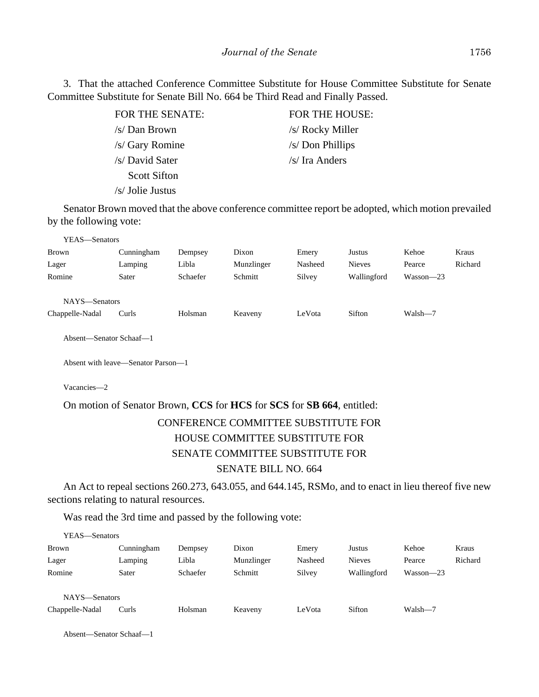3. That the attached Conference Committee Substitute for House Committee Substitute for Senate Committee Substitute for Senate Bill No. 664 be Third Read and Finally Passed.

| FOR THE SENATE:     | FOR THE HOUSE:   |
|---------------------|------------------|
| /s/ Dan Brown       | /s/ Rocky Miller |
| /s/ Gary Romine     | /s/ Don Phillips |
| /s/ David Sater     | /s/ Ira Anders   |
| <b>Scott Sifton</b> |                  |
| $/s/$ Jolie Justus  |                  |

Senator Brown moved that the above conference committee report be adopted, which motion prevailed by the following vote:

| YEAS—Senators   |            |          |            |         |               |           |         |
|-----------------|------------|----------|------------|---------|---------------|-----------|---------|
| <b>Brown</b>    | Cunningham | Dempsey  | Dixon      | Emery   | Justus        | Kehoe     | Kraus   |
| Lager           | Lamping    | Libla    | Munzlinger | Nasheed | <b>Nieves</b> | Pearce    | Richard |
| Romine          | Sater      | Schaefer | Schmitt    | Silvey  | Wallingford   | Wasson-23 |         |
| NAYS—Senators   |            |          |            |         |               |           |         |
| Chappelle-Nadal | Curls      | Holsman  | Keaveny    | LeVota  | Sifton        | Walsh-7   |         |

Absent—Senator Schaaf—1

Absent with leave—Senator Parson—1

Vacancies—2

#### On motion of Senator Brown, **CCS** for **HCS** for **SCS** for **SB 664**, entitled:

# CONFERENCE COMMITTEE SUBSTITUTE FOR HOUSE COMMITTEE SUBSTITUTE FOR SENATE COMMITTEE SUBSTITUTE FOR SENATE BILL NO. 664

An Act to repeal sections 260.273, 643.055, and 644.145, RSMo, and to enact in lieu thereof five new sections relating to natural resources.

Was read the 3rd time and passed by the following vote:

| YEAS—Senators   |            |          |            |         |               |           |         |
|-----------------|------------|----------|------------|---------|---------------|-----------|---------|
| <b>Brown</b>    | Cunningham | Dempsey  | Dixon      | Emery   | Justus        | Kehoe     | Kraus   |
| Lager           | Lamping    | Libla    | Munzlinger | Nasheed | <b>Nieves</b> | Pearce    | Richard |
| Romine          | Sater      | Schaefer | Schmitt    | Silvey  | Wallingford   | Wasson-23 |         |
|                 |            |          |            |         |               |           |         |
| NAYS-Senators   |            |          |            |         |               |           |         |
| Chappelle-Nadal | Curls      | Holsman  | Keaveny    | LeVota  | Sifton        | Walsh-7   |         |
|                 |            |          |            |         |               |           |         |

Absent—Senator Schaaf—1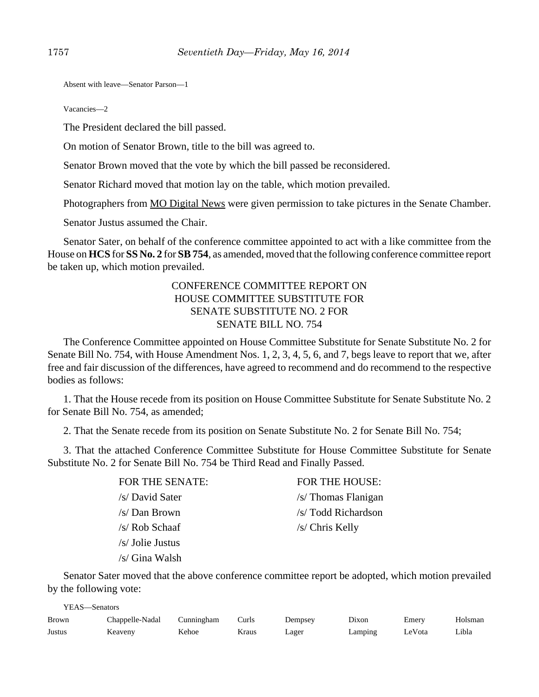Absent with leave—Senator Parson—1

Vacancies—2

The President declared the bill passed.

On motion of Senator Brown, title to the bill was agreed to.

Senator Brown moved that the vote by which the bill passed be reconsidered.

Senator Richard moved that motion lay on the table, which motion prevailed.

Photographers from MO Digital News were given permission to take pictures in the Senate Chamber.

Senator Justus assumed the Chair.

Senator Sater, on behalf of the conference committee appointed to act with a like committee from the House on **HCS** for **SS No. 2** for **SB 754**, as amended, moved that the following conference committee report be taken up, which motion prevailed.

# CONFERENCE COMMITTEE REPORT ON HOUSE COMMITTEE SUBSTITUTE FOR SENATE SUBSTITUTE NO. 2 FOR SENATE BILL NO. 754

The Conference Committee appointed on House Committee Substitute for Senate Substitute No. 2 for Senate Bill No. 754, with House Amendment Nos. 1, 2, 3, 4, 5, 6, and 7, begs leave to report that we, after free and fair discussion of the differences, have agreed to recommend and do recommend to the respective bodies as follows:

1. That the House recede from its position on House Committee Substitute for Senate Substitute No. 2 for Senate Bill No. 754, as amended;

2. That the Senate recede from its position on Senate Substitute No. 2 for Senate Bill No. 754;

3. That the attached Conference Committee Substitute for House Committee Substitute for Senate Substitute No. 2 for Senate Bill No. 754 be Third Read and Finally Passed.

> /s/ Rob Schaaf /s/ Chris Kelly /s/ Jolie Justus /s/ Gina Walsh

FOR THE SENATE: FOR THE HOUSE: /s/ David Sater /s/ Thomas Flanigan /s/ Dan Brown /s/ Todd Richardson

Senator Sater moved that the above conference committee report be adopted, which motion prevailed by the following vote:

| YEAS—Senators |                 |            |       |         |         |        |         |  |
|---------------|-----------------|------------|-------|---------|---------|--------|---------|--|
| Brown         | Chappelle-Nadal | Cunningham | Curls | Dempsey | Dixon   | Emerv  | Holsman |  |
| Justus        | Keaveny         | Kehoe      | Kraus | Lager   | Lamping | LeVota | Libla   |  |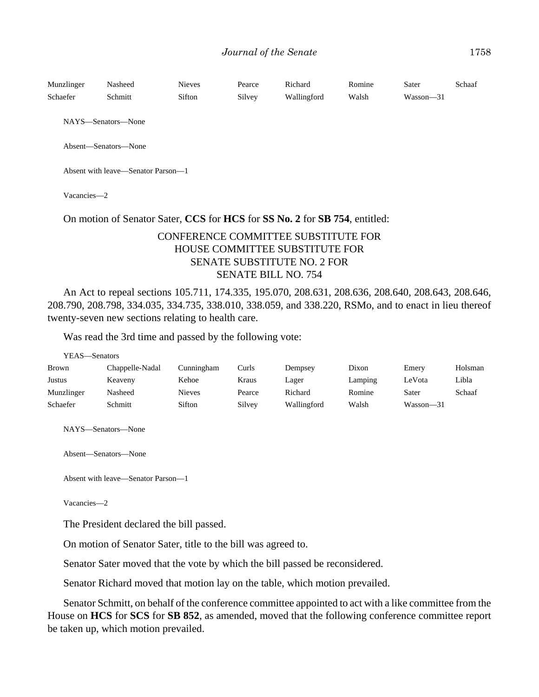| Munzlinger | Nasheed | <b>Nieves</b> | Pearce | Richard     | Romine | Sater     | Schaaf |
|------------|---------|---------------|--------|-------------|--------|-----------|--------|
| Schaefer   | Schmitt | Sifton        | Silvey | Wallingford | Walsh  | Wasson—31 |        |

NAYS—Senators—None

Absent—Senators—None

Absent with leave—Senator Parson—1

Vacancies—2

#### On motion of Senator Sater, **CCS** for **HCS** for **SS No. 2** for **SB 754**, entitled:

# CONFERENCE COMMITTEE SUBSTITUTE FOR HOUSE COMMITTEE SUBSTITUTE FOR SENATE SUBSTITUTE NO. 2 FOR SENATE BILL NO. 754

An Act to repeal sections 105.711, 174.335, 195.070, 208.631, 208.636, 208.640, 208.643, 208.646, 208.790, 208.798, 334.035, 334.735, 338.010, 338.059, and 338.220, RSMo, and to enact in lieu thereof twenty-seven new sections relating to health care.

Was read the 3rd time and passed by the following vote:

| Y EAS—Senators |                 |               |        |             |         |           |         |
|----------------|-----------------|---------------|--------|-------------|---------|-----------|---------|
| <b>Brown</b>   | Chappelle-Nadal | Cunningham    | Curls  | Dempsey     | Dixon   | Emery     | Holsman |
| <b>Justus</b>  | Keaveny         | Kehoe         | Kraus  | Lager       | Lamping | LeVota    | Libla   |
| Munzlinger     | Nasheed         | <b>Nieves</b> | Pearce | Richard     | Romine  | Sater     | Schaaf  |
| Schaefer       | Schmitt         | Sifton        | Silvey | Wallingford | Walsh   | Wasson-31 |         |

NAYS—Senators—None

Absent—Senators—None

Absent with leave—Senator Parson—1

Vacancies—2

 $\frac{1}{2}$ 

The President declared the bill passed.

On motion of Senator Sater, title to the bill was agreed to.

Senator Sater moved that the vote by which the bill passed be reconsidered.

Senator Richard moved that motion lay on the table, which motion prevailed.

Senator Schmitt, on behalf of the conference committee appointed to act with a like committee from the House on **HCS** for **SCS** for **SB 852**, as amended, moved that the following conference committee report be taken up, which motion prevailed.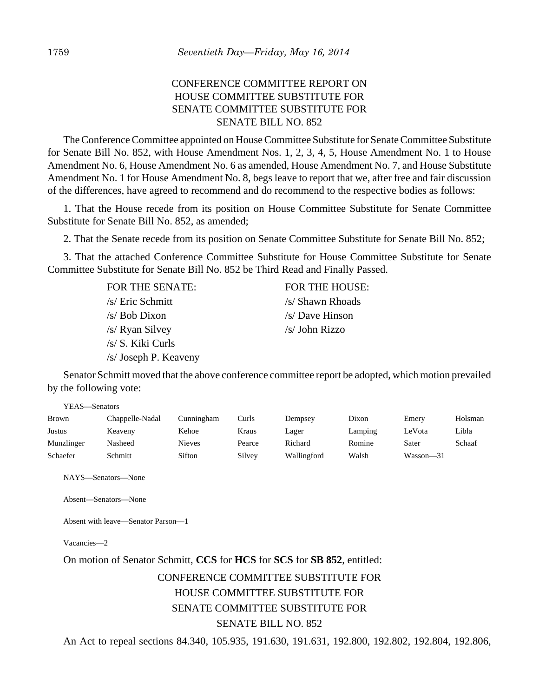# CONFERENCE COMMITTEE REPORT ON HOUSE COMMITTEE SUBSTITUTE FOR SENATE COMMITTEE SUBSTITUTE FOR SENATE BILL NO. 852

The Conference Committee appointed on House Committee Substitute for Senate Committee Substitute for Senate Bill No. 852, with House Amendment Nos. 1, 2, 3, 4, 5, House Amendment No. 1 to House Amendment No. 6, House Amendment No. 6 as amended, House Amendment No. 7, and House Substitute Amendment No. 1 for House Amendment No. 8, begs leave to report that we, after free and fair discussion of the differences, have agreed to recommend and do recommend to the respective bodies as follows:

1. That the House recede from its position on House Committee Substitute for Senate Committee Substitute for Senate Bill No. 852, as amended;

2. That the Senate recede from its position on Senate Committee Substitute for Senate Bill No. 852;

3. That the attached Conference Committee Substitute for House Committee Substitute for Senate Committee Substitute for Senate Bill No. 852 be Third Read and Finally Passed.

| FOR THE SENATE:       | FOR THE HOUSE:   |
|-----------------------|------------------|
| /s/ Eric Schmitt      | /s/ Shawn Rhoads |
| /s/ Bob Dixon         | $/s$ Dave Hinson |
| /s/ Ryan Silvey       | /s/ John Rizzo   |
| /s/ S. Kiki Curls     |                  |
| /s/ Joseph P. Keaveny |                  |

Senator Schmitt moved that the above conference committee report be adopted, which motion prevailed by the following vote:

| г гэдээ тэмнам э |                 |            |        |             |         |           |         |
|------------------|-----------------|------------|--------|-------------|---------|-----------|---------|
| <b>Brown</b>     | Chappelle-Nadal | Cunningham | Curls  | Dempsey     | Dixon   | Emery     | Holsman |
| <b>Justus</b>    | Keaveny         | Kehoe      | Kraus  | Lager       | Lamping | LeVota    | Libla   |
| Munzlinger       | Nasheed         | Nieves     | Pearce | Richard     | Romine  | Sater     | Schaaf  |
| Schaefer         | Schmitt         | Sifton     | Silvey | Wallingford | Walsh   | Wasson-31 |         |

NAYS—Senators—None

VEAS Senators

Absent—Senators—None

Absent with leave—Senator Parson—1

Vacancies—2

# On motion of Senator Schmitt, **CCS** for **HCS** for **SCS** for **SB 852**, entitled: CONFERENCE COMMITTEE SUBSTITUTE FOR HOUSE COMMITTEE SUBSTITUTE FOR SENATE COMMITTEE SUBSTITUTE FOR SENATE BILL NO. 852

An Act to repeal sections 84.340, 105.935, 191.630, 191.631, 192.800, 192.802, 192.804, 192.806,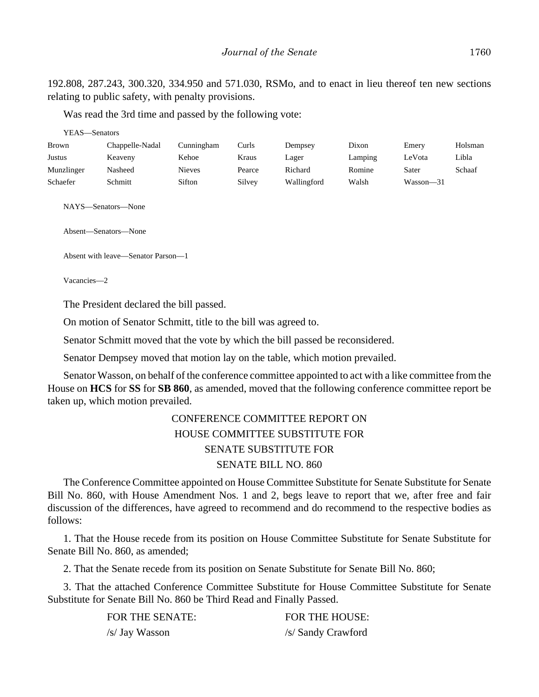192.808, 287.243, 300.320, 334.950 and 571.030, RSMo, and to enact in lieu thereof ten new sections relating to public safety, with penalty provisions.

Was read the 3rd time and passed by the following vote:

| YEAS—Senators                                                                    |                 |               |        |             |         |               |         |
|----------------------------------------------------------------------------------|-----------------|---------------|--------|-------------|---------|---------------|---------|
| Brown                                                                            | Chappelle-Nadal | Cunningham    | Curls  | Dempsey     | Dixon   | Emery         | Holsman |
| Justus                                                                           | Keaveny         | Kehoe         | Kraus  | Lager       | Lamping | LeVota        | Libla   |
| Munzlinger                                                                       | Nasheed         | <b>Nieves</b> | Pearce | Richard     | Romine  | Sater         | Schaaf  |
| Schaefer                                                                         | Schmitt         | Sifton        | Silvey | Wallingford | Walsh   | $Wasson - 31$ |         |
| NAYS—Senators—None<br>Absent—Senators—None<br>Absent with leave—Senator Parson—1 |                 |               |        |             |         |               |         |

Vacancies—2

The President declared the bill passed.

On motion of Senator Schmitt, title to the bill was agreed to.

Senator Schmitt moved that the vote by which the bill passed be reconsidered.

Senator Dempsey moved that motion lay on the table, which motion prevailed.

Senator Wasson, on behalf of the conference committee appointed to act with a like committee from the House on **HCS** for **SS** for **SB 860**, as amended, moved that the following conference committee report be taken up, which motion prevailed.

# CONFERENCE COMMITTEE REPORT ON HOUSE COMMITTEE SUBSTITUTE FOR SENATE SUBSTITUTE FOR SENATE BILL NO. 860

The Conference Committee appointed on House Committee Substitute for Senate Substitute for Senate Bill No. 860, with House Amendment Nos. 1 and 2, begs leave to report that we, after free and fair discussion of the differences, have agreed to recommend and do recommend to the respective bodies as follows:

1. That the House recede from its position on House Committee Substitute for Senate Substitute for Senate Bill No. 860, as amended;

2. That the Senate recede from its position on Senate Substitute for Senate Bill No. 860;

3. That the attached Conference Committee Substitute for House Committee Substitute for Senate Substitute for Senate Bill No. 860 be Third Read and Finally Passed.

| FOR THE SENATE: | <b>FOR THE HOUSE:</b> |
|-----------------|-----------------------|
| /s/ Jay Wasson  | /s/ Sandy Crawford    |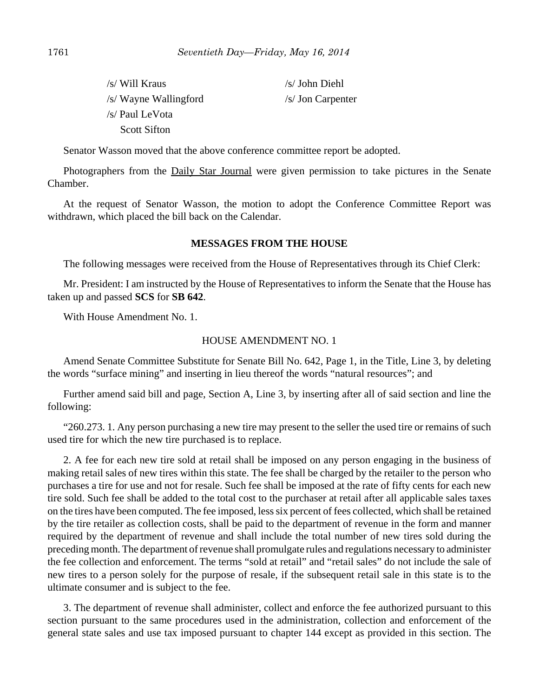| /s/ Will Kraus        | $/s/$ John Diehl  |  |  |
|-----------------------|-------------------|--|--|
| /s/ Wayne Wallingford | /s/ Jon Carpenter |  |  |
| /s/ Paul LeVota       |                   |  |  |
| <b>Scott Sifton</b>   |                   |  |  |

Senator Wasson moved that the above conference committee report be adopted.

Photographers from the Daily Star Journal were given permission to take pictures in the Senate Chamber.

At the request of Senator Wasson, the motion to adopt the Conference Committee Report was withdrawn, which placed the bill back on the Calendar.

#### **MESSAGES FROM THE HOUSE**

The following messages were received from the House of Representatives through its Chief Clerk:

Mr. President: I am instructed by the House of Representatives to inform the Senate that the House has taken up and passed **SCS** for **SB 642**.

With House Amendment No. 1.

#### HOUSE AMENDMENT NO. 1

Amend Senate Committee Substitute for Senate Bill No. 642, Page 1, in the Title, Line 3, by deleting the words "surface mining" and inserting in lieu thereof the words "natural resources"; and

Further amend said bill and page, Section A, Line 3, by inserting after all of said section and line the following:

"260.273. 1. Any person purchasing a new tire may present to the seller the used tire or remains of such used tire for which the new tire purchased is to replace.

2. A fee for each new tire sold at retail shall be imposed on any person engaging in the business of making retail sales of new tires within this state. The fee shall be charged by the retailer to the person who purchases a tire for use and not for resale. Such fee shall be imposed at the rate of fifty cents for each new tire sold. Such fee shall be added to the total cost to the purchaser at retail after all applicable sales taxes on the tires have been computed. The fee imposed, less six percent of fees collected, which shall be retained by the tire retailer as collection costs, shall be paid to the department of revenue in the form and manner required by the department of revenue and shall include the total number of new tires sold during the preceding month. The department of revenue shall promulgate rules and regulations necessary to administer the fee collection and enforcement. The terms "sold at retail" and "retail sales" do not include the sale of new tires to a person solely for the purpose of resale, if the subsequent retail sale in this state is to the ultimate consumer and is subject to the fee.

3. The department of revenue shall administer, collect and enforce the fee authorized pursuant to this section pursuant to the same procedures used in the administration, collection and enforcement of the general state sales and use tax imposed pursuant to chapter 144 except as provided in this section. The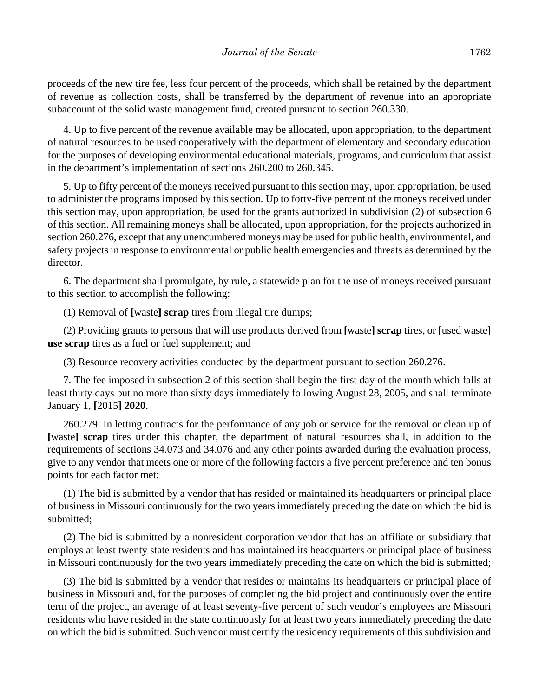proceeds of the new tire fee, less four percent of the proceeds, which shall be retained by the department of revenue as collection costs, shall be transferred by the department of revenue into an appropriate subaccount of the solid waste management fund, created pursuant to section 260.330.

4. Up to five percent of the revenue available may be allocated, upon appropriation, to the department of natural resources to be used cooperatively with the department of elementary and secondary education for the purposes of developing environmental educational materials, programs, and curriculum that assist in the department's implementation of sections 260.200 to 260.345.

5. Up to fifty percent of the moneys received pursuant to this section may, upon appropriation, be used to administer the programs imposed by this section. Up to forty-five percent of the moneys received under this section may, upon appropriation, be used for the grants authorized in subdivision (2) of subsection 6 of this section. All remaining moneys shall be allocated, upon appropriation, for the projects authorized in section 260.276, except that any unencumbered moneys may be used for public health, environmental, and safety projects in response to environmental or public health emergencies and threats as determined by the director.

6. The department shall promulgate, by rule, a statewide plan for the use of moneys received pursuant to this section to accomplish the following:

(1) Removal of **[**waste**] scrap** tires from illegal tire dumps;

(2) Providing grants to persons that will use products derived from **[**waste**] scrap** tires, or **[**used waste**] use scrap** tires as a fuel or fuel supplement; and

(3) Resource recovery activities conducted by the department pursuant to section 260.276.

7. The fee imposed in subsection 2 of this section shall begin the first day of the month which falls at least thirty days but no more than sixty days immediately following August 28, 2005, and shall terminate January 1, **[**2015**] 2020**.

260.279. In letting contracts for the performance of any job or service for the removal or clean up of **[**waste**] scrap** tires under this chapter, the department of natural resources shall, in addition to the requirements of sections 34.073 and 34.076 and any other points awarded during the evaluation process, give to any vendor that meets one or more of the following factors a five percent preference and ten bonus points for each factor met:

(1) The bid is submitted by a vendor that has resided or maintained its headquarters or principal place of business in Missouri continuously for the two years immediately preceding the date on which the bid is submitted;

(2) The bid is submitted by a nonresident corporation vendor that has an affiliate or subsidiary that employs at least twenty state residents and has maintained its headquarters or principal place of business in Missouri continuously for the two years immediately preceding the date on which the bid is submitted;

(3) The bid is submitted by a vendor that resides or maintains its headquarters or principal place of business in Missouri and, for the purposes of completing the bid project and continuously over the entire term of the project, an average of at least seventy-five percent of such vendor's employees are Missouri residents who have resided in the state continuously for at least two years immediately preceding the date on which the bid is submitted. Such vendor must certify the residency requirements of this subdivision and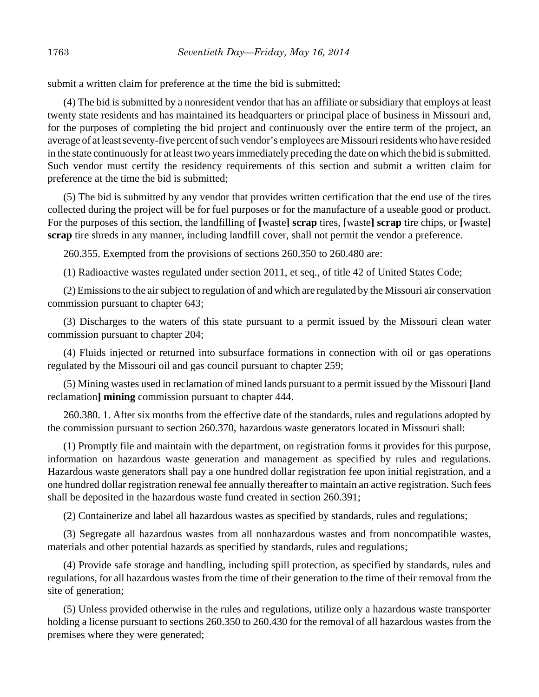submit a written claim for preference at the time the bid is submitted;

(4) The bid is submitted by a nonresident vendor that has an affiliate or subsidiary that employs at least twenty state residents and has maintained its headquarters or principal place of business in Missouri and, for the purposes of completing the bid project and continuously over the entire term of the project, an average of at least seventy-five percent of such vendor's employees are Missouri residents who have resided in the state continuously for at least two years immediately preceding the date on which the bid is submitted. Such vendor must certify the residency requirements of this section and submit a written claim for preference at the time the bid is submitted;

(5) The bid is submitted by any vendor that provides written certification that the end use of the tires collected during the project will be for fuel purposes or for the manufacture of a useable good or product. For the purposes of this section, the landfilling of **[**waste**] scrap** tires, **[**waste**] scrap** tire chips, or **[**waste**] scrap** tire shreds in any manner, including landfill cover, shall not permit the vendor a preference.

260.355. Exempted from the provisions of sections 260.350 to 260.480 are:

(1) Radioactive wastes regulated under section 2011, et seq., of title 42 of United States Code;

(2) Emissions to the air subject to regulation of and which are regulated by the Missouri air conservation commission pursuant to chapter 643;

(3) Discharges to the waters of this state pursuant to a permit issued by the Missouri clean water commission pursuant to chapter 204;

(4) Fluids injected or returned into subsurface formations in connection with oil or gas operations regulated by the Missouri oil and gas council pursuant to chapter 259;

(5) Mining wastes used in reclamation of mined lands pursuant to a permit issued by the Missouri **[**land reclamation**] mining** commission pursuant to chapter 444.

260.380. 1. After six months from the effective date of the standards, rules and regulations adopted by the commission pursuant to section 260.370, hazardous waste generators located in Missouri shall:

(1) Promptly file and maintain with the department, on registration forms it provides for this purpose, information on hazardous waste generation and management as specified by rules and regulations. Hazardous waste generators shall pay a one hundred dollar registration fee upon initial registration, and a one hundred dollar registration renewal fee annually thereafter to maintain an active registration. Such fees shall be deposited in the hazardous waste fund created in section 260.391;

(2) Containerize and label all hazardous wastes as specified by standards, rules and regulations;

(3) Segregate all hazardous wastes from all nonhazardous wastes and from noncompatible wastes, materials and other potential hazards as specified by standards, rules and regulations;

(4) Provide safe storage and handling, including spill protection, as specified by standards, rules and regulations, for all hazardous wastes from the time of their generation to the time of their removal from the site of generation;

(5) Unless provided otherwise in the rules and regulations, utilize only a hazardous waste transporter holding a license pursuant to sections 260.350 to 260.430 for the removal of all hazardous wastes from the premises where they were generated;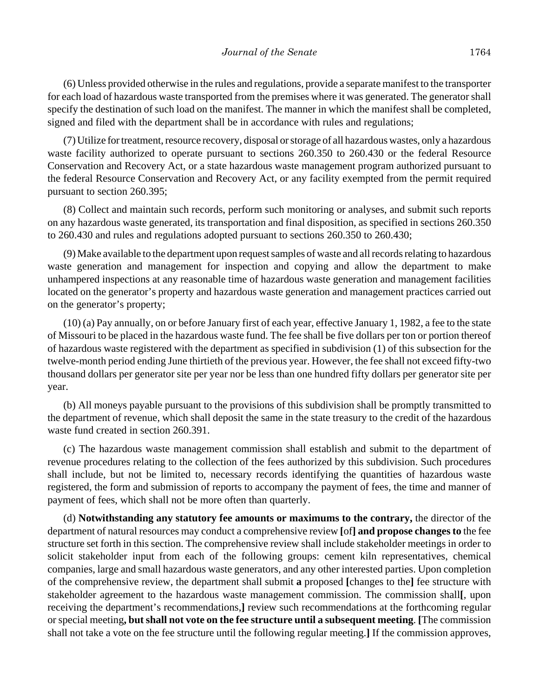(6) Unless provided otherwise in the rules and regulations, provide a separate manifest to the transporter for each load of hazardous waste transported from the premises where it was generated. The generator shall specify the destination of such load on the manifest. The manner in which the manifest shall be completed, signed and filed with the department shall be in accordance with rules and regulations;

(7) Utilize for treatment, resource recovery, disposal or storage of all hazardous wastes, only a hazardous waste facility authorized to operate pursuant to sections 260.350 to 260.430 or the federal Resource Conservation and Recovery Act, or a state hazardous waste management program authorized pursuant to the federal Resource Conservation and Recovery Act, or any facility exempted from the permit required pursuant to section 260.395;

(8) Collect and maintain such records, perform such monitoring or analyses, and submit such reports on any hazardous waste generated, its transportation and final disposition, as specified in sections 260.350 to 260.430 and rules and regulations adopted pursuant to sections 260.350 to 260.430;

(9) Make available to the department upon request samples of waste and all records relating to hazardous waste generation and management for inspection and copying and allow the department to make unhampered inspections at any reasonable time of hazardous waste generation and management facilities located on the generator's property and hazardous waste generation and management practices carried out on the generator's property;

(10) (a) Pay annually, on or before January first of each year, effective January 1, 1982, a fee to the state of Missouri to be placed in the hazardous waste fund. The fee shall be five dollars per ton or portion thereof of hazardous waste registered with the department as specified in subdivision (1) of this subsection for the twelve-month period ending June thirtieth of the previous year. However, the fee shall not exceed fifty-two thousand dollars per generator site per year nor be less than one hundred fifty dollars per generator site per year.

(b) All moneys payable pursuant to the provisions of this subdivision shall be promptly transmitted to the department of revenue, which shall deposit the same in the state treasury to the credit of the hazardous waste fund created in section 260.391.

(c) The hazardous waste management commission shall establish and submit to the department of revenue procedures relating to the collection of the fees authorized by this subdivision. Such procedures shall include, but not be limited to, necessary records identifying the quantities of hazardous waste registered, the form and submission of reports to accompany the payment of fees, the time and manner of payment of fees, which shall not be more often than quarterly.

(d) **Notwithstanding any statutory fee amounts or maximums to the contrary,** the director of the department of natural resources may conduct a comprehensive review **[**of**] and propose changes to** the fee structure set forth in this section. The comprehensive review shall include stakeholder meetings in order to solicit stakeholder input from each of the following groups: cement kiln representatives, chemical companies, large and small hazardous waste generators, and any other interested parties. Upon completion of the comprehensive review, the department shall submit **a** proposed **[**changes to the**]** fee structure with stakeholder agreement to the hazardous waste management commission. The commission shall**[**, upon receiving the department's recommendations,**]** review such recommendations at the forthcoming regular or special meeting**, but shall not vote on the fee structure until a subsequent meeting**. **[**The commission shall not take a vote on the fee structure until the following regular meeting.**]** If the commission approves,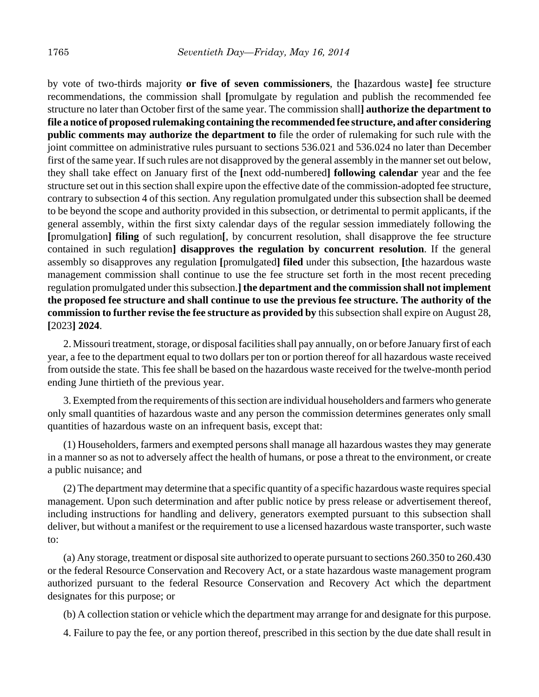by vote of two-thirds majority **or five of seven commissioners**, the **[**hazardous waste**]** fee structure recommendations, the commission shall **[**promulgate by regulation and publish the recommended fee structure no later than October first of the same year. The commission shall**] authorize the department to file a notice of proposed rulemaking containing the recommended fee structure, and after considering public comments may authorize the department to** file the order of rulemaking for such rule with the joint committee on administrative rules pursuant to sections 536.021 and 536.024 no later than December first of the same year. If such rules are not disapproved by the general assembly in the manner set out below, they shall take effect on January first of the **[**next odd-numbered**] following calendar** year and the fee structure set out in this section shall expire upon the effective date of the commission-adopted fee structure, contrary to subsection 4 of this section. Any regulation promulgated under this subsection shall be deemed to be beyond the scope and authority provided in this subsection, or detrimental to permit applicants, if the general assembly, within the first sixty calendar days of the regular session immediately following the **[**promulgation**] filing** of such regulation**[**, by concurrent resolution, shall disapprove the fee structure contained in such regulation**] disapproves the regulation by concurrent resolution**. If the general assembly so disapproves any regulation **[**promulgated**] filed** under this subsection, **[**the hazardous waste management commission shall continue to use the fee structure set forth in the most recent preceding regulation promulgated under this subsection.**] the department and the commission shall not implement the proposed fee structure and shall continue to use the previous fee structure. The authority of the commission to further revise the fee structure as provided by** this subsection shall expire on August 28, **[**2023**] 2024**.

2. Missouri treatment, storage, or disposal facilities shall pay annually, on or before January first of each year, a fee to the department equal to two dollars per ton or portion thereof for all hazardous waste received from outside the state. This fee shall be based on the hazardous waste received for the twelve-month period ending June thirtieth of the previous year.

3. Exempted from the requirements of this section are individual householders and farmers who generate only small quantities of hazardous waste and any person the commission determines generates only small quantities of hazardous waste on an infrequent basis, except that:

(1) Householders, farmers and exempted persons shall manage all hazardous wastes they may generate in a manner so as not to adversely affect the health of humans, or pose a threat to the environment, or create a public nuisance; and

(2) The department may determine that a specific quantity of a specific hazardous waste requires special management. Upon such determination and after public notice by press release or advertisement thereof, including instructions for handling and delivery, generators exempted pursuant to this subsection shall deliver, but without a manifest or the requirement to use a licensed hazardous waste transporter, such waste to:

(a) Any storage, treatment or disposal site authorized to operate pursuant to sections 260.350 to 260.430 or the federal Resource Conservation and Recovery Act, or a state hazardous waste management program authorized pursuant to the federal Resource Conservation and Recovery Act which the department designates for this purpose; or

(b) A collection station or vehicle which the department may arrange for and designate for this purpose.

4. Failure to pay the fee, or any portion thereof, prescribed in this section by the due date shall result in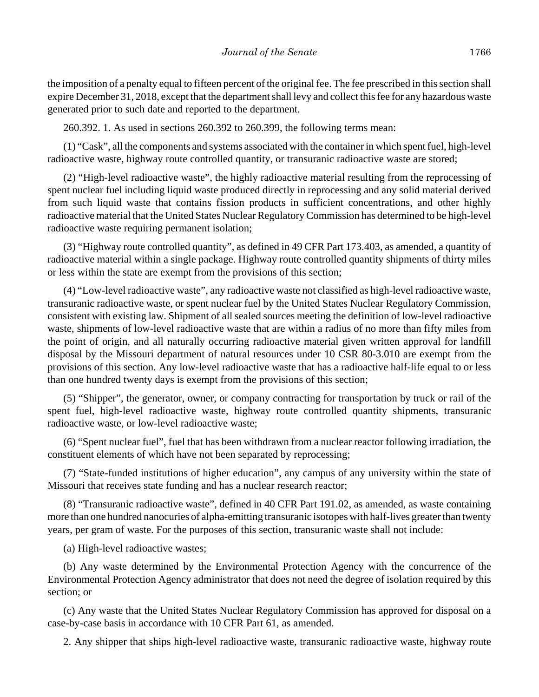the imposition of a penalty equal to fifteen percent of the original fee. The fee prescribed in this section shall expire December 31, 2018, except that the department shall levy and collect this fee for any hazardous waste generated prior to such date and reported to the department.

260.392. 1. As used in sections 260.392 to 260.399, the following terms mean:

(1) "Cask", all the components and systems associated with the container in which spent fuel, high-level radioactive waste, highway route controlled quantity, or transuranic radioactive waste are stored;

(2) "High-level radioactive waste", the highly radioactive material resulting from the reprocessing of spent nuclear fuel including liquid waste produced directly in reprocessing and any solid material derived from such liquid waste that contains fission products in sufficient concentrations, and other highly radioactive material that the United States Nuclear Regulatory Commission has determined to be high-level radioactive waste requiring permanent isolation;

(3) "Highway route controlled quantity", as defined in 49 CFR Part 173.403, as amended, a quantity of radioactive material within a single package. Highway route controlled quantity shipments of thirty miles or less within the state are exempt from the provisions of this section;

(4) "Low-level radioactive waste", any radioactive waste not classified as high-level radioactive waste, transuranic radioactive waste, or spent nuclear fuel by the United States Nuclear Regulatory Commission, consistent with existing law. Shipment of all sealed sources meeting the definition of low-level radioactive waste, shipments of low-level radioactive waste that are within a radius of no more than fifty miles from the point of origin, and all naturally occurring radioactive material given written approval for landfill disposal by the Missouri department of natural resources under 10 CSR 80-3.010 are exempt from the provisions of this section. Any low-level radioactive waste that has a radioactive half-life equal to or less than one hundred twenty days is exempt from the provisions of this section;

(5) "Shipper", the generator, owner, or company contracting for transportation by truck or rail of the spent fuel, high-level radioactive waste, highway route controlled quantity shipments, transuranic radioactive waste, or low-level radioactive waste;

(6) "Spent nuclear fuel", fuel that has been withdrawn from a nuclear reactor following irradiation, the constituent elements of which have not been separated by reprocessing;

(7) "State-funded institutions of higher education", any campus of any university within the state of Missouri that receives state funding and has a nuclear research reactor;

(8) "Transuranic radioactive waste", defined in 40 CFR Part 191.02, as amended, as waste containing more than one hundred nanocuries of alpha-emitting transuranic isotopes with half-lives greater than twenty years, per gram of waste. For the purposes of this section, transuranic waste shall not include:

(a) High-level radioactive wastes;

(b) Any waste determined by the Environmental Protection Agency with the concurrence of the Environmental Protection Agency administrator that does not need the degree of isolation required by this section; or

(c) Any waste that the United States Nuclear Regulatory Commission has approved for disposal on a case-by-case basis in accordance with 10 CFR Part 61, as amended.

2. Any shipper that ships high-level radioactive waste, transuranic radioactive waste, highway route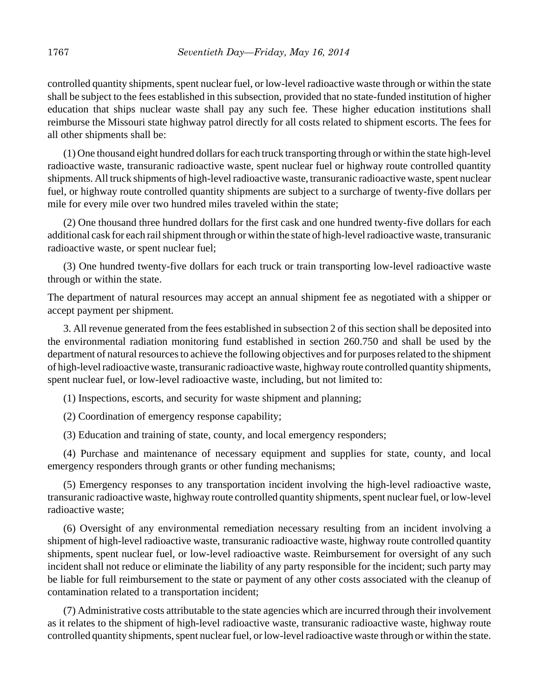controlled quantity shipments, spent nuclear fuel, or low-level radioactive waste through or within the state shall be subject to the fees established in this subsection, provided that no state-funded institution of higher education that ships nuclear waste shall pay any such fee. These higher education institutions shall reimburse the Missouri state highway patrol directly for all costs related to shipment escorts. The fees for all other shipments shall be:

(1) One thousand eight hundred dollars for each truck transporting through or within the state high-level radioactive waste, transuranic radioactive waste, spent nuclear fuel or highway route controlled quantity shipments. All truck shipments of high-level radioactive waste, transuranic radioactive waste, spent nuclear fuel, or highway route controlled quantity shipments are subject to a surcharge of twenty-five dollars per mile for every mile over two hundred miles traveled within the state;

(2) One thousand three hundred dollars for the first cask and one hundred twenty-five dollars for each additional cask for each rail shipment through or within the state of high-level radioactive waste, transuranic radioactive waste, or spent nuclear fuel;

(3) One hundred twenty-five dollars for each truck or train transporting low-level radioactive waste through or within the state.

The department of natural resources may accept an annual shipment fee as negotiated with a shipper or accept payment per shipment.

3. All revenue generated from the fees established in subsection 2 of this section shall be deposited into the environmental radiation monitoring fund established in section 260.750 and shall be used by the department of natural resources to achieve the following objectives and for purposes related to the shipment of high-level radioactive waste, transuranic radioactive waste, highway route controlled quantity shipments, spent nuclear fuel, or low-level radioactive waste, including, but not limited to:

(1) Inspections, escorts, and security for waste shipment and planning;

(2) Coordination of emergency response capability;

(3) Education and training of state, county, and local emergency responders;

(4) Purchase and maintenance of necessary equipment and supplies for state, county, and local emergency responders through grants or other funding mechanisms;

(5) Emergency responses to any transportation incident involving the high-level radioactive waste, transuranic radioactive waste, highway route controlled quantity shipments, spent nuclear fuel, or low-level radioactive waste;

(6) Oversight of any environmental remediation necessary resulting from an incident involving a shipment of high-level radioactive waste, transuranic radioactive waste, highway route controlled quantity shipments, spent nuclear fuel, or low-level radioactive waste. Reimbursement for oversight of any such incident shall not reduce or eliminate the liability of any party responsible for the incident; such party may be liable for full reimbursement to the state or payment of any other costs associated with the cleanup of contamination related to a transportation incident;

(7) Administrative costs attributable to the state agencies which are incurred through their involvement as it relates to the shipment of high-level radioactive waste, transuranic radioactive waste, highway route controlled quantity shipments, spent nuclear fuel, or low-level radioactive waste through or within the state.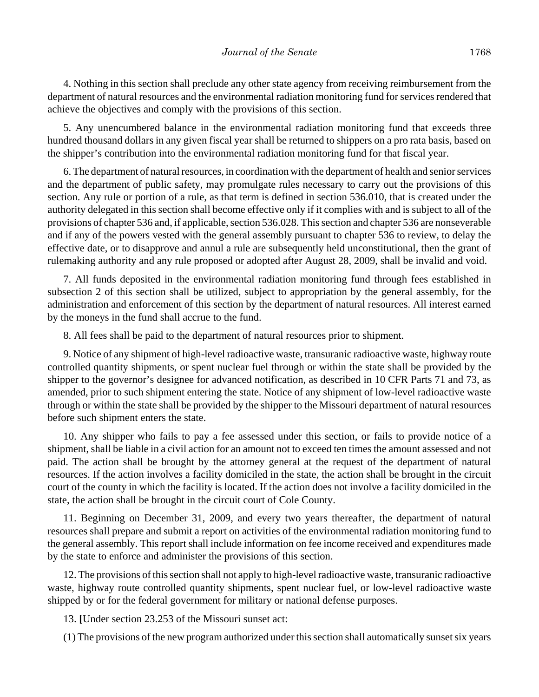4. Nothing in this section shall preclude any other state agency from receiving reimbursement from the department of natural resources and the environmental radiation monitoring fund for services rendered that achieve the objectives and comply with the provisions of this section.

5. Any unencumbered balance in the environmental radiation monitoring fund that exceeds three hundred thousand dollars in any given fiscal year shall be returned to shippers on a pro rata basis, based on the shipper's contribution into the environmental radiation monitoring fund for that fiscal year.

6. The department of natural resources, in coordination with the department of health and senior services and the department of public safety, may promulgate rules necessary to carry out the provisions of this section. Any rule or portion of a rule, as that term is defined in section 536.010, that is created under the authority delegated in this section shall become effective only if it complies with and is subject to all of the provisions of chapter 536 and, if applicable, section 536.028. This section and chapter 536 are nonseverable and if any of the powers vested with the general assembly pursuant to chapter 536 to review, to delay the effective date, or to disapprove and annul a rule are subsequently held unconstitutional, then the grant of rulemaking authority and any rule proposed or adopted after August 28, 2009, shall be invalid and void.

7. All funds deposited in the environmental radiation monitoring fund through fees established in subsection 2 of this section shall be utilized, subject to appropriation by the general assembly, for the administration and enforcement of this section by the department of natural resources. All interest earned by the moneys in the fund shall accrue to the fund.

8. All fees shall be paid to the department of natural resources prior to shipment.

9. Notice of any shipment of high-level radioactive waste, transuranic radioactive waste, highway route controlled quantity shipments, or spent nuclear fuel through or within the state shall be provided by the shipper to the governor's designee for advanced notification, as described in 10 CFR Parts 71 and 73, as amended, prior to such shipment entering the state. Notice of any shipment of low-level radioactive waste through or within the state shall be provided by the shipper to the Missouri department of natural resources before such shipment enters the state.

10. Any shipper who fails to pay a fee assessed under this section, or fails to provide notice of a shipment, shall be liable in a civil action for an amount not to exceed ten times the amount assessed and not paid. The action shall be brought by the attorney general at the request of the department of natural resources. If the action involves a facility domiciled in the state, the action shall be brought in the circuit court of the county in which the facility is located. If the action does not involve a facility domiciled in the state, the action shall be brought in the circuit court of Cole County.

11. Beginning on December 31, 2009, and every two years thereafter, the department of natural resources shall prepare and submit a report on activities of the environmental radiation monitoring fund to the general assembly. This report shall include information on fee income received and expenditures made by the state to enforce and administer the provisions of this section.

12. The provisions of this section shall not apply to high-level radioactive waste, transuranic radioactive waste, highway route controlled quantity shipments, spent nuclear fuel, or low-level radioactive waste shipped by or for the federal government for military or national defense purposes.

13. **[**Under section 23.253 of the Missouri sunset act:

(1) The provisions of the new program authorized under this section shall automatically sunset six years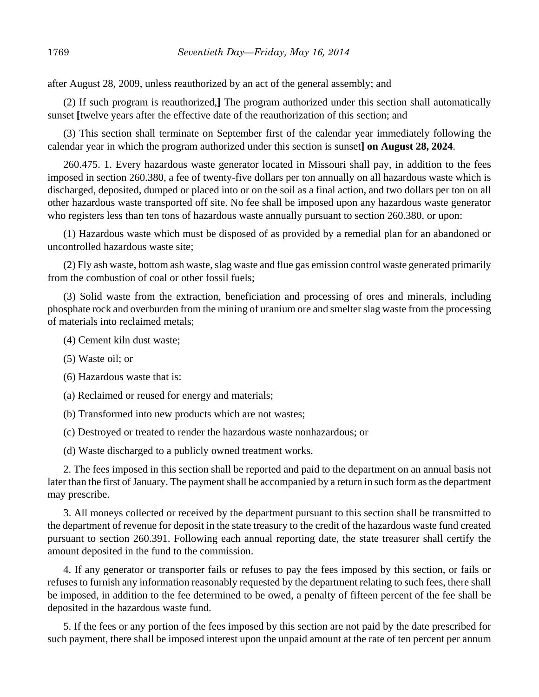after August 28, 2009, unless reauthorized by an act of the general assembly; and

(2) If such program is reauthorized,**]** The program authorized under this section shall automatically sunset **[**twelve years after the effective date of the reauthorization of this section; and

(3) This section shall terminate on September first of the calendar year immediately following the calendar year in which the program authorized under this section is sunset**] on August 28, 2024**.

260.475. 1. Every hazardous waste generator located in Missouri shall pay, in addition to the fees imposed in section 260.380, a fee of twenty-five dollars per ton annually on all hazardous waste which is discharged, deposited, dumped or placed into or on the soil as a final action, and two dollars per ton on all other hazardous waste transported off site. No fee shall be imposed upon any hazardous waste generator who registers less than ten tons of hazardous waste annually pursuant to section 260.380, or upon:

(1) Hazardous waste which must be disposed of as provided by a remedial plan for an abandoned or uncontrolled hazardous waste site;

(2) Fly ash waste, bottom ash waste, slag waste and flue gas emission control waste generated primarily from the combustion of coal or other fossil fuels;

(3) Solid waste from the extraction, beneficiation and processing of ores and minerals, including phosphate rock and overburden from the mining of uranium ore and smelter slag waste from the processing of materials into reclaimed metals;

(4) Cement kiln dust waste;

- (5) Waste oil; or
- (6) Hazardous waste that is:

(a) Reclaimed or reused for energy and materials;

- (b) Transformed into new products which are not wastes;
- (c) Destroyed or treated to render the hazardous waste nonhazardous; or

(d) Waste discharged to a publicly owned treatment works.

2. The fees imposed in this section shall be reported and paid to the department on an annual basis not later than the first of January. The payment shall be accompanied by a return in such form as the department may prescribe.

3. All moneys collected or received by the department pursuant to this section shall be transmitted to the department of revenue for deposit in the state treasury to the credit of the hazardous waste fund created pursuant to section 260.391. Following each annual reporting date, the state treasurer shall certify the amount deposited in the fund to the commission.

4. If any generator or transporter fails or refuses to pay the fees imposed by this section, or fails or refuses to furnish any information reasonably requested by the department relating to such fees, there shall be imposed, in addition to the fee determined to be owed, a penalty of fifteen percent of the fee shall be deposited in the hazardous waste fund.

5. If the fees or any portion of the fees imposed by this section are not paid by the date prescribed for such payment, there shall be imposed interest upon the unpaid amount at the rate of ten percent per annum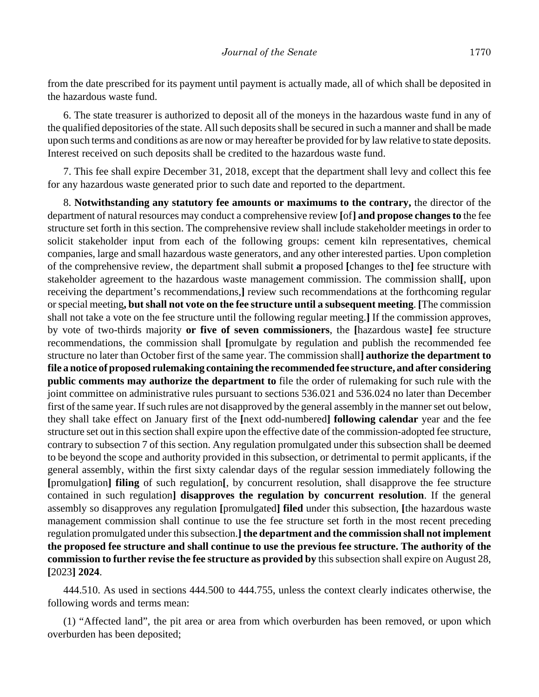from the date prescribed for its payment until payment is actually made, all of which shall be deposited in the hazardous waste fund.

6. The state treasurer is authorized to deposit all of the moneys in the hazardous waste fund in any of the qualified depositories of the state. All such deposits shall be secured in such a manner and shall be made upon such terms and conditions as are now or may hereafter be provided for by law relative to state deposits. Interest received on such deposits shall be credited to the hazardous waste fund.

7. This fee shall expire December 31, 2018, except that the department shall levy and collect this fee for any hazardous waste generated prior to such date and reported to the department.

8. **Notwithstanding any statutory fee amounts or maximums to the contrary,** the director of the department of natural resources may conduct a comprehensive review **[**of**] and propose changes to** the fee structure set forth in this section. The comprehensive review shall include stakeholder meetings in order to solicit stakeholder input from each of the following groups: cement kiln representatives, chemical companies, large and small hazardous waste generators, and any other interested parties. Upon completion of the comprehensive review, the department shall submit **a** proposed **[**changes to the**]** fee structure with stakeholder agreement to the hazardous waste management commission. The commission shall**[**, upon receiving the department's recommendations,**]** review such recommendations at the forthcoming regular or special meeting**, but shall not vote on the fee structure until a subsequent meeting**. **[**The commission shall not take a vote on the fee structure until the following regular meeting.**]** If the commission approves, by vote of two-thirds majority **or five of seven commissioners**, the **[**hazardous waste**]** fee structure recommendations, the commission shall **[**promulgate by regulation and publish the recommended fee structure no later than October first of the same year. The commission shall**] authorize the department to file a notice of proposed rulemaking containing the recommended fee structure, and after considering public comments may authorize the department to** file the order of rulemaking for such rule with the joint committee on administrative rules pursuant to sections 536.021 and 536.024 no later than December first of the same year. If such rules are not disapproved by the general assembly in the manner set out below, they shall take effect on January first of the **[**next odd-numbered**] following calendar** year and the fee structure set out in this section shall expire upon the effective date of the commission-adopted fee structure, contrary to subsection 7 of this section. Any regulation promulgated under this subsection shall be deemed to be beyond the scope and authority provided in this subsection, or detrimental to permit applicants, if the general assembly, within the first sixty calendar days of the regular session immediately following the **[**promulgation**] filing** of such regulation**[**, by concurrent resolution, shall disapprove the fee structure contained in such regulation**] disapproves the regulation by concurrent resolution**. If the general assembly so disapproves any regulation **[**promulgated**] filed** under this subsection, **[**the hazardous waste management commission shall continue to use the fee structure set forth in the most recent preceding regulation promulgated under this subsection.**] the department and the commission shall not implement the proposed fee structure and shall continue to use the previous fee structure. The authority of the commission to further revise the fee structure as provided by** this subsection shall expire on August 28, **[**2023**] 2024**.

444.510. As used in sections 444.500 to 444.755, unless the context clearly indicates otherwise, the following words and terms mean:

(1) "Affected land", the pit area or area from which overburden has been removed, or upon which overburden has been deposited;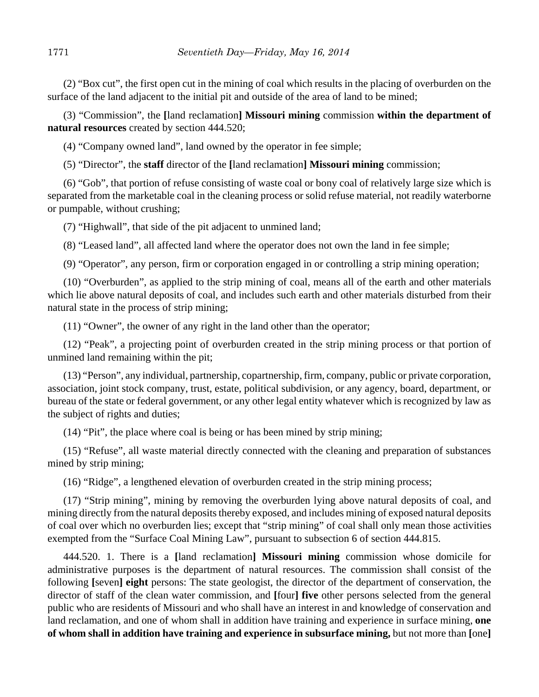(2) "Box cut", the first open cut in the mining of coal which results in the placing of overburden on the surface of the land adjacent to the initial pit and outside of the area of land to be mined;

(3) "Commission", the **[**land reclamation**] Missouri mining** commission **within the department of natural resources** created by section 444.520;

(4) "Company owned land", land owned by the operator in fee simple;

(5) "Director", the **staff** director of the **[**land reclamation**] Missouri mining** commission;

(6) "Gob", that portion of refuse consisting of waste coal or bony coal of relatively large size which is separated from the marketable coal in the cleaning process or solid refuse material, not readily waterborne or pumpable, without crushing;

(7) "Highwall", that side of the pit adjacent to unmined land;

(8) "Leased land", all affected land where the operator does not own the land in fee simple;

(9) "Operator", any person, firm or corporation engaged in or controlling a strip mining operation;

(10) "Overburden", as applied to the strip mining of coal, means all of the earth and other materials which lie above natural deposits of coal, and includes such earth and other materials disturbed from their natural state in the process of strip mining;

(11) "Owner", the owner of any right in the land other than the operator;

(12) "Peak", a projecting point of overburden created in the strip mining process or that portion of unmined land remaining within the pit;

(13) "Person", any individual, partnership, copartnership, firm, company, public or private corporation, association, joint stock company, trust, estate, political subdivision, or any agency, board, department, or bureau of the state or federal government, or any other legal entity whatever which is recognized by law as the subject of rights and duties;

(14) "Pit", the place where coal is being or has been mined by strip mining;

(15) "Refuse", all waste material directly connected with the cleaning and preparation of substances mined by strip mining;

(16) "Ridge", a lengthened elevation of overburden created in the strip mining process;

(17) "Strip mining", mining by removing the overburden lying above natural deposits of coal, and mining directly from the natural deposits thereby exposed, and includes mining of exposed natural deposits of coal over which no overburden lies; except that "strip mining" of coal shall only mean those activities exempted from the "Surface Coal Mining Law", pursuant to subsection 6 of section 444.815.

444.520. 1. There is a **[**land reclamation**] Missouri mining** commission whose domicile for administrative purposes is the department of natural resources. The commission shall consist of the following **[**seven**] eight** persons: The state geologist, the director of the department of conservation, the director of staff of the clean water commission, and **[**four**] five** other persons selected from the general public who are residents of Missouri and who shall have an interest in and knowledge of conservation and land reclamation, and one of whom shall in addition have training and experience in surface mining, **one of whom shall in addition have training and experience in subsurface mining,** but not more than **[**one**]**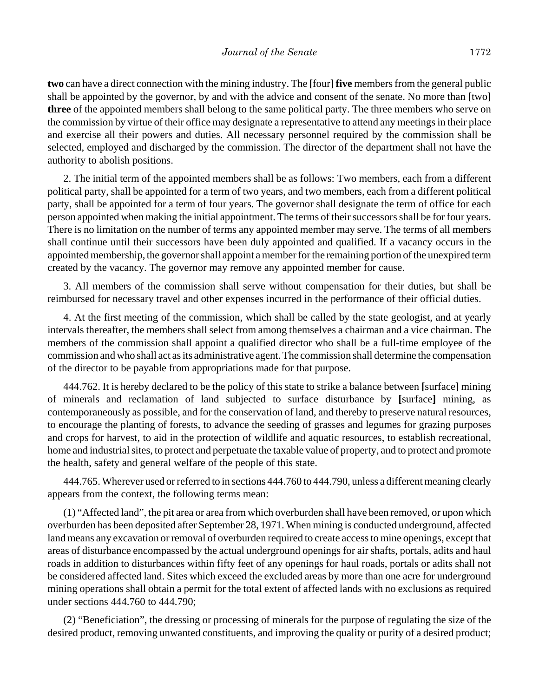**two** can have a direct connection with the mining industry. The **[**four**] five** members from the general public shall be appointed by the governor, by and with the advice and consent of the senate. No more than **[**two**] three** of the appointed members shall belong to the same political party. The three members who serve on the commission by virtue of their office may designate a representative to attend any meetings in their place and exercise all their powers and duties. All necessary personnel required by the commission shall be selected, employed and discharged by the commission. The director of the department shall not have the authority to abolish positions.

2. The initial term of the appointed members shall be as follows: Two members, each from a different political party, shall be appointed for a term of two years, and two members, each from a different political party, shall be appointed for a term of four years. The governor shall designate the term of office for each person appointed when making the initial appointment. The terms of their successors shall be for four years. There is no limitation on the number of terms any appointed member may serve. The terms of all members shall continue until their successors have been duly appointed and qualified. If a vacancy occurs in the appointed membership, the governor shall appoint a member for the remaining portion of the unexpired term created by the vacancy. The governor may remove any appointed member for cause.

3. All members of the commission shall serve without compensation for their duties, but shall be reimbursed for necessary travel and other expenses incurred in the performance of their official duties.

4. At the first meeting of the commission, which shall be called by the state geologist, and at yearly intervals thereafter, the members shall select from among themselves a chairman and a vice chairman. The members of the commission shall appoint a qualified director who shall be a full-time employee of the commission and who shall act as its administrative agent. The commission shall determine the compensation of the director to be payable from appropriations made for that purpose.

444.762. It is hereby declared to be the policy of this state to strike a balance between **[**surface**]** mining of minerals and reclamation of land subjected to surface disturbance by **[**surface**]** mining, as contemporaneously as possible, and for the conservation of land, and thereby to preserve natural resources, to encourage the planting of forests, to advance the seeding of grasses and legumes for grazing purposes and crops for harvest, to aid in the protection of wildlife and aquatic resources, to establish recreational, home and industrial sites, to protect and perpetuate the taxable value of property, and to protect and promote the health, safety and general welfare of the people of this state.

444.765. Wherever used or referred to in sections 444.760 to 444.790, unless a different meaning clearly appears from the context, the following terms mean:

(1) "Affected land", the pit area or area from which overburden shall have been removed, or upon which overburden has been deposited after September 28, 1971. When mining is conducted underground, affected land means any excavation or removal of overburden required to create access to mine openings, except that areas of disturbance encompassed by the actual underground openings for air shafts, portals, adits and haul roads in addition to disturbances within fifty feet of any openings for haul roads, portals or adits shall not be considered affected land. Sites which exceed the excluded areas by more than one acre for underground mining operations shall obtain a permit for the total extent of affected lands with no exclusions as required under sections 444.760 to 444.790;

(2) "Beneficiation", the dressing or processing of minerals for the purpose of regulating the size of the desired product, removing unwanted constituents, and improving the quality or purity of a desired product;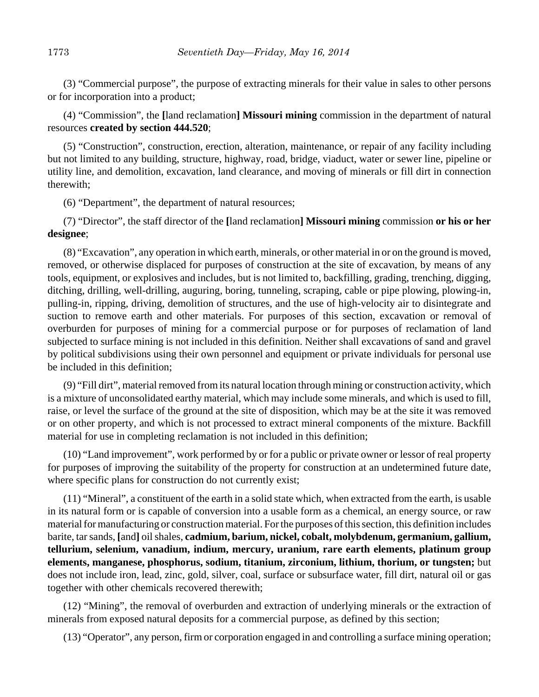(3) "Commercial purpose", the purpose of extracting minerals for their value in sales to other persons or for incorporation into a product;

(4) "Commission", the **[**land reclamation**] Missouri mining** commission in the department of natural resources **created by section 444.520**;

(5) "Construction", construction, erection, alteration, maintenance, or repair of any facility including but not limited to any building, structure, highway, road, bridge, viaduct, water or sewer line, pipeline or utility line, and demolition, excavation, land clearance, and moving of minerals or fill dirt in connection therewith;

(6) "Department", the department of natural resources;

(7) "Director", the staff director of the **[**land reclamation**] Missouri mining** commission **or his or her designee**;

(8) "Excavation", any operation in which earth, minerals, or other material in or on the ground is moved, removed, or otherwise displaced for purposes of construction at the site of excavation, by means of any tools, equipment, or explosives and includes, but is not limited to, backfilling, grading, trenching, digging, ditching, drilling, well-drilling, auguring, boring, tunneling, scraping, cable or pipe plowing, plowing-in, pulling-in, ripping, driving, demolition of structures, and the use of high-velocity air to disintegrate and suction to remove earth and other materials. For purposes of this section, excavation or removal of overburden for purposes of mining for a commercial purpose or for purposes of reclamation of land subjected to surface mining is not included in this definition. Neither shall excavations of sand and gravel by political subdivisions using their own personnel and equipment or private individuals for personal use be included in this definition;

(9) "Fill dirt", material removed from its natural location through mining or construction activity, which is a mixture of unconsolidated earthy material, which may include some minerals, and which is used to fill, raise, or level the surface of the ground at the site of disposition, which may be at the site it was removed or on other property, and which is not processed to extract mineral components of the mixture. Backfill material for use in completing reclamation is not included in this definition;

(10) "Land improvement", work performed by or for a public or private owner or lessor of real property for purposes of improving the suitability of the property for construction at an undetermined future date, where specific plans for construction do not currently exist;

(11) "Mineral", a constituent of the earth in a solid state which, when extracted from the earth, is usable in its natural form or is capable of conversion into a usable form as a chemical, an energy source, or raw material for manufacturing or construction material. For the purposes of this section, this definition includes barite, tar sands, **[**and**]** oil shales, **cadmium, barium, nickel, cobalt, molybdenum, germanium, gallium, tellurium, selenium, vanadium, indium, mercury, uranium, rare earth elements, platinum group elements, manganese, phosphorus, sodium, titanium, zirconium, lithium, thorium, or tungsten;** but does not include iron, lead, zinc, gold, silver, coal, surface or subsurface water, fill dirt, natural oil or gas together with other chemicals recovered therewith;

(12) "Mining", the removal of overburden and extraction of underlying minerals or the extraction of minerals from exposed natural deposits for a commercial purpose, as defined by this section;

(13) "Operator", any person, firm or corporation engaged in and controlling a surface mining operation;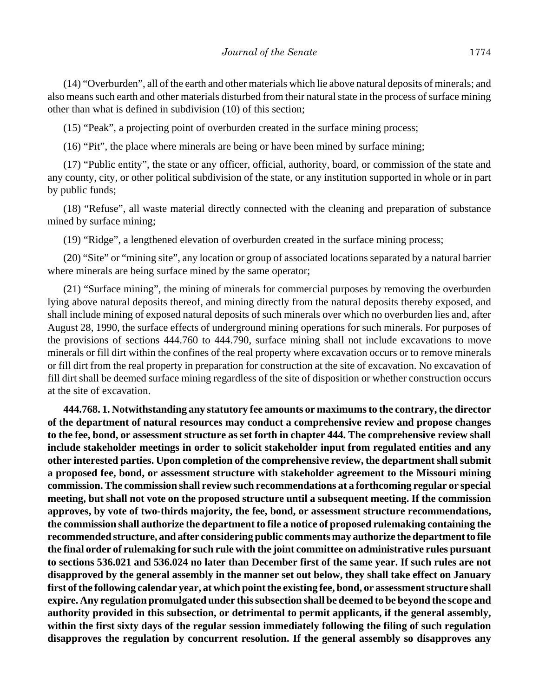(14) "Overburden", all of the earth and other materials which lie above natural deposits of minerals; and also means such earth and other materials disturbed from their natural state in the process of surface mining other than what is defined in subdivision (10) of this section;

(15) "Peak", a projecting point of overburden created in the surface mining process;

(16) "Pit", the place where minerals are being or have been mined by surface mining;

(17) "Public entity", the state or any officer, official, authority, board, or commission of the state and any county, city, or other political subdivision of the state, or any institution supported in whole or in part by public funds;

(18) "Refuse", all waste material directly connected with the cleaning and preparation of substance mined by surface mining;

(19) "Ridge", a lengthened elevation of overburden created in the surface mining process;

(20) "Site" or "mining site", any location or group of associated locations separated by a natural barrier where minerals are being surface mined by the same operator;

(21) "Surface mining", the mining of minerals for commercial purposes by removing the overburden lying above natural deposits thereof, and mining directly from the natural deposits thereby exposed, and shall include mining of exposed natural deposits of such minerals over which no overburden lies and, after August 28, 1990, the surface effects of underground mining operations for such minerals. For purposes of the provisions of sections 444.760 to 444.790, surface mining shall not include excavations to move minerals or fill dirt within the confines of the real property where excavation occurs or to remove minerals or fill dirt from the real property in preparation for construction at the site of excavation. No excavation of fill dirt shall be deemed surface mining regardless of the site of disposition or whether construction occurs at the site of excavation.

**444.768. 1. Notwithstanding any statutory fee amounts or maximums to the contrary, the director of the department of natural resources may conduct a comprehensive review and propose changes to the fee, bond, or assessment structure as set forth in chapter 444. The comprehensive review shall include stakeholder meetings in order to solicit stakeholder input from regulated entities and any other interested parties. Upon completion of the comprehensive review, the department shall submit a proposed fee, bond, or assessment structure with stakeholder agreement to the Missouri mining commission. The commission shall review such recommendations at a forthcoming regular or special meeting, but shall not vote on the proposed structure until a subsequent meeting. If the commission approves, by vote of two-thirds majority, the fee, bond, or assessment structure recommendations, the commission shall authorize the department to file a notice of proposed rulemaking containing the recommended structure, and after considering public comments may authorize the department to file the final order of rulemaking for such rule with the joint committee on administrative rules pursuant to sections 536.021 and 536.024 no later than December first of the same year. If such rules are not disapproved by the general assembly in the manner set out below, they shall take effect on January first of the following calendar year, at which point the existing fee, bond, or assessment structure shall expire. Any regulation promulgated under this subsection shall be deemed to be beyond the scope and authority provided in this subsection, or detrimental to permit applicants, if the general assembly, within the first sixty days of the regular session immediately following the filing of such regulation disapproves the regulation by concurrent resolution. If the general assembly so disapproves any**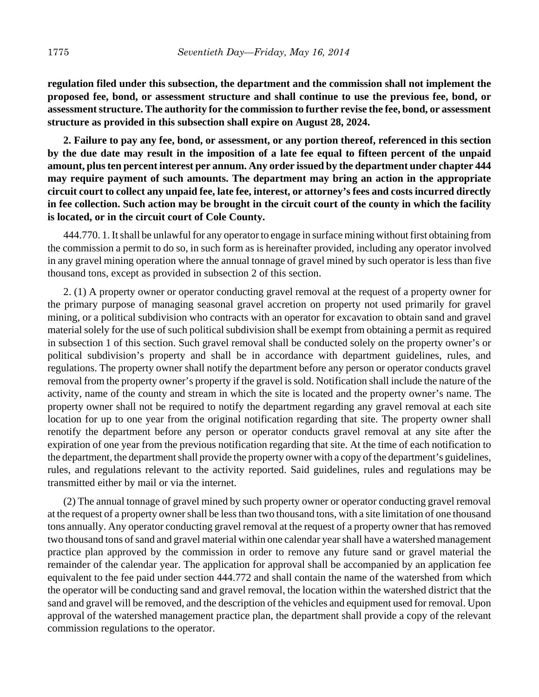**regulation filed under this subsection, the department and the commission shall not implement the proposed fee, bond, or assessment structure and shall continue to use the previous fee, bond, or assessment structure. The authority for the commission to further revise the fee, bond, or assessment structure as provided in this subsection shall expire on August 28, 2024.**

**2. Failure to pay any fee, bond, or assessment, or any portion thereof, referenced in this section by the due date may result in the imposition of a late fee equal to fifteen percent of the unpaid amount, plus ten percent interest per annum. Any order issued by the department under chapter 444 may require payment of such amounts. The department may bring an action in the appropriate circuit court to collect any unpaid fee, late fee, interest, or attorney's fees and costs incurred directly in fee collection. Such action may be brought in the circuit court of the county in which the facility is located, or in the circuit court of Cole County.**

444.770. 1. It shall be unlawful for any operator to engage in surface mining without first obtaining from the commission a permit to do so, in such form as is hereinafter provided, including any operator involved in any gravel mining operation where the annual tonnage of gravel mined by such operator is less than five thousand tons, except as provided in subsection 2 of this section.

2. (1) A property owner or operator conducting gravel removal at the request of a property owner for the primary purpose of managing seasonal gravel accretion on property not used primarily for gravel mining, or a political subdivision who contracts with an operator for excavation to obtain sand and gravel material solely for the use of such political subdivision shall be exempt from obtaining a permit as required in subsection 1 of this section. Such gravel removal shall be conducted solely on the property owner's or political subdivision's property and shall be in accordance with department guidelines, rules, and regulations. The property owner shall notify the department before any person or operator conducts gravel removal from the property owner's property if the gravel is sold. Notification shall include the nature of the activity, name of the county and stream in which the site is located and the property owner's name. The property owner shall not be required to notify the department regarding any gravel removal at each site location for up to one year from the original notification regarding that site. The property owner shall renotify the department before any person or operator conducts gravel removal at any site after the expiration of one year from the previous notification regarding that site. At the time of each notification to the department, the department shall provide the property owner with a copy of the department's guidelines, rules, and regulations relevant to the activity reported. Said guidelines, rules and regulations may be transmitted either by mail or via the internet.

(2) The annual tonnage of gravel mined by such property owner or operator conducting gravel removal at the request of a property owner shall be less than two thousand tons, with a site limitation of one thousand tons annually. Any operator conducting gravel removal at the request of a property owner that has removed two thousand tons of sand and gravel material within one calendar year shall have a watershed management practice plan approved by the commission in order to remove any future sand or gravel material the remainder of the calendar year. The application for approval shall be accompanied by an application fee equivalent to the fee paid under section 444.772 and shall contain the name of the watershed from which the operator will be conducting sand and gravel removal, the location within the watershed district that the sand and gravel will be removed, and the description of the vehicles and equipment used for removal. Upon approval of the watershed management practice plan, the department shall provide a copy of the relevant commission regulations to the operator.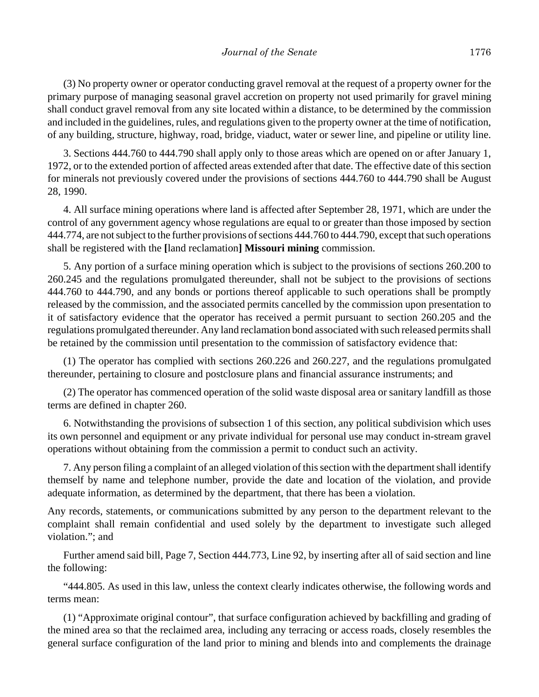(3) No property owner or operator conducting gravel removal at the request of a property owner for the primary purpose of managing seasonal gravel accretion on property not used primarily for gravel mining shall conduct gravel removal from any site located within a distance, to be determined by the commission and included in the guidelines, rules, and regulations given to the property owner at the time of notification, of any building, structure, highway, road, bridge, viaduct, water or sewer line, and pipeline or utility line.

3. Sections 444.760 to 444.790 shall apply only to those areas which are opened on or after January 1, 1972, or to the extended portion of affected areas extended after that date. The effective date of this section for minerals not previously covered under the provisions of sections 444.760 to 444.790 shall be August 28, 1990.

4. All surface mining operations where land is affected after September 28, 1971, which are under the control of any government agency whose regulations are equal to or greater than those imposed by section 444.774, are not subject to the further provisions of sections 444.760 to 444.790, except that such operations shall be registered with the **[**land reclamation**] Missouri mining** commission.

5. Any portion of a surface mining operation which is subject to the provisions of sections 260.200 to 260.245 and the regulations promulgated thereunder, shall not be subject to the provisions of sections 444.760 to 444.790, and any bonds or portions thereof applicable to such operations shall be promptly released by the commission, and the associated permits cancelled by the commission upon presentation to it of satisfactory evidence that the operator has received a permit pursuant to section 260.205 and the regulations promulgated thereunder. Any land reclamation bond associated with such released permits shall be retained by the commission until presentation to the commission of satisfactory evidence that:

(1) The operator has complied with sections 260.226 and 260.227, and the regulations promulgated thereunder, pertaining to closure and postclosure plans and financial assurance instruments; and

(2) The operator has commenced operation of the solid waste disposal area or sanitary landfill as those terms are defined in chapter 260.

6. Notwithstanding the provisions of subsection 1 of this section, any political subdivision which uses its own personnel and equipment or any private individual for personal use may conduct in-stream gravel operations without obtaining from the commission a permit to conduct such an activity.

7. Any person filing a complaint of an alleged violation of this section with the department shall identify themself by name and telephone number, provide the date and location of the violation, and provide adequate information, as determined by the department, that there has been a violation.

Any records, statements, or communications submitted by any person to the department relevant to the complaint shall remain confidential and used solely by the department to investigate such alleged violation."; and

Further amend said bill, Page 7, Section 444.773, Line 92, by inserting after all of said section and line the following:

"444.805. As used in this law, unless the context clearly indicates otherwise, the following words and terms mean:

(1) "Approximate original contour", that surface configuration achieved by backfilling and grading of the mined area so that the reclaimed area, including any terracing or access roads, closely resembles the general surface configuration of the land prior to mining and blends into and complements the drainage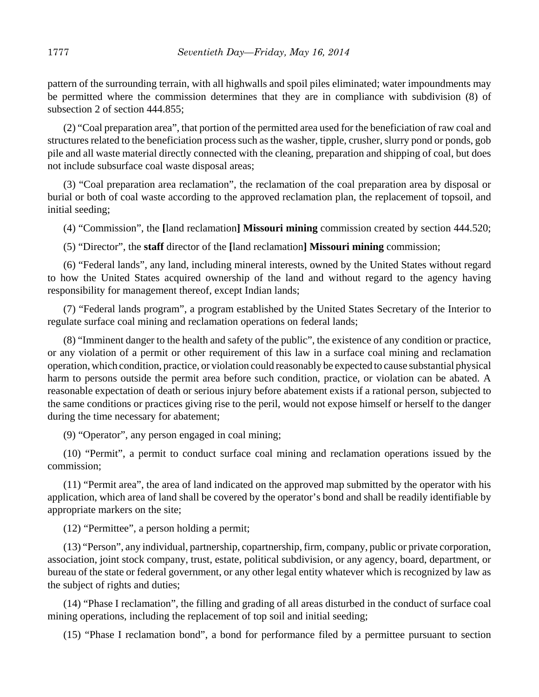pattern of the surrounding terrain, with all highwalls and spoil piles eliminated; water impoundments may be permitted where the commission determines that they are in compliance with subdivision (8) of subsection 2 of section 444.855;

(2) "Coal preparation area", that portion of the permitted area used for the beneficiation of raw coal and structures related to the beneficiation process such as the washer, tipple, crusher, slurry pond or ponds, gob pile and all waste material directly connected with the cleaning, preparation and shipping of coal, but does not include subsurface coal waste disposal areas;

(3) "Coal preparation area reclamation", the reclamation of the coal preparation area by disposal or burial or both of coal waste according to the approved reclamation plan, the replacement of topsoil, and initial seeding;

(4) "Commission", the **[**land reclamation**] Missouri mining** commission created by section 444.520;

(5) "Director", the **staff** director of the **[**land reclamation**] Missouri mining** commission;

(6) "Federal lands", any land, including mineral interests, owned by the United States without regard to how the United States acquired ownership of the land and without regard to the agency having responsibility for management thereof, except Indian lands;

(7) "Federal lands program", a program established by the United States Secretary of the Interior to regulate surface coal mining and reclamation operations on federal lands;

(8) "Imminent danger to the health and safety of the public", the existence of any condition or practice, or any violation of a permit or other requirement of this law in a surface coal mining and reclamation operation, which condition, practice, or violation could reasonably be expected to cause substantial physical harm to persons outside the permit area before such condition, practice, or violation can be abated. A reasonable expectation of death or serious injury before abatement exists if a rational person, subjected to the same conditions or practices giving rise to the peril, would not expose himself or herself to the danger during the time necessary for abatement;

(9) "Operator", any person engaged in coal mining;

(10) "Permit", a permit to conduct surface coal mining and reclamation operations issued by the commission;

(11) "Permit area", the area of land indicated on the approved map submitted by the operator with his application, which area of land shall be covered by the operator's bond and shall be readily identifiable by appropriate markers on the site;

(12) "Permittee", a person holding a permit;

(13) "Person", any individual, partnership, copartnership, firm, company, public or private corporation, association, joint stock company, trust, estate, political subdivision, or any agency, board, department, or bureau of the state or federal government, or any other legal entity whatever which is recognized by law as the subject of rights and duties;

(14) "Phase I reclamation", the filling and grading of all areas disturbed in the conduct of surface coal mining operations, including the replacement of top soil and initial seeding;

(15) "Phase I reclamation bond", a bond for performance filed by a permittee pursuant to section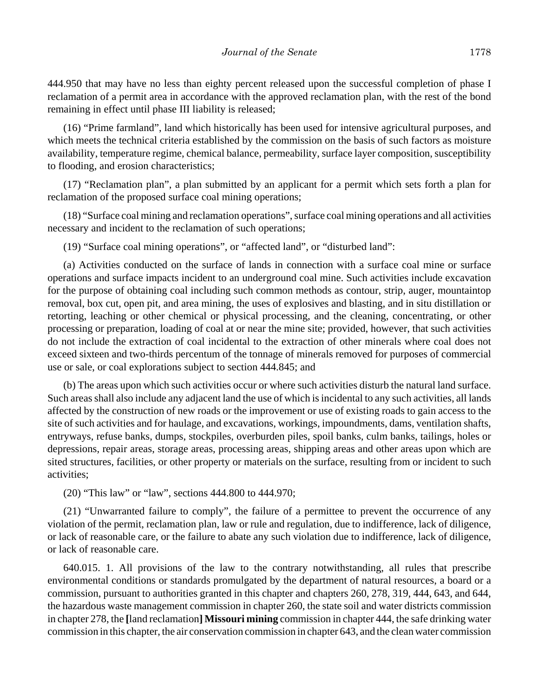444.950 that may have no less than eighty percent released upon the successful completion of phase I reclamation of a permit area in accordance with the approved reclamation plan, with the rest of the bond remaining in effect until phase III liability is released;

(16) "Prime farmland", land which historically has been used for intensive agricultural purposes, and which meets the technical criteria established by the commission on the basis of such factors as moisture availability, temperature regime, chemical balance, permeability, surface layer composition, susceptibility to flooding, and erosion characteristics;

(17) "Reclamation plan", a plan submitted by an applicant for a permit which sets forth a plan for reclamation of the proposed surface coal mining operations;

(18) "Surface coal mining and reclamation operations", surface coal mining operations and all activities necessary and incident to the reclamation of such operations;

(19) "Surface coal mining operations", or "affected land", or "disturbed land":

(a) Activities conducted on the surface of lands in connection with a surface coal mine or surface operations and surface impacts incident to an underground coal mine. Such activities include excavation for the purpose of obtaining coal including such common methods as contour, strip, auger, mountaintop removal, box cut, open pit, and area mining, the uses of explosives and blasting, and in situ distillation or retorting, leaching or other chemical or physical processing, and the cleaning, concentrating, or other processing or preparation, loading of coal at or near the mine site; provided, however, that such activities do not include the extraction of coal incidental to the extraction of other minerals where coal does not exceed sixteen and two-thirds percentum of the tonnage of minerals removed for purposes of commercial use or sale, or coal explorations subject to section 444.845; and

(b) The areas upon which such activities occur or where such activities disturb the natural land surface. Such areas shall also include any adjacent land the use of which is incidental to any such activities, all lands affected by the construction of new roads or the improvement or use of existing roads to gain access to the site of such activities and for haulage, and excavations, workings, impoundments, dams, ventilation shafts, entryways, refuse banks, dumps, stockpiles, overburden piles, spoil banks, culm banks, tailings, holes or depressions, repair areas, storage areas, processing areas, shipping areas and other areas upon which are sited structures, facilities, or other property or materials on the surface, resulting from or incident to such activities;

(20) "This law" or "law", sections 444.800 to 444.970;

(21) "Unwarranted failure to comply", the failure of a permittee to prevent the occurrence of any violation of the permit, reclamation plan, law or rule and regulation, due to indifference, lack of diligence, or lack of reasonable care, or the failure to abate any such violation due to indifference, lack of diligence, or lack of reasonable care.

640.015. 1. All provisions of the law to the contrary notwithstanding, all rules that prescribe environmental conditions or standards promulgated by the department of natural resources, a board or a commission, pursuant to authorities granted in this chapter and chapters 260, 278, 319, 444, 643, and 644, the hazardous waste management commission in chapter 260, the state soil and water districts commission in chapter 278, the **[**land reclamation**] Missouri mining** commission in chapter 444, the safe drinking water commission in this chapter, the air conservation commission in chapter 643, and the clean water commission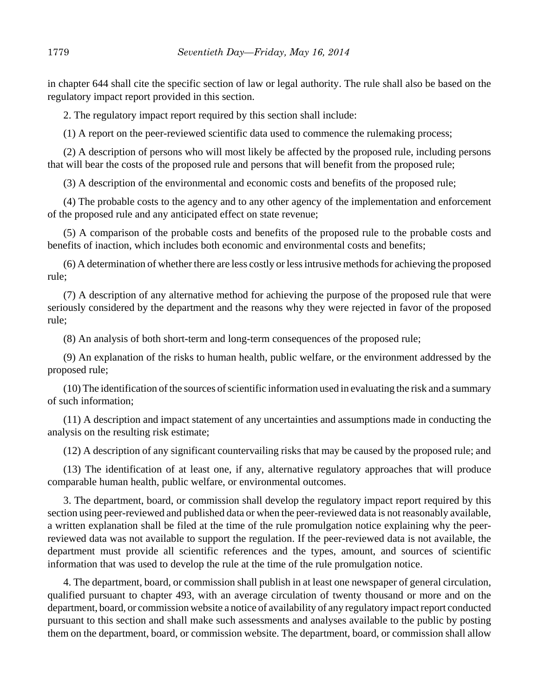in chapter 644 shall cite the specific section of law or legal authority. The rule shall also be based on the regulatory impact report provided in this section.

2. The regulatory impact report required by this section shall include:

(1) A report on the peer-reviewed scientific data used to commence the rulemaking process;

(2) A description of persons who will most likely be affected by the proposed rule, including persons that will bear the costs of the proposed rule and persons that will benefit from the proposed rule;

(3) A description of the environmental and economic costs and benefits of the proposed rule;

(4) The probable costs to the agency and to any other agency of the implementation and enforcement of the proposed rule and any anticipated effect on state revenue;

(5) A comparison of the probable costs and benefits of the proposed rule to the probable costs and benefits of inaction, which includes both economic and environmental costs and benefits;

(6) A determination of whether there are less costly or less intrusive methods for achieving the proposed rule;

(7) A description of any alternative method for achieving the purpose of the proposed rule that were seriously considered by the department and the reasons why they were rejected in favor of the proposed rule;

(8) An analysis of both short-term and long-term consequences of the proposed rule;

(9) An explanation of the risks to human health, public welfare, or the environment addressed by the proposed rule;

(10) The identification of the sources of scientific information used in evaluating the risk and a summary of such information;

(11) A description and impact statement of any uncertainties and assumptions made in conducting the analysis on the resulting risk estimate;

(12) A description of any significant countervailing risks that may be caused by the proposed rule; and

(13) The identification of at least one, if any, alternative regulatory approaches that will produce comparable human health, public welfare, or environmental outcomes.

3. The department, board, or commission shall develop the regulatory impact report required by this section using peer-reviewed and published data or when the peer-reviewed data is not reasonably available, a written explanation shall be filed at the time of the rule promulgation notice explaining why the peerreviewed data was not available to support the regulation. If the peer-reviewed data is not available, the department must provide all scientific references and the types, amount, and sources of scientific information that was used to develop the rule at the time of the rule promulgation notice.

4. The department, board, or commission shall publish in at least one newspaper of general circulation, qualified pursuant to chapter 493, with an average circulation of twenty thousand or more and on the department, board, or commission website a notice of availability of any regulatory impact report conducted pursuant to this section and shall make such assessments and analyses available to the public by posting them on the department, board, or commission website. The department, board, or commission shall allow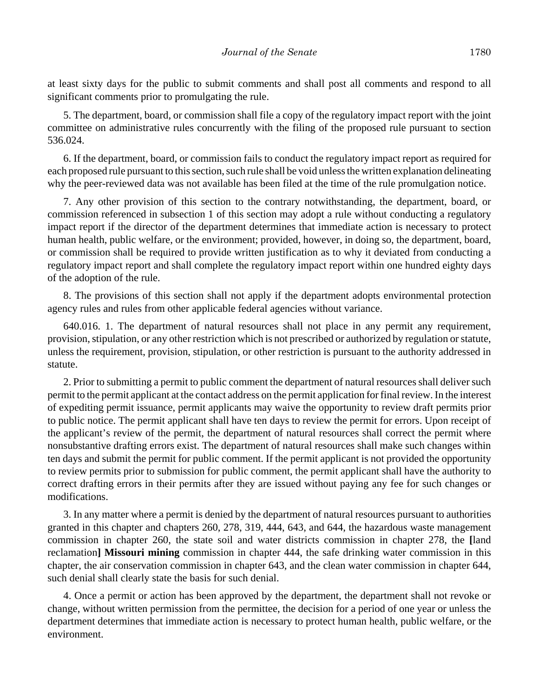at least sixty days for the public to submit comments and shall post all comments and respond to all significant comments prior to promulgating the rule.

5. The department, board, or commission shall file a copy of the regulatory impact report with the joint committee on administrative rules concurrently with the filing of the proposed rule pursuant to section 536.024.

6. If the department, board, or commission fails to conduct the regulatory impact report as required for each proposed rule pursuant to this section, such rule shall be void unless the written explanation delineating why the peer-reviewed data was not available has been filed at the time of the rule promulgation notice.

7. Any other provision of this section to the contrary notwithstanding, the department, board, or commission referenced in subsection 1 of this section may adopt a rule without conducting a regulatory impact report if the director of the department determines that immediate action is necessary to protect human health, public welfare, or the environment; provided, however, in doing so, the department, board, or commission shall be required to provide written justification as to why it deviated from conducting a regulatory impact report and shall complete the regulatory impact report within one hundred eighty days of the adoption of the rule.

8. The provisions of this section shall not apply if the department adopts environmental protection agency rules and rules from other applicable federal agencies without variance.

640.016. 1. The department of natural resources shall not place in any permit any requirement, provision, stipulation, or any other restriction which is not prescribed or authorized by regulation or statute, unless the requirement, provision, stipulation, or other restriction is pursuant to the authority addressed in statute.

2. Prior to submitting a permit to public comment the department of natural resources shall deliver such permit to the permit applicant at the contact address on the permit application for final review. In the interest of expediting permit issuance, permit applicants may waive the opportunity to review draft permits prior to public notice. The permit applicant shall have ten days to review the permit for errors. Upon receipt of the applicant's review of the permit, the department of natural resources shall correct the permit where nonsubstantive drafting errors exist. The department of natural resources shall make such changes within ten days and submit the permit for public comment. If the permit applicant is not provided the opportunity to review permits prior to submission for public comment, the permit applicant shall have the authority to correct drafting errors in their permits after they are issued without paying any fee for such changes or modifications.

3. In any matter where a permit is denied by the department of natural resources pursuant to authorities granted in this chapter and chapters 260, 278, 319, 444, 643, and 644, the hazardous waste management commission in chapter 260, the state soil and water districts commission in chapter 278, the **[**land reclamation**] Missouri mining** commission in chapter 444, the safe drinking water commission in this chapter, the air conservation commission in chapter 643, and the clean water commission in chapter 644, such denial shall clearly state the basis for such denial.

4. Once a permit or action has been approved by the department, the department shall not revoke or change, without written permission from the permittee, the decision for a period of one year or unless the department determines that immediate action is necessary to protect human health, public welfare, or the environment.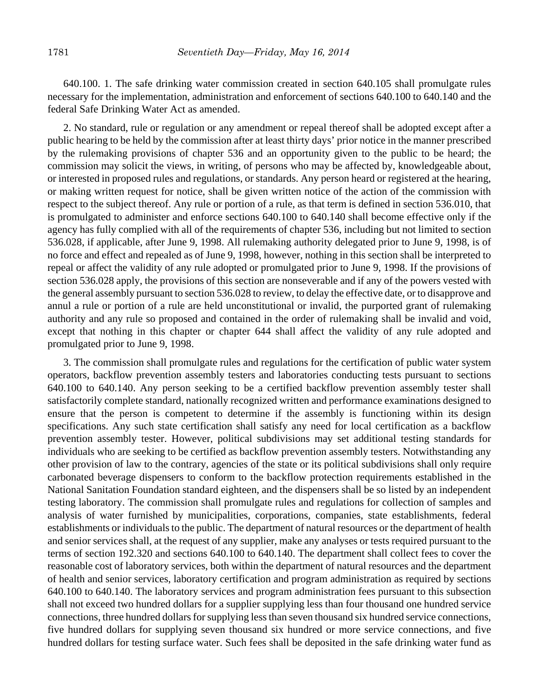640.100. 1. The safe drinking water commission created in section 640.105 shall promulgate rules necessary for the implementation, administration and enforcement of sections 640.100 to 640.140 and the federal Safe Drinking Water Act as amended.

2. No standard, rule or regulation or any amendment or repeal thereof shall be adopted except after a public hearing to be held by the commission after at least thirty days' prior notice in the manner prescribed by the rulemaking provisions of chapter 536 and an opportunity given to the public to be heard; the commission may solicit the views, in writing, of persons who may be affected by, knowledgeable about, or interested in proposed rules and regulations, or standards. Any person heard or registered at the hearing, or making written request for notice, shall be given written notice of the action of the commission with respect to the subject thereof. Any rule or portion of a rule, as that term is defined in section 536.010, that is promulgated to administer and enforce sections 640.100 to 640.140 shall become effective only if the agency has fully complied with all of the requirements of chapter 536, including but not limited to section 536.028, if applicable, after June 9, 1998. All rulemaking authority delegated prior to June 9, 1998, is of no force and effect and repealed as of June 9, 1998, however, nothing in this section shall be interpreted to repeal or affect the validity of any rule adopted or promulgated prior to June 9, 1998. If the provisions of section 536.028 apply, the provisions of this section are nonseverable and if any of the powers vested with the general assembly pursuant to section 536.028 to review, to delay the effective date, or to disapprove and annul a rule or portion of a rule are held unconstitutional or invalid, the purported grant of rulemaking authority and any rule so proposed and contained in the order of rulemaking shall be invalid and void, except that nothing in this chapter or chapter 644 shall affect the validity of any rule adopted and promulgated prior to June 9, 1998.

3. The commission shall promulgate rules and regulations for the certification of public water system operators, backflow prevention assembly testers and laboratories conducting tests pursuant to sections 640.100 to 640.140. Any person seeking to be a certified backflow prevention assembly tester shall satisfactorily complete standard, nationally recognized written and performance examinations designed to ensure that the person is competent to determine if the assembly is functioning within its design specifications. Any such state certification shall satisfy any need for local certification as a backflow prevention assembly tester. However, political subdivisions may set additional testing standards for individuals who are seeking to be certified as backflow prevention assembly testers. Notwithstanding any other provision of law to the contrary, agencies of the state or its political subdivisions shall only require carbonated beverage dispensers to conform to the backflow protection requirements established in the National Sanitation Foundation standard eighteen, and the dispensers shall be so listed by an independent testing laboratory. The commission shall promulgate rules and regulations for collection of samples and analysis of water furnished by municipalities, corporations, companies, state establishments, federal establishments or individuals to the public. The department of natural resources or the department of health and senior services shall, at the request of any supplier, make any analyses or tests required pursuant to the terms of section 192.320 and sections 640.100 to 640.140. The department shall collect fees to cover the reasonable cost of laboratory services, both within the department of natural resources and the department of health and senior services, laboratory certification and program administration as required by sections 640.100 to 640.140. The laboratory services and program administration fees pursuant to this subsection shall not exceed two hundred dollars for a supplier supplying less than four thousand one hundred service connections, three hundred dollars for supplying less than seven thousand six hundred service connections, five hundred dollars for supplying seven thousand six hundred or more service connections, and five hundred dollars for testing surface water. Such fees shall be deposited in the safe drinking water fund as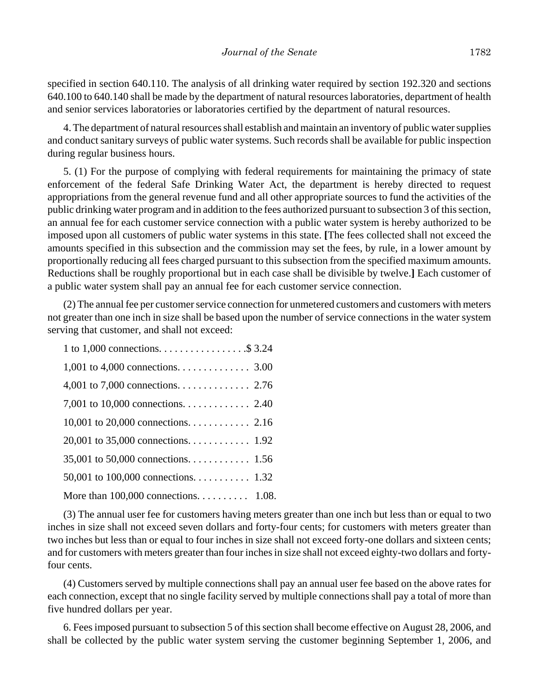specified in section 640.110. The analysis of all drinking water required by section 192.320 and sections 640.100 to 640.140 shall be made by the department of natural resources laboratories, department of health and senior services laboratories or laboratories certified by the department of natural resources.

4. The department of natural resources shall establish and maintain an inventory of public water supplies and conduct sanitary surveys of public water systems. Such records shall be available for public inspection during regular business hours.

5. (1) For the purpose of complying with federal requirements for maintaining the primacy of state enforcement of the federal Safe Drinking Water Act, the department is hereby directed to request appropriations from the general revenue fund and all other appropriate sources to fund the activities of the public drinking water program and in addition to the fees authorized pursuant to subsection 3 of this section, an annual fee for each customer service connection with a public water system is hereby authorized to be imposed upon all customers of public water systems in this state. **[**The fees collected shall not exceed the amounts specified in this subsection and the commission may set the fees, by rule, in a lower amount by proportionally reducing all fees charged pursuant to this subsection from the specified maximum amounts. Reductions shall be roughly proportional but in each case shall be divisible by twelve.**]** Each customer of a public water system shall pay an annual fee for each customer service connection.

(2) The annual fee per customer service connection for unmetered customers and customers with meters not greater than one inch in size shall be based upon the number of service connections in the water system serving that customer, and shall not exceed:

| 1 to 1,000 connections. $\dots \dots \dots \dots \dots$ \$3.24 |  |
|----------------------------------------------------------------|--|
| 1,001 to 4,000 connections. 3.00                               |  |
| 4,001 to 7,000 connections. 2.76                               |  |
| 7,001 to 10,000 connections. 2.40                              |  |
| 10,001 to 20,000 connections. 2.16                             |  |
| 20,001 to 35,000 connections. 1.92                             |  |
|                                                                |  |
|                                                                |  |
| More than $100,000$ connections. 1.08.                         |  |

(3) The annual user fee for customers having meters greater than one inch but less than or equal to two inches in size shall not exceed seven dollars and forty-four cents; for customers with meters greater than two inches but less than or equal to four inches in size shall not exceed forty-one dollars and sixteen cents; and for customers with meters greater than four inches in size shall not exceed eighty-two dollars and fortyfour cents.

(4) Customers served by multiple connections shall pay an annual user fee based on the above rates for each connection, except that no single facility served by multiple connections shall pay a total of more than five hundred dollars per year.

6. Fees imposed pursuant to subsection 5 of this section shall become effective on August 28, 2006, and shall be collected by the public water system serving the customer beginning September 1, 2006, and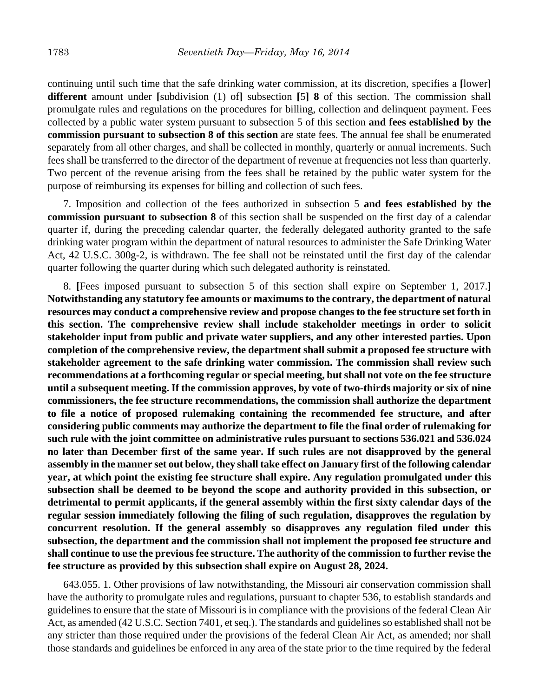continuing until such time that the safe drinking water commission, at its discretion, specifies a **[**lower**] different** amount under **[**subdivision (1) of**]** subsection **[**5**] 8** of this section. The commission shall promulgate rules and regulations on the procedures for billing, collection and delinquent payment. Fees collected by a public water system pursuant to subsection 5 of this section **and fees established by the commission pursuant to subsection 8 of this section** are state fees. The annual fee shall be enumerated separately from all other charges, and shall be collected in monthly, quarterly or annual increments. Such fees shall be transferred to the director of the department of revenue at frequencies not less than quarterly. Two percent of the revenue arising from the fees shall be retained by the public water system for the purpose of reimbursing its expenses for billing and collection of such fees.

7. Imposition and collection of the fees authorized in subsection 5 **and fees established by the commission pursuant to subsection 8** of this section shall be suspended on the first day of a calendar quarter if, during the preceding calendar quarter, the federally delegated authority granted to the safe drinking water program within the department of natural resources to administer the Safe Drinking Water Act, 42 U.S.C. 300g-2, is withdrawn. The fee shall not be reinstated until the first day of the calendar quarter following the quarter during which such delegated authority is reinstated.

8. **[**Fees imposed pursuant to subsection 5 of this section shall expire on September 1, 2017.**] Notwithstanding any statutory fee amounts or maximums to the contrary, the department of natural resources may conduct a comprehensive review and propose changes to the fee structure set forth in this section. The comprehensive review shall include stakeholder meetings in order to solicit stakeholder input from public and private water suppliers, and any other interested parties. Upon completion of the comprehensive review, the department shall submit a proposed fee structure with stakeholder agreement to the safe drinking water commission. The commission shall review such recommendations at a forthcoming regular or special meeting, but shall not vote on the fee structure until a subsequent meeting. If the commission approves, by vote of two-thirds majority or six of nine commissioners, the fee structure recommendations, the commission shall authorize the department to file a notice of proposed rulemaking containing the recommended fee structure, and after considering public comments may authorize the department to file the final order of rulemaking for such rule with the joint committee on administrative rules pursuant to sections 536.021 and 536.024 no later than December first of the same year. If such rules are not disapproved by the general assembly in the manner set out below, they shall take effect on January first of the following calendar year, at which point the existing fee structure shall expire. Any regulation promulgated under this subsection shall be deemed to be beyond the scope and authority provided in this subsection, or detrimental to permit applicants, if the general assembly within the first sixty calendar days of the regular session immediately following the filing of such regulation, disapproves the regulation by concurrent resolution. If the general assembly so disapproves any regulation filed under this subsection, the department and the commission shall not implement the proposed fee structure and shall continue to use the previous fee structure. The authority of the commission to further revise the fee structure as provided by this subsection shall expire on August 28, 2024.**

643.055. 1. Other provisions of law notwithstanding, the Missouri air conservation commission shall have the authority to promulgate rules and regulations, pursuant to chapter 536, to establish standards and guidelines to ensure that the state of Missouri is in compliance with the provisions of the federal Clean Air Act, as amended (42 U.S.C. Section 7401, et seq.). The standards and guidelines so established shall not be any stricter than those required under the provisions of the federal Clean Air Act, as amended; nor shall those standards and guidelines be enforced in any area of the state prior to the time required by the federal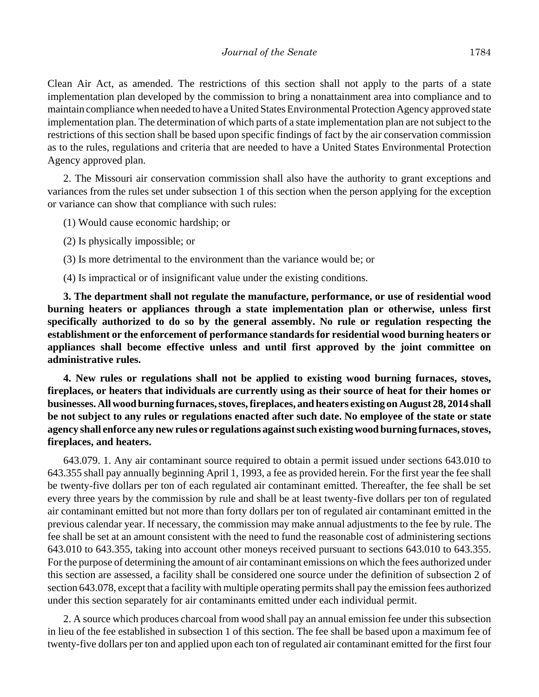Clean Air Act, as amended. The restrictions of this section shall not apply to the parts of a state implementation plan developed by the commission to bring a nonattainment area into compliance and to maintain compliance when needed to have a United States Environmental Protection Agency approved state implementation plan. The determination of which parts of a state implementation plan are not subject to the restrictions of this section shall be based upon specific findings of fact by the air conservation commission as to the rules, regulations and criteria that are needed to have a United States Environmental Protection Agency approved plan.

2. The Missouri air conservation commission shall also have the authority to grant exceptions and variances from the rules set under subsection 1 of this section when the person applying for the exception or variance can show that compliance with such rules:

- (1) Would cause economic hardship; or
- (2) Is physically impossible; or
- (3) Is more detrimental to the environment than the variance would be; or
- (4) Is impractical or of insignificant value under the existing conditions.

**3. The department shall not regulate the manufacture, performance, or use of residential wood burning heaters or appliances through a state implementation plan or otherwise, unless first specifically authorized to do so by the general assembly. No rule or regulation respecting the establishment or the enforcement of performance standards for residential wood burning heaters or appliances shall become effective unless and until first approved by the joint committee on administrative rules.**

**4. New rules or regulations shall not be applied to existing wood burning furnaces, stoves, fireplaces, or heaters that individuals are currently using as their source of heat for their homes or businesses. All wood burning furnaces, stoves, fireplaces, and heaters existing on August 28, 2014 shall be not subject to any rules or regulations enacted after such date. No employee of the state or state agency shall enforce any new rules or regulations against such existing wood burning furnaces, stoves, fireplaces, and heaters.**

643.079. 1. Any air contaminant source required to obtain a permit issued under sections 643.010 to 643.355 shall pay annually beginning April 1, 1993, a fee as provided herein. For the first year the fee shall be twenty-five dollars per ton of each regulated air contaminant emitted. Thereafter, the fee shall be set every three years by the commission by rule and shall be at least twenty-five dollars per ton of regulated air contaminant emitted but not more than forty dollars per ton of regulated air contaminant emitted in the previous calendar year. If necessary, the commission may make annual adjustments to the fee by rule. The fee shall be set at an amount consistent with the need to fund the reasonable cost of administering sections 643.010 to 643.355, taking into account other moneys received pursuant to sections 643.010 to 643.355. For the purpose of determining the amount of air contaminant emissions on which the fees authorized under this section are assessed, a facility shall be considered one source under the definition of subsection 2 of section 643.078, except that a facility with multiple operating permits shall pay the emission fees authorized under this section separately for air contaminants emitted under each individual permit.

2. A source which produces charcoal from wood shall pay an annual emission fee under this subsection in lieu of the fee established in subsection 1 of this section. The fee shall be based upon a maximum fee of twenty-five dollars per ton and applied upon each ton of regulated air contaminant emitted for the first four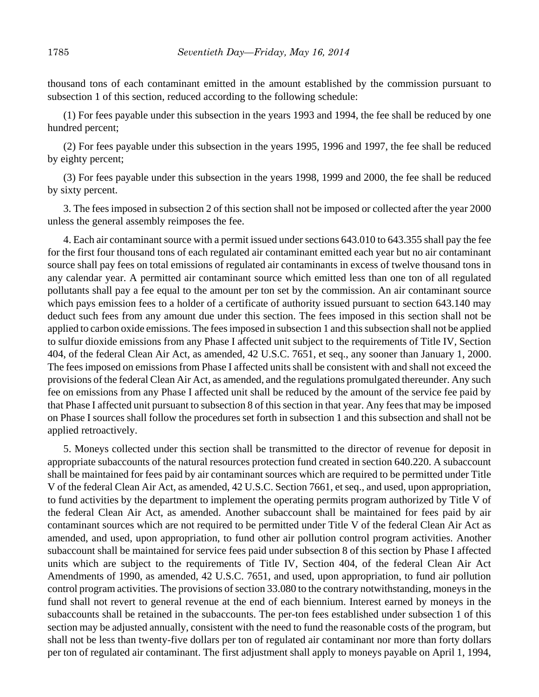thousand tons of each contaminant emitted in the amount established by the commission pursuant to subsection 1 of this section, reduced according to the following schedule:

(1) For fees payable under this subsection in the years 1993 and 1994, the fee shall be reduced by one hundred percent;

(2) For fees payable under this subsection in the years 1995, 1996 and 1997, the fee shall be reduced by eighty percent;

(3) For fees payable under this subsection in the years 1998, 1999 and 2000, the fee shall be reduced by sixty percent.

3. The fees imposed in subsection 2 of this section shall not be imposed or collected after the year 2000 unless the general assembly reimposes the fee.

4. Each air contaminant source with a permit issued under sections 643.010 to 643.355 shall pay the fee for the first four thousand tons of each regulated air contaminant emitted each year but no air contaminant source shall pay fees on total emissions of regulated air contaminants in excess of twelve thousand tons in any calendar year. A permitted air contaminant source which emitted less than one ton of all regulated pollutants shall pay a fee equal to the amount per ton set by the commission. An air contaminant source which pays emission fees to a holder of a certificate of authority issued pursuant to section 643.140 may deduct such fees from any amount due under this section. The fees imposed in this section shall not be applied to carbon oxide emissions. The fees imposed in subsection 1 and this subsection shall not be applied to sulfur dioxide emissions from any Phase I affected unit subject to the requirements of Title IV, Section 404, of the federal Clean Air Act, as amended, 42 U.S.C. 7651, et seq., any sooner than January 1, 2000. The fees imposed on emissions from Phase I affected units shall be consistent with and shall not exceed the provisions of the federal Clean Air Act, as amended, and the regulations promulgated thereunder. Any such fee on emissions from any Phase I affected unit shall be reduced by the amount of the service fee paid by that Phase I affected unit pursuant to subsection 8 of this section in that year. Any fees that may be imposed on Phase I sources shall follow the procedures set forth in subsection 1 and this subsection and shall not be applied retroactively.

5. Moneys collected under this section shall be transmitted to the director of revenue for deposit in appropriate subaccounts of the natural resources protection fund created in section 640.220. A subaccount shall be maintained for fees paid by air contaminant sources which are required to be permitted under Title V of the federal Clean Air Act, as amended, 42 U.S.C. Section 7661, et seq., and used, upon appropriation, to fund activities by the department to implement the operating permits program authorized by Title V of the federal Clean Air Act, as amended. Another subaccount shall be maintained for fees paid by air contaminant sources which are not required to be permitted under Title V of the federal Clean Air Act as amended, and used, upon appropriation, to fund other air pollution control program activities. Another subaccount shall be maintained for service fees paid under subsection 8 of this section by Phase I affected units which are subject to the requirements of Title IV, Section 404, of the federal Clean Air Act Amendments of 1990, as amended, 42 U.S.C. 7651, and used, upon appropriation, to fund air pollution control program activities. The provisions of section 33.080 to the contrary notwithstanding, moneys in the fund shall not revert to general revenue at the end of each biennium. Interest earned by moneys in the subaccounts shall be retained in the subaccounts. The per-ton fees established under subsection 1 of this section may be adjusted annually, consistent with the need to fund the reasonable costs of the program, but shall not be less than twenty-five dollars per ton of regulated air contaminant nor more than forty dollars per ton of regulated air contaminant. The first adjustment shall apply to moneys payable on April 1, 1994,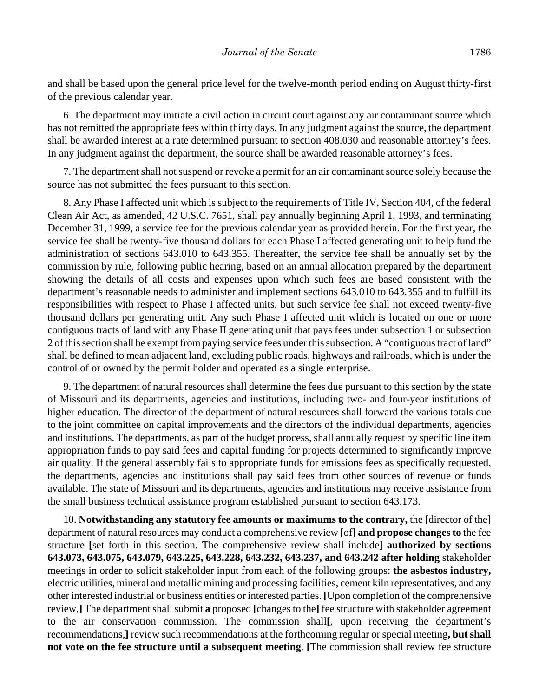and shall be based upon the general price level for the twelve-month period ending on August thirty-first of the previous calendar year.

6. The department may initiate a civil action in circuit court against any air contaminant source which has not remitted the appropriate fees within thirty days. In any judgment against the source, the department shall be awarded interest at a rate determined pursuant to section 408.030 and reasonable attorney's fees. In any judgment against the department, the source shall be awarded reasonable attorney's fees.

7. The department shall not suspend or revoke a permit for an air contaminant source solely because the source has not submitted the fees pursuant to this section.

8. Any Phase I affected unit which is subject to the requirements of Title IV, Section 404, of the federal Clean Air Act, as amended, 42 U.S.C. 7651, shall pay annually beginning April 1, 1993, and terminating December 31, 1999, a service fee for the previous calendar year as provided herein. For the first year, the service fee shall be twenty-five thousand dollars for each Phase I affected generating unit to help fund the administration of sections 643.010 to 643.355. Thereafter, the service fee shall be annually set by the commission by rule, following public hearing, based on an annual allocation prepared by the department showing the details of all costs and expenses upon which such fees are based consistent with the department's reasonable needs to administer and implement sections 643.010 to 643.355 and to fulfill its responsibilities with respect to Phase I affected units, but such service fee shall not exceed twenty-five thousand dollars per generating unit. Any such Phase I affected unit which is located on one or more contiguous tracts of land with any Phase II generating unit that pays fees under subsection 1 or subsection 2 of this section shall be exempt from paying service fees under this subsection. A "contiguous tract of land" shall be defined to mean adjacent land, excluding public roads, highways and railroads, which is under the control of or owned by the permit holder and operated as a single enterprise.

9. The department of natural resources shall determine the fees due pursuant to this section by the state of Missouri and its departments, agencies and institutions, including two- and four-year institutions of higher education. The director of the department of natural resources shall forward the various totals due to the joint committee on capital improvements and the directors of the individual departments, agencies and institutions. The departments, as part of the budget process, shall annually request by specific line item appropriation funds to pay said fees and capital funding for projects determined to significantly improve air quality. If the general assembly fails to appropriate funds for emissions fees as specifically requested, the departments, agencies and institutions shall pay said fees from other sources of revenue or funds available. The state of Missouri and its departments, agencies and institutions may receive assistance from the small business technical assistance program established pursuant to section 643.173.

10. **Notwithstanding any statutory fee amounts or maximums to the contrary,** the **[**director of the**]** department of natural resources may conduct a comprehensive review **[**of**] and propose changes to** the fee structure **[**set forth in this section. The comprehensive review shall include**] authorized by sections 643.073, 643.075, 643.079, 643.225, 643.228, 643.232, 643.237, and 643.242 after holding** stakeholder meetings in order to solicit stakeholder input from each of the following groups: **the asbestos industry,** electric utilities, mineral and metallic mining and processing facilities, cement kiln representatives, and any other interested industrial or business entities or interested parties. **[**Upon completion of the comprehensive review,**]** The department shall submit **a** proposed **[**changes to the**]** fee structure with stakeholder agreement to the air conservation commission. The commission shall**[**, upon receiving the department's recommendations,**]** review such recommendations at the forthcoming regular or special meeting**, but shall not vote on the fee structure until a subsequent meeting**. **[**The commission shall review fee structure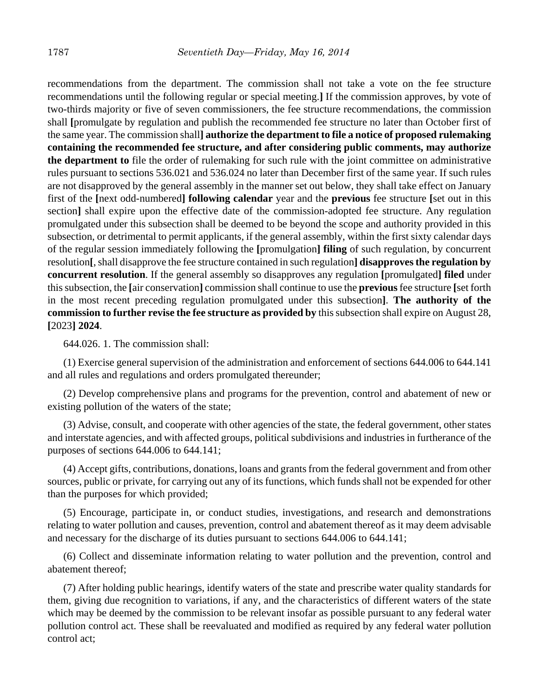recommendations from the department. The commission shall not take a vote on the fee structure recommendations until the following regular or special meeting.**]** If the commission approves, by vote of two-thirds majority or five of seven commissioners, the fee structure recommendations, the commission shall **[**promulgate by regulation and publish the recommended fee structure no later than October first of the same year. The commission shall**] authorize the department to file a notice of proposed rulemaking containing the recommended fee structure, and after considering public comments, may authorize the department to** file the order of rulemaking for such rule with the joint committee on administrative rules pursuant to sections 536.021 and 536.024 no later than December first of the same year. If such rules are not disapproved by the general assembly in the manner set out below, they shall take effect on January first of the **[**next odd-numbered**] following calendar** year and the **previous** fee structure **[**set out in this section] shall expire upon the effective date of the commission-adopted fee structure. Any regulation promulgated under this subsection shall be deemed to be beyond the scope and authority provided in this subsection, or detrimental to permit applicants, if the general assembly, within the first sixty calendar days of the regular session immediately following the **[**promulgation**] filing** of such regulation, by concurrent resolution**[**, shall disapprove the fee structure contained in such regulation**] disapproves the regulation by concurrent resolution**. If the general assembly so disapproves any regulation **[**promulgated**] filed** under this subsection, the **[**air conservation**]** commission shall continue to use the **previous** fee structure **[**set forth in the most recent preceding regulation promulgated under this subsection**]**. **The authority of the commission to further revise the fee structure as provided by** this subsection shall expire on August 28, **[**2023**] 2024**.

644.026. 1. The commission shall:

(1) Exercise general supervision of the administration and enforcement of sections 644.006 to 644.141 and all rules and regulations and orders promulgated thereunder;

(2) Develop comprehensive plans and programs for the prevention, control and abatement of new or existing pollution of the waters of the state;

(3) Advise, consult, and cooperate with other agencies of the state, the federal government, other states and interstate agencies, and with affected groups, political subdivisions and industries in furtherance of the purposes of sections 644.006 to 644.141;

(4) Accept gifts, contributions, donations, loans and grants from the federal government and from other sources, public or private, for carrying out any of its functions, which funds shall not be expended for other than the purposes for which provided;

(5) Encourage, participate in, or conduct studies, investigations, and research and demonstrations relating to water pollution and causes, prevention, control and abatement thereof as it may deem advisable and necessary for the discharge of its duties pursuant to sections 644.006 to 644.141;

(6) Collect and disseminate information relating to water pollution and the prevention, control and abatement thereof;

(7) After holding public hearings, identify waters of the state and prescribe water quality standards for them, giving due recognition to variations, if any, and the characteristics of different waters of the state which may be deemed by the commission to be relevant insofar as possible pursuant to any federal water pollution control act. These shall be reevaluated and modified as required by any federal water pollution control act;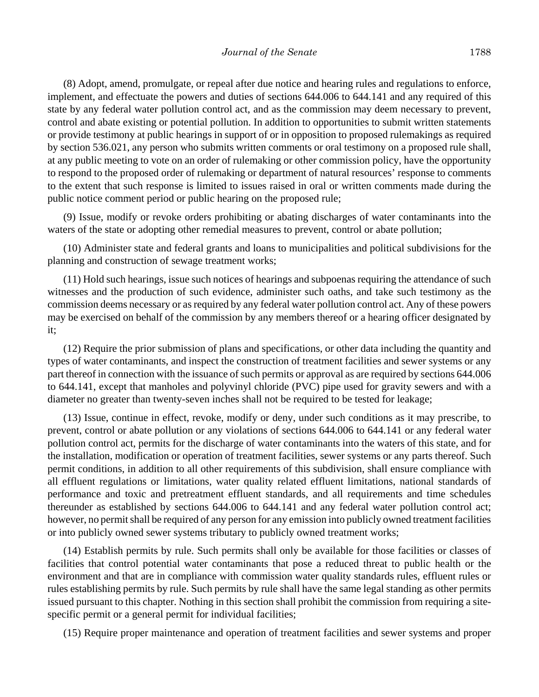(8) Adopt, amend, promulgate, or repeal after due notice and hearing rules and regulations to enforce, implement, and effectuate the powers and duties of sections 644.006 to 644.141 and any required of this state by any federal water pollution control act, and as the commission may deem necessary to prevent, control and abate existing or potential pollution. In addition to opportunities to submit written statements or provide testimony at public hearings in support of or in opposition to proposed rulemakings as required by section 536.021, any person who submits written comments or oral testimony on a proposed rule shall, at any public meeting to vote on an order of rulemaking or other commission policy, have the opportunity to respond to the proposed order of rulemaking or department of natural resources' response to comments to the extent that such response is limited to issues raised in oral or written comments made during the public notice comment period or public hearing on the proposed rule;

(9) Issue, modify or revoke orders prohibiting or abating discharges of water contaminants into the waters of the state or adopting other remedial measures to prevent, control or abate pollution;

(10) Administer state and federal grants and loans to municipalities and political subdivisions for the planning and construction of sewage treatment works;

(11) Hold such hearings, issue such notices of hearings and subpoenas requiring the attendance of such witnesses and the production of such evidence, administer such oaths, and take such testimony as the commission deems necessary or as required by any federal water pollution control act. Any of these powers may be exercised on behalf of the commission by any members thereof or a hearing officer designated by it;

(12) Require the prior submission of plans and specifications, or other data including the quantity and types of water contaminants, and inspect the construction of treatment facilities and sewer systems or any part thereof in connection with the issuance of such permits or approval as are required by sections 644.006 to 644.141, except that manholes and polyvinyl chloride (PVC) pipe used for gravity sewers and with a diameter no greater than twenty-seven inches shall not be required to be tested for leakage;

(13) Issue, continue in effect, revoke, modify or deny, under such conditions as it may prescribe, to prevent, control or abate pollution or any violations of sections 644.006 to 644.141 or any federal water pollution control act, permits for the discharge of water contaminants into the waters of this state, and for the installation, modification or operation of treatment facilities, sewer systems or any parts thereof. Such permit conditions, in addition to all other requirements of this subdivision, shall ensure compliance with all effluent regulations or limitations, water quality related effluent limitations, national standards of performance and toxic and pretreatment effluent standards, and all requirements and time schedules thereunder as established by sections 644.006 to 644.141 and any federal water pollution control act; however, no permit shall be required of any person for any emission into publicly owned treatment facilities or into publicly owned sewer systems tributary to publicly owned treatment works;

(14) Establish permits by rule. Such permits shall only be available for those facilities or classes of facilities that control potential water contaminants that pose a reduced threat to public health or the environment and that are in compliance with commission water quality standards rules, effluent rules or rules establishing permits by rule. Such permits by rule shall have the same legal standing as other permits issued pursuant to this chapter. Nothing in this section shall prohibit the commission from requiring a sitespecific permit or a general permit for individual facilities;

(15) Require proper maintenance and operation of treatment facilities and sewer systems and proper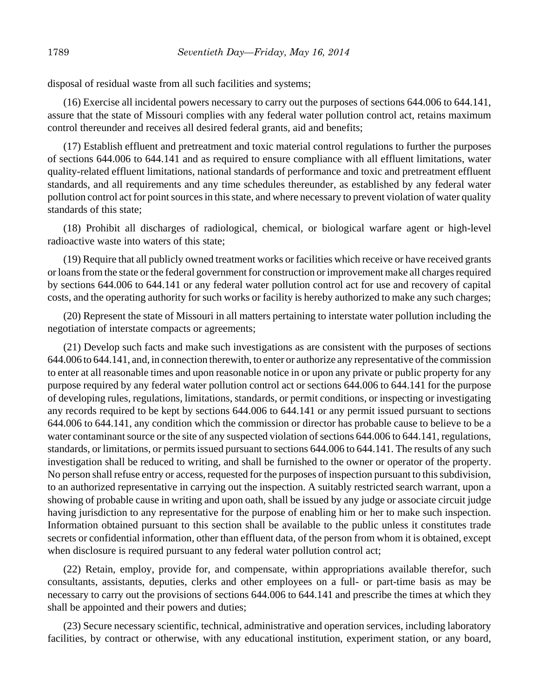disposal of residual waste from all such facilities and systems;

(16) Exercise all incidental powers necessary to carry out the purposes of sections 644.006 to 644.141, assure that the state of Missouri complies with any federal water pollution control act, retains maximum control thereunder and receives all desired federal grants, aid and benefits;

(17) Establish effluent and pretreatment and toxic material control regulations to further the purposes of sections 644.006 to 644.141 and as required to ensure compliance with all effluent limitations, water quality-related effluent limitations, national standards of performance and toxic and pretreatment effluent standards, and all requirements and any time schedules thereunder, as established by any federal water pollution control act for point sources in this state, and where necessary to prevent violation of water quality standards of this state;

(18) Prohibit all discharges of radiological, chemical, or biological warfare agent or high-level radioactive waste into waters of this state;

(19) Require that all publicly owned treatment works or facilities which receive or have received grants or loans from the state or the federal government for construction or improvement make all charges required by sections 644.006 to 644.141 or any federal water pollution control act for use and recovery of capital costs, and the operating authority for such works or facility is hereby authorized to make any such charges;

(20) Represent the state of Missouri in all matters pertaining to interstate water pollution including the negotiation of interstate compacts or agreements;

(21) Develop such facts and make such investigations as are consistent with the purposes of sections 644.006 to 644.141, and, in connection therewith, to enter or authorize any representative of the commission to enter at all reasonable times and upon reasonable notice in or upon any private or public property for any purpose required by any federal water pollution control act or sections 644.006 to 644.141 for the purpose of developing rules, regulations, limitations, standards, or permit conditions, or inspecting or investigating any records required to be kept by sections 644.006 to 644.141 or any permit issued pursuant to sections 644.006 to 644.141, any condition which the commission or director has probable cause to believe to be a water contaminant source or the site of any suspected violation of sections 644.006 to 644.141, regulations, standards, or limitations, or permits issued pursuant to sections 644.006 to 644.141. The results of any such investigation shall be reduced to writing, and shall be furnished to the owner or operator of the property. No person shall refuse entry or access, requested for the purposes of inspection pursuant to this subdivision, to an authorized representative in carrying out the inspection. A suitably restricted search warrant, upon a showing of probable cause in writing and upon oath, shall be issued by any judge or associate circuit judge having jurisdiction to any representative for the purpose of enabling him or her to make such inspection. Information obtained pursuant to this section shall be available to the public unless it constitutes trade secrets or confidential information, other than effluent data, of the person from whom it is obtained, except when disclosure is required pursuant to any federal water pollution control act;

(22) Retain, employ, provide for, and compensate, within appropriations available therefor, such consultants, assistants, deputies, clerks and other employees on a full- or part-time basis as may be necessary to carry out the provisions of sections 644.006 to 644.141 and prescribe the times at which they shall be appointed and their powers and duties;

(23) Secure necessary scientific, technical, administrative and operation services, including laboratory facilities, by contract or otherwise, with any educational institution, experiment station, or any board,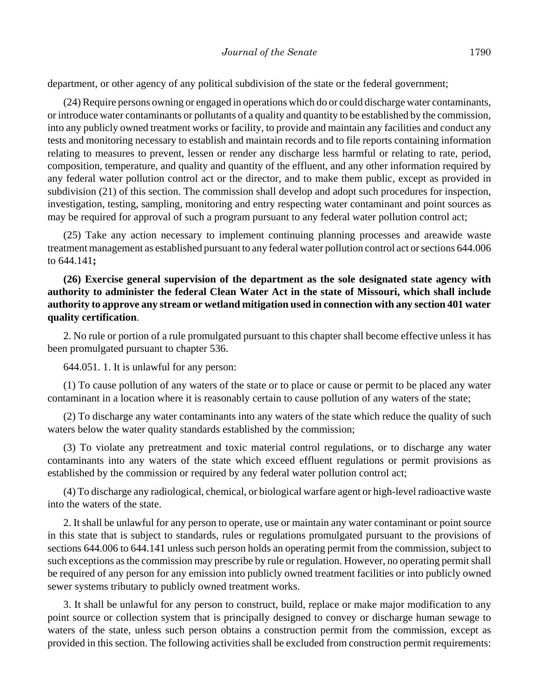department, or other agency of any political subdivision of the state or the federal government;

(24) Require persons owning or engaged in operations which do or could discharge water contaminants, or introduce water contaminants or pollutants of a quality and quantity to be established by the commission, into any publicly owned treatment works or facility, to provide and maintain any facilities and conduct any tests and monitoring necessary to establish and maintain records and to file reports containing information relating to measures to prevent, lessen or render any discharge less harmful or relating to rate, period, composition, temperature, and quality and quantity of the effluent, and any other information required by any federal water pollution control act or the director, and to make them public, except as provided in subdivision (21) of this section. The commission shall develop and adopt such procedures for inspection, investigation, testing, sampling, monitoring and entry respecting water contaminant and point sources as may be required for approval of such a program pursuant to any federal water pollution control act;

(25) Take any action necessary to implement continuing planning processes and areawide waste treatment management as established pursuant to any federal water pollution control act or sections 644.006 to 644.141**;**

# **(26) Exercise general supervision of the department as the sole designated state agency with authority to administer the federal Clean Water Act in the state of Missouri, which shall include authority to approve any stream or wetland mitigation used in connection with any section 401 water quality certification**.

2. No rule or portion of a rule promulgated pursuant to this chapter shall become effective unless it has been promulgated pursuant to chapter 536.

644.051. 1. It is unlawful for any person:

(1) To cause pollution of any waters of the state or to place or cause or permit to be placed any water contaminant in a location where it is reasonably certain to cause pollution of any waters of the state;

(2) To discharge any water contaminants into any waters of the state which reduce the quality of such waters below the water quality standards established by the commission;

(3) To violate any pretreatment and toxic material control regulations, or to discharge any water contaminants into any waters of the state which exceed effluent regulations or permit provisions as established by the commission or required by any federal water pollution control act;

(4) To discharge any radiological, chemical, or biological warfare agent or high-level radioactive waste into the waters of the state.

2. It shall be unlawful for any person to operate, use or maintain any water contaminant or point source in this state that is subject to standards, rules or regulations promulgated pursuant to the provisions of sections 644.006 to 644.141 unless such person holds an operating permit from the commission, subject to such exceptions as the commission may prescribe by rule or regulation. However, no operating permit shall be required of any person for any emission into publicly owned treatment facilities or into publicly owned sewer systems tributary to publicly owned treatment works.

3. It shall be unlawful for any person to construct, build, replace or make major modification to any point source or collection system that is principally designed to convey or discharge human sewage to waters of the state, unless such person obtains a construction permit from the commission, except as provided in this section. The following activities shall be excluded from construction permit requirements: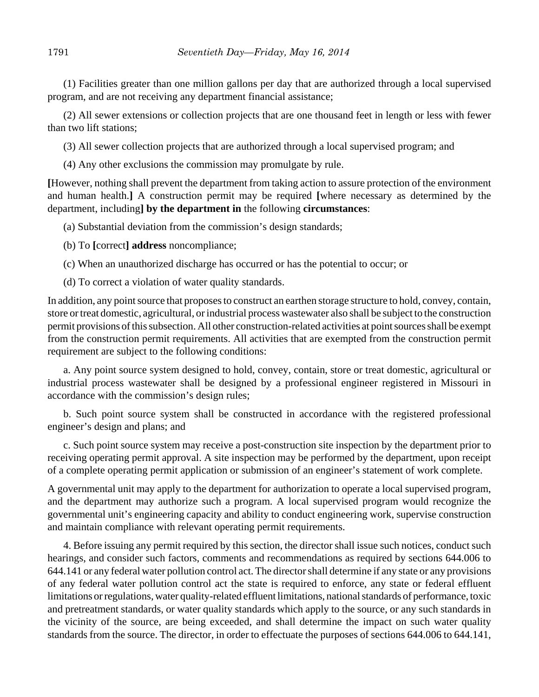(1) Facilities greater than one million gallons per day that are authorized through a local supervised program, and are not receiving any department financial assistance;

(2) All sewer extensions or collection projects that are one thousand feet in length or less with fewer than two lift stations;

(3) All sewer collection projects that are authorized through a local supervised program; and

(4) Any other exclusions the commission may promulgate by rule.

**[**However, nothing shall prevent the department from taking action to assure protection of the environment and human health.**]** A construction permit may be required **[**where necessary as determined by the department, including**] by the department in** the following **circumstances**:

(a) Substantial deviation from the commission's design standards;

(b) To **[**correct**] address** noncompliance;

(c) When an unauthorized discharge has occurred or has the potential to occur; or

(d) To correct a violation of water quality standards.

In addition, any point source that proposes to construct an earthen storage structure to hold, convey, contain, store or treat domestic, agricultural, or industrial process wastewater also shall be subject to the construction permit provisions of this subsection. All other construction-related activities at point sources shall be exempt from the construction permit requirements. All activities that are exempted from the construction permit requirement are subject to the following conditions:

a. Any point source system designed to hold, convey, contain, store or treat domestic, agricultural or industrial process wastewater shall be designed by a professional engineer registered in Missouri in accordance with the commission's design rules;

b. Such point source system shall be constructed in accordance with the registered professional engineer's design and plans; and

c. Such point source system may receive a post-construction site inspection by the department prior to receiving operating permit approval. A site inspection may be performed by the department, upon receipt of a complete operating permit application or submission of an engineer's statement of work complete.

A governmental unit may apply to the department for authorization to operate a local supervised program, and the department may authorize such a program. A local supervised program would recognize the governmental unit's engineering capacity and ability to conduct engineering work, supervise construction and maintain compliance with relevant operating permit requirements.

4. Before issuing any permit required by this section, the director shall issue such notices, conduct such hearings, and consider such factors, comments and recommendations as required by sections 644.006 to 644.141 or any federal water pollution control act. The director shall determine if any state or any provisions of any federal water pollution control act the state is required to enforce, any state or federal effluent limitations or regulations, water quality-related effluent limitations, national standards of performance, toxic and pretreatment standards, or water quality standards which apply to the source, or any such standards in the vicinity of the source, are being exceeded, and shall determine the impact on such water quality standards from the source. The director, in order to effectuate the purposes of sections 644.006 to 644.141,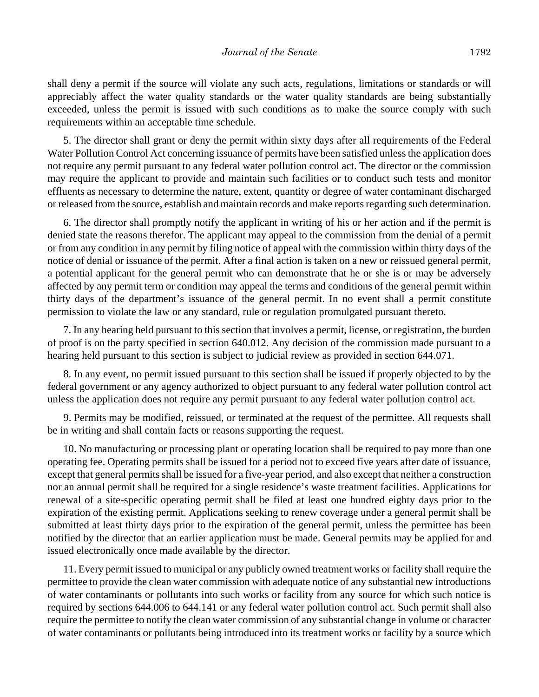shall deny a permit if the source will violate any such acts, regulations, limitations or standards or will appreciably affect the water quality standards or the water quality standards are being substantially exceeded, unless the permit is issued with such conditions as to make the source comply with such requirements within an acceptable time schedule.

5. The director shall grant or deny the permit within sixty days after all requirements of the Federal Water Pollution Control Act concerning issuance of permits have been satisfied unless the application does not require any permit pursuant to any federal water pollution control act. The director or the commission may require the applicant to provide and maintain such facilities or to conduct such tests and monitor effluents as necessary to determine the nature, extent, quantity or degree of water contaminant discharged or released from the source, establish and maintain records and make reports regarding such determination.

6. The director shall promptly notify the applicant in writing of his or her action and if the permit is denied state the reasons therefor. The applicant may appeal to the commission from the denial of a permit or from any condition in any permit by filing notice of appeal with the commission within thirty days of the notice of denial or issuance of the permit. After a final action is taken on a new or reissued general permit, a potential applicant for the general permit who can demonstrate that he or she is or may be adversely affected by any permit term or condition may appeal the terms and conditions of the general permit within thirty days of the department's issuance of the general permit. In no event shall a permit constitute permission to violate the law or any standard, rule or regulation promulgated pursuant thereto.

7. In any hearing held pursuant to this section that involves a permit, license, or registration, the burden of proof is on the party specified in section 640.012. Any decision of the commission made pursuant to a hearing held pursuant to this section is subject to judicial review as provided in section 644.071.

8. In any event, no permit issued pursuant to this section shall be issued if properly objected to by the federal government or any agency authorized to object pursuant to any federal water pollution control act unless the application does not require any permit pursuant to any federal water pollution control act.

9. Permits may be modified, reissued, or terminated at the request of the permittee. All requests shall be in writing and shall contain facts or reasons supporting the request.

10. No manufacturing or processing plant or operating location shall be required to pay more than one operating fee. Operating permits shall be issued for a period not to exceed five years after date of issuance, except that general permits shall be issued for a five-year period, and also except that neither a construction nor an annual permit shall be required for a single residence's waste treatment facilities. Applications for renewal of a site-specific operating permit shall be filed at least one hundred eighty days prior to the expiration of the existing permit. Applications seeking to renew coverage under a general permit shall be submitted at least thirty days prior to the expiration of the general permit, unless the permittee has been notified by the director that an earlier application must be made. General permits may be applied for and issued electronically once made available by the director.

11. Every permit issued to municipal or any publicly owned treatment works or facility shall require the permittee to provide the clean water commission with adequate notice of any substantial new introductions of water contaminants or pollutants into such works or facility from any source for which such notice is required by sections 644.006 to 644.141 or any federal water pollution control act. Such permit shall also require the permittee to notify the clean water commission of any substantial change in volume or character of water contaminants or pollutants being introduced into its treatment works or facility by a source which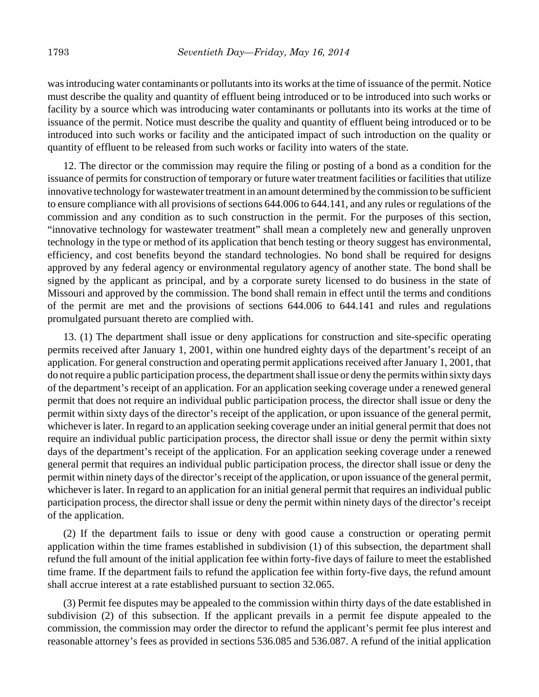was introducing water contaminants or pollutants into its works at the time of issuance of the permit. Notice must describe the quality and quantity of effluent being introduced or to be introduced into such works or facility by a source which was introducing water contaminants or pollutants into its works at the time of issuance of the permit. Notice must describe the quality and quantity of effluent being introduced or to be introduced into such works or facility and the anticipated impact of such introduction on the quality or quantity of effluent to be released from such works or facility into waters of the state.

12. The director or the commission may require the filing or posting of a bond as a condition for the issuance of permits for construction of temporary or future water treatment facilities or facilities that utilize innovative technology for wastewater treatment in an amount determined by the commission to be sufficient to ensure compliance with all provisions of sections 644.006 to 644.141, and any rules or regulations of the commission and any condition as to such construction in the permit. For the purposes of this section, "innovative technology for wastewater treatment" shall mean a completely new and generally unproven technology in the type or method of its application that bench testing or theory suggest has environmental, efficiency, and cost benefits beyond the standard technologies. No bond shall be required for designs approved by any federal agency or environmental regulatory agency of another state. The bond shall be signed by the applicant as principal, and by a corporate surety licensed to do business in the state of Missouri and approved by the commission. The bond shall remain in effect until the terms and conditions of the permit are met and the provisions of sections 644.006 to 644.141 and rules and regulations promulgated pursuant thereto are complied with.

13. (1) The department shall issue or deny applications for construction and site-specific operating permits received after January 1, 2001, within one hundred eighty days of the department's receipt of an application. For general construction and operating permit applications received after January 1, 2001, that do not require a public participation process, the department shall issue or deny the permits within sixty days of the department's receipt of an application. For an application seeking coverage under a renewed general permit that does not require an individual public participation process, the director shall issue or deny the permit within sixty days of the director's receipt of the application, or upon issuance of the general permit, whichever is later. In regard to an application seeking coverage under an initial general permit that does not require an individual public participation process, the director shall issue or deny the permit within sixty days of the department's receipt of the application. For an application seeking coverage under a renewed general permit that requires an individual public participation process, the director shall issue or deny the permit within ninety days of the director's receipt of the application, or upon issuance of the general permit, whichever is later. In regard to an application for an initial general permit that requires an individual public participation process, the director shall issue or deny the permit within ninety days of the director's receipt of the application.

(2) If the department fails to issue or deny with good cause a construction or operating permit application within the time frames established in subdivision (1) of this subsection, the department shall refund the full amount of the initial application fee within forty-five days of failure to meet the established time frame. If the department fails to refund the application fee within forty-five days, the refund amount shall accrue interest at a rate established pursuant to section 32.065.

(3) Permit fee disputes may be appealed to the commission within thirty days of the date established in subdivision (2) of this subsection. If the applicant prevails in a permit fee dispute appealed to the commission, the commission may order the director to refund the applicant's permit fee plus interest and reasonable attorney's fees as provided in sections 536.085 and 536.087. A refund of the initial application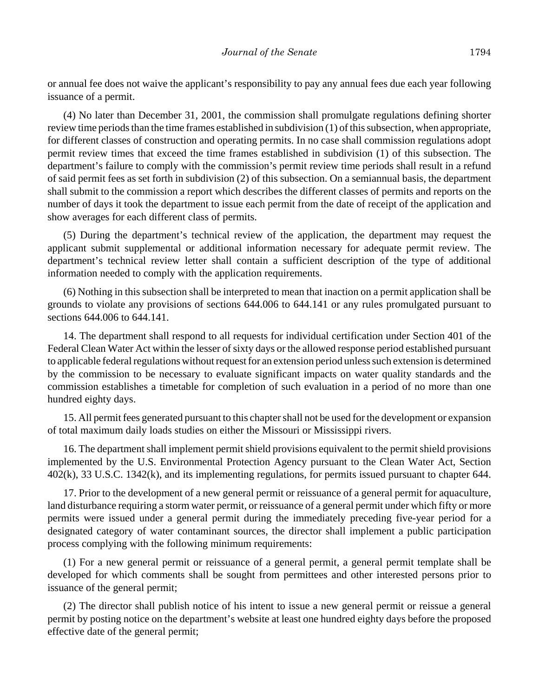or annual fee does not waive the applicant's responsibility to pay any annual fees due each year following issuance of a permit.

(4) No later than December 31, 2001, the commission shall promulgate regulations defining shorter review time periods than the time frames established in subdivision (1) of this subsection, when appropriate, for different classes of construction and operating permits. In no case shall commission regulations adopt permit review times that exceed the time frames established in subdivision (1) of this subsection. The department's failure to comply with the commission's permit review time periods shall result in a refund of said permit fees as set forth in subdivision (2) of this subsection. On a semiannual basis, the department shall submit to the commission a report which describes the different classes of permits and reports on the number of days it took the department to issue each permit from the date of receipt of the application and show averages for each different class of permits.

(5) During the department's technical review of the application, the department may request the applicant submit supplemental or additional information necessary for adequate permit review. The department's technical review letter shall contain a sufficient description of the type of additional information needed to comply with the application requirements.

(6) Nothing in this subsection shall be interpreted to mean that inaction on a permit application shall be grounds to violate any provisions of sections 644.006 to 644.141 or any rules promulgated pursuant to sections 644.006 to 644.141.

14. The department shall respond to all requests for individual certification under Section 401 of the Federal Clean Water Act within the lesser of sixty days or the allowed response period established pursuant to applicable federal regulations without request for an extension period unless such extension is determined by the commission to be necessary to evaluate significant impacts on water quality standards and the commission establishes a timetable for completion of such evaluation in a period of no more than one hundred eighty days.

15. All permit fees generated pursuant to this chapter shall not be used for the development or expansion of total maximum daily loads studies on either the Missouri or Mississippi rivers.

16. The department shall implement permit shield provisions equivalent to the permit shield provisions implemented by the U.S. Environmental Protection Agency pursuant to the Clean Water Act, Section 402(k), 33 U.S.C. 1342(k), and its implementing regulations, for permits issued pursuant to chapter 644.

17. Prior to the development of a new general permit or reissuance of a general permit for aquaculture, land disturbance requiring a storm water permit, or reissuance of a general permit under which fifty or more permits were issued under a general permit during the immediately preceding five-year period for a designated category of water contaminant sources, the director shall implement a public participation process complying with the following minimum requirements:

(1) For a new general permit or reissuance of a general permit, a general permit template shall be developed for which comments shall be sought from permittees and other interested persons prior to issuance of the general permit;

(2) The director shall publish notice of his intent to issue a new general permit or reissue a general permit by posting notice on the department's website at least one hundred eighty days before the proposed effective date of the general permit;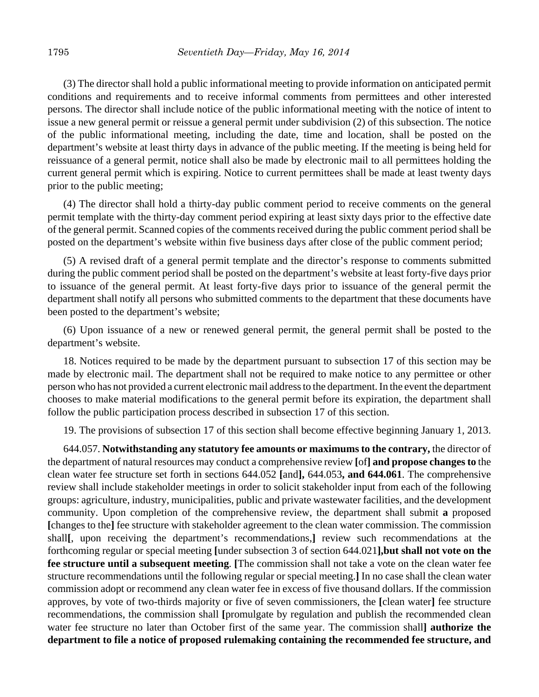(3) The director shall hold a public informational meeting to provide information on anticipated permit conditions and requirements and to receive informal comments from permittees and other interested persons. The director shall include notice of the public informational meeting with the notice of intent to issue a new general permit or reissue a general permit under subdivision (2) of this subsection. The notice of the public informational meeting, including the date, time and location, shall be posted on the department's website at least thirty days in advance of the public meeting. If the meeting is being held for reissuance of a general permit, notice shall also be made by electronic mail to all permittees holding the current general permit which is expiring. Notice to current permittees shall be made at least twenty days prior to the public meeting;

(4) The director shall hold a thirty-day public comment period to receive comments on the general permit template with the thirty-day comment period expiring at least sixty days prior to the effective date of the general permit. Scanned copies of the comments received during the public comment period shall be posted on the department's website within five business days after close of the public comment period;

(5) A revised draft of a general permit template and the director's response to comments submitted during the public comment period shall be posted on the department's website at least forty-five days prior to issuance of the general permit. At least forty-five days prior to issuance of the general permit the department shall notify all persons who submitted comments to the department that these documents have been posted to the department's website;

(6) Upon issuance of a new or renewed general permit, the general permit shall be posted to the department's website.

18. Notices required to be made by the department pursuant to subsection 17 of this section may be made by electronic mail. The department shall not be required to make notice to any permittee or other person who has not provided a current electronic mail address to the department. In the event the department chooses to make material modifications to the general permit before its expiration, the department shall follow the public participation process described in subsection 17 of this section.

19. The provisions of subsection 17 of this section shall become effective beginning January 1, 2013.

644.057. **Notwithstanding any statutory fee amounts or maximums to the contrary,** the director of the department of natural resources may conduct a comprehensive review **[**of**] and propose changes to** the clean water fee structure set forth in sections 644.052 **[**and**],** 644.053**, and 644.061**. The comprehensive review shall include stakeholder meetings in order to solicit stakeholder input from each of the following groups: agriculture, industry, municipalities, public and private wastewater facilities, and the development community. Upon completion of the comprehensive review, the department shall submit **a** proposed **[**changes to the**]** fee structure with stakeholder agreement to the clean water commission. The commission shall**[**, upon receiving the department's recommendations,**]** review such recommendations at the forthcoming regular or special meeting **[**under subsection 3 of section 644.021**],but shall not vote on the fee structure until a subsequent meeting**. **[**The commission shall not take a vote on the clean water fee structure recommendations until the following regular or special meeting.**]** In no case shall the clean water commission adopt or recommend any clean water fee in excess of five thousand dollars. If the commission approves, by vote of two-thirds majority or five of seven commissioners, the **[**clean water**]** fee structure recommendations, the commission shall **[**promulgate by regulation and publish the recommended clean water fee structure no later than October first of the same year. The commission shall**] authorize the department to file a notice of proposed rulemaking containing the recommended fee structure, and**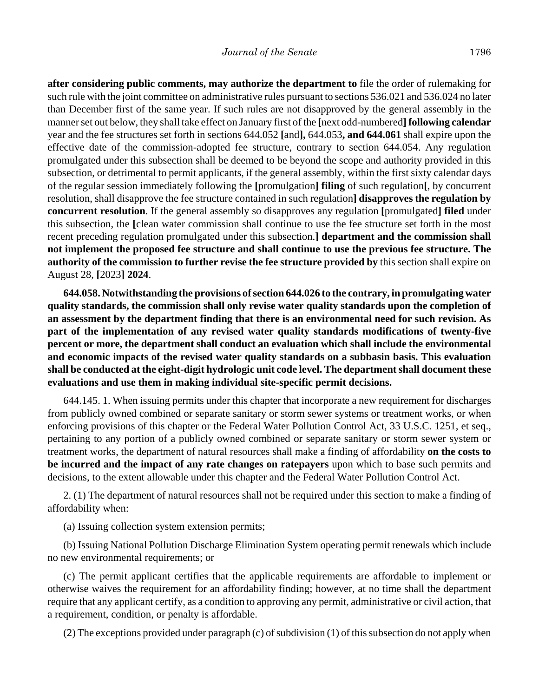**after considering public comments, may authorize the department to** file the order of rulemaking for such rule with the joint committee on administrative rules pursuant to sections 536.021 and 536.024 no later than December first of the same year. If such rules are not disapproved by the general assembly in the manner set out below, they shall take effect on January first of the **[**next odd-numbered**] following calendar** year and the fee structures set forth in sections 644.052 **[**and**],** 644.053**, and 644.061** shall expire upon the effective date of the commission-adopted fee structure, contrary to section 644.054. Any regulation promulgated under this subsection shall be deemed to be beyond the scope and authority provided in this subsection, or detrimental to permit applicants, if the general assembly, within the first sixty calendar days of the regular session immediately following the **[**promulgation**] filing** of such regulation**[**, by concurrent resolution, shall disapprove the fee structure contained in such regulation**] disapproves the regulation by concurrent resolution**. If the general assembly so disapproves any regulation **[**promulgated**] filed** under this subsection, the **[**clean water commission shall continue to use the fee structure set forth in the most recent preceding regulation promulgated under this subsection.**] department and the commission shall not implement the proposed fee structure and shall continue to use the previous fee structure. The authority of the commission to further revise the fee structure provided by** this section shall expire on August 28, **[**2023**] 2024**.

**644.058. Notwithstanding the provisions of section 644.026 to the contrary, in promulgating water quality standards, the commission shall only revise water quality standards upon the completion of an assessment by the department finding that there is an environmental need for such revision. As part of the implementation of any revised water quality standards modifications of twenty-five percent or more, the department shall conduct an evaluation which shall include the environmental and economic impacts of the revised water quality standards on a subbasin basis. This evaluation shall be conducted at the eight-digit hydrologic unit code level. The department shall document these evaluations and use them in making individual site-specific permit decisions.**

644.145. 1. When issuing permits under this chapter that incorporate a new requirement for discharges from publicly owned combined or separate sanitary or storm sewer systems or treatment works, or when enforcing provisions of this chapter or the Federal Water Pollution Control Act, 33 U.S.C. 1251, et seq., pertaining to any portion of a publicly owned combined or separate sanitary or storm sewer system or treatment works, the department of natural resources shall make a finding of affordability **on the costs to be incurred and the impact of any rate changes on ratepayers** upon which to base such permits and decisions, to the extent allowable under this chapter and the Federal Water Pollution Control Act.

2. (1) The department of natural resources shall not be required under this section to make a finding of affordability when:

(a) Issuing collection system extension permits;

(b) Issuing National Pollution Discharge Elimination System operating permit renewals which include no new environmental requirements; or

(c) The permit applicant certifies that the applicable requirements are affordable to implement or otherwise waives the requirement for an affordability finding; however, at no time shall the department require that any applicant certify, as a condition to approving any permit, administrative or civil action, that a requirement, condition, or penalty is affordable.

(2) The exceptions provided under paragraph (c) of subdivision (1) of this subsection do not apply when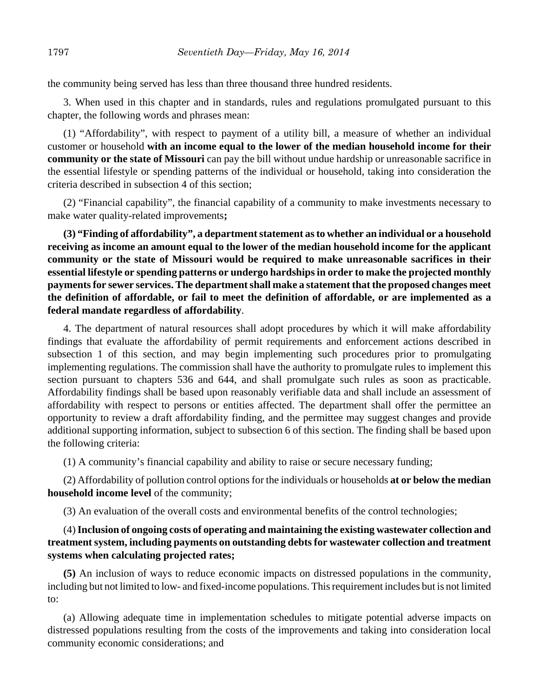the community being served has less than three thousand three hundred residents.

3. When used in this chapter and in standards, rules and regulations promulgated pursuant to this chapter, the following words and phrases mean:

(1) "Affordability", with respect to payment of a utility bill, a measure of whether an individual customer or household **with an income equal to the lower of the median household income for their community or the state of Missouri** can pay the bill without undue hardship or unreasonable sacrifice in the essential lifestyle or spending patterns of the individual or household, taking into consideration the criteria described in subsection 4 of this section;

(2) "Financial capability", the financial capability of a community to make investments necessary to make water quality-related improvements**;**

**(3) "Finding of affordability", a department statement as to whether an individual or a household receiving as income an amount equal to the lower of the median household income for the applicant community or the state of Missouri would be required to make unreasonable sacrifices in their essential lifestyle or spending patterns or undergo hardships in order to make the projected monthly payments for sewer services. The department shall make a statement that the proposed changes meet the definition of affordable, or fail to meet the definition of affordable, or are implemented as a federal mandate regardless of affordability**.

4. The department of natural resources shall adopt procedures by which it will make affordability findings that evaluate the affordability of permit requirements and enforcement actions described in subsection 1 of this section, and may begin implementing such procedures prior to promulgating implementing regulations. The commission shall have the authority to promulgate rules to implement this section pursuant to chapters 536 and 644, and shall promulgate such rules as soon as practicable. Affordability findings shall be based upon reasonably verifiable data and shall include an assessment of affordability with respect to persons or entities affected. The department shall offer the permittee an opportunity to review a draft affordability finding, and the permittee may suggest changes and provide additional supporting information, subject to subsection 6 of this section. The finding shall be based upon the following criteria:

(1) A community's financial capability and ability to raise or secure necessary funding;

(2) Affordability of pollution control options for the individuals or households **at or below the median household income level** of the community;

(3) An evaluation of the overall costs and environmental benefits of the control technologies;

# (4) **Inclusion of ongoing costs of operating and maintaining the existing wastewater collection and treatment system, including payments on outstanding debts for wastewater collection and treatment systems when calculating projected rates;**

**(5)** An inclusion of ways to reduce economic impacts on distressed populations in the community, including but not limited to low- and fixed-income populations. This requirement includes but is not limited to:

(a) Allowing adequate time in implementation schedules to mitigate potential adverse impacts on distressed populations resulting from the costs of the improvements and taking into consideration local community economic considerations; and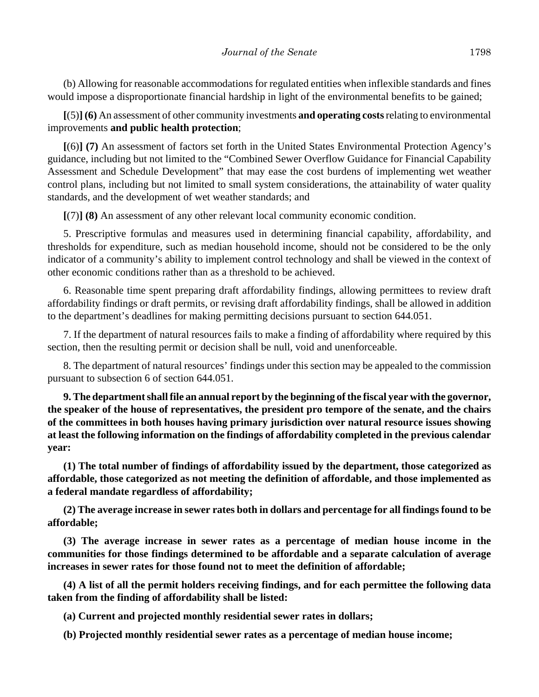(b) Allowing for reasonable accommodations for regulated entities when inflexible standards and fines would impose a disproportionate financial hardship in light of the environmental benefits to be gained;

**[**(5)**] (6)** An assessment of other community investments **and operating costs** relating to environmental improvements **and public health protection**;

**[**(6)**] (7)** An assessment of factors set forth in the United States Environmental Protection Agency's guidance, including but not limited to the "Combined Sewer Overflow Guidance for Financial Capability Assessment and Schedule Development" that may ease the cost burdens of implementing wet weather control plans, including but not limited to small system considerations, the attainability of water quality standards, and the development of wet weather standards; and

**[**(7)**] (8)** An assessment of any other relevant local community economic condition.

5. Prescriptive formulas and measures used in determining financial capability, affordability, and thresholds for expenditure, such as median household income, should not be considered to be the only indicator of a community's ability to implement control technology and shall be viewed in the context of other economic conditions rather than as a threshold to be achieved.

6. Reasonable time spent preparing draft affordability findings, allowing permittees to review draft affordability findings or draft permits, or revising draft affordability findings, shall be allowed in addition to the department's deadlines for making permitting decisions pursuant to section 644.051.

7. If the department of natural resources fails to make a finding of affordability where required by this section, then the resulting permit or decision shall be null, void and unenforceable.

8. The department of natural resources' findings under this section may be appealed to the commission pursuant to subsection 6 of section 644.051.

**9. The department shall file an annual report by the beginning of the fiscal year with the governor, the speaker of the house of representatives, the president pro tempore of the senate, and the chairs of the committees in both houses having primary jurisdiction over natural resource issues showing at least the following information on the findings of affordability completed in the previous calendar year:**

**(1) The total number of findings of affordability issued by the department, those categorized as affordable, those categorized as not meeting the definition of affordable, and those implemented as a federal mandate regardless of affordability;**

**(2) The average increase in sewer rates both in dollars and percentage for all findings found to be affordable;**

**(3) The average increase in sewer rates as a percentage of median house income in the communities for those findings determined to be affordable and a separate calculation of average increases in sewer rates for those found not to meet the definition of affordable;**

**(4) A list of all the permit holders receiving findings, and for each permittee the following data taken from the finding of affordability shall be listed:**

**(a) Current and projected monthly residential sewer rates in dollars;**

**(b) Projected monthly residential sewer rates as a percentage of median house income;**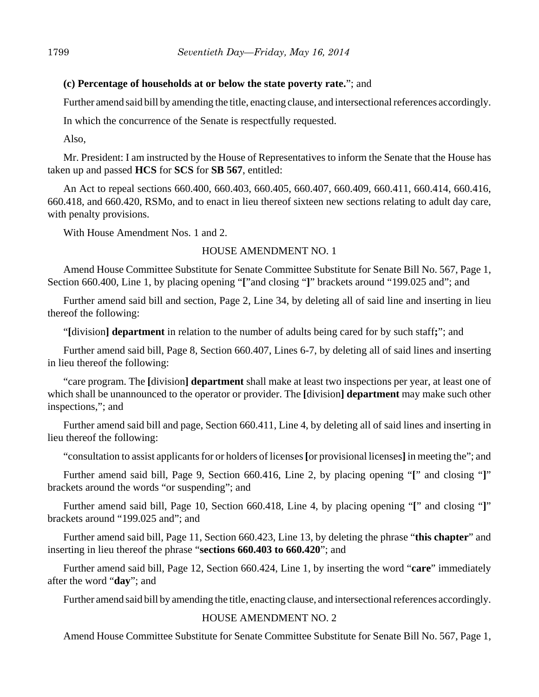### **(c) Percentage of households at or below the state poverty rate.**"; and

Further amend said bill by amending the title, enacting clause, and intersectional references accordingly.

In which the concurrence of the Senate is respectfully requested.

Also,

Mr. President: I am instructed by the House of Representatives to inform the Senate that the House has taken up and passed **HCS** for **SCS** for **SB 567**, entitled:

An Act to repeal sections 660.400, 660.403, 660.405, 660.407, 660.409, 660.411, 660.414, 660.416, 660.418, and 660.420, RSMo, and to enact in lieu thereof sixteen new sections relating to adult day care, with penalty provisions.

With House Amendment Nos. 1 and 2.

## HOUSE AMENDMENT NO. 1

Amend House Committee Substitute for Senate Committee Substitute for Senate Bill No. 567, Page 1, Section 660.400, Line 1, by placing opening "**[**"and closing "**]**" brackets around "199.025 and"; and

Further amend said bill and section, Page 2, Line 34, by deleting all of said line and inserting in lieu thereof the following:

"**[**division**] department** in relation to the number of adults being cared for by such staff**;**"; and

Further amend said bill, Page 8, Section 660.407, Lines 6-7, by deleting all of said lines and inserting in lieu thereof the following:

"care program. The **[**division**] department** shall make at least two inspections per year, at least one of which shall be unannounced to the operator or provider. The **[**division**] department** may make such other inspections,"; and

Further amend said bill and page, Section 660.411, Line 4, by deleting all of said lines and inserting in lieu thereof the following:

"consultation to assist applicants for or holders of licenses **[**or provisional licenses**]** in meeting the"; and

Further amend said bill, Page 9, Section 660.416, Line 2, by placing opening "**[**" and closing "**]**" brackets around the words "or suspending"; and

Further amend said bill, Page 10, Section 660.418, Line 4, by placing opening "**[**" and closing "**]**" brackets around "199.025 and"; and

Further amend said bill, Page 11, Section 660.423, Line 13, by deleting the phrase "**this chapter**" and inserting in lieu thereof the phrase "**sections 660.403 to 660.420**"; and

Further amend said bill, Page 12, Section 660.424, Line 1, by inserting the word "**care**" immediately after the word "**day**"; and

Further amend said bill by amending the title, enacting clause, and intersectional references accordingly.

# HOUSE AMENDMENT NO. 2

Amend House Committee Substitute for Senate Committee Substitute for Senate Bill No. 567, Page 1,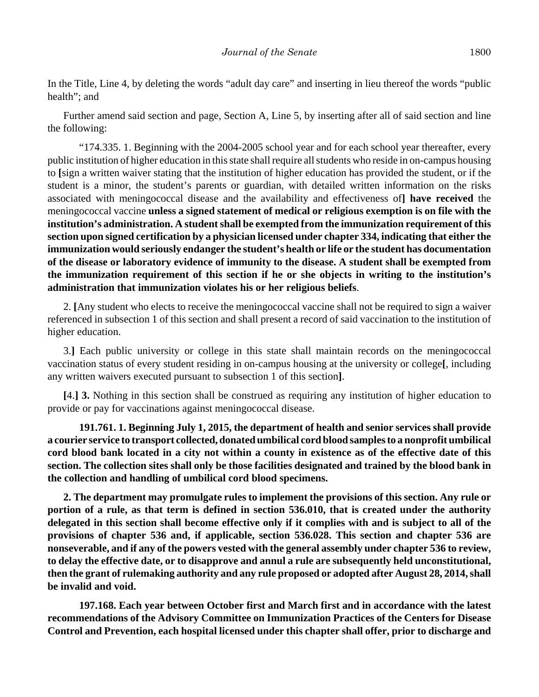In the Title, Line 4, by deleting the words "adult day care" and inserting in lieu thereof the words "public health"; and

Further amend said section and page, Section A, Line 5, by inserting after all of said section and line the following:

"174.335. 1. Beginning with the 2004-2005 school year and for each school year thereafter, every public institution of higher education in this state shall require all students who reside in on-campus housing to **[**sign a written waiver stating that the institution of higher education has provided the student, or if the student is a minor, the student's parents or guardian, with detailed written information on the risks associated with meningococcal disease and the availability and effectiveness of**] have received** the meningococcal vaccine **unless a signed statement of medical or religious exemption is on file with the institution's administration. A student shall be exempted from the immunization requirement of this section upon signed certification by a physician licensed under chapter 334, indicating that either the immunization would seriously endanger the student's health or life or the student has documentation of the disease or laboratory evidence of immunity to the disease. A student shall be exempted from the immunization requirement of this section if he or she objects in writing to the institution's administration that immunization violates his or her religious beliefs**.

2. **[**Any student who elects to receive the meningococcal vaccine shall not be required to sign a waiver referenced in subsection 1 of this section and shall present a record of said vaccination to the institution of higher education.

3.**]** Each public university or college in this state shall maintain records on the meningococcal vaccination status of every student residing in on-campus housing at the university or college**[**, including any written waivers executed pursuant to subsection 1 of this section**]**.

**[**4.**] 3.** Nothing in this section shall be construed as requiring any institution of higher education to provide or pay for vaccinations against meningococcal disease.

**191.761. 1. Beginning July 1, 2015, the department of health and senior services shall provide a courier service to transport collected, donated umbilical cord blood samples to a nonprofit umbilical cord blood bank located in a city not within a county in existence as of the effective date of this section. The collection sites shall only be those facilities designated and trained by the blood bank in the collection and handling of umbilical cord blood specimens.**

**2. The department may promulgate rules to implement the provisions of this section. Any rule or portion of a rule, as that term is defined in section 536.010, that is created under the authority delegated in this section shall become effective only if it complies with and is subject to all of the provisions of chapter 536 and, if applicable, section 536.028. This section and chapter 536 are nonseverable, and if any of the powers vested with the general assembly under chapter 536 to review, to delay the effective date, or to disapprove and annul a rule are subsequently held unconstitutional, then the grant of rulemaking authority and any rule proposed or adopted after August 28, 2014, shall be invalid and void.**

**197.168. Each year between October first and March first and in accordance with the latest recommendations of the Advisory Committee on Immunization Practices of the Centers for Disease Control and Prevention, each hospital licensed under this chapter shall offer, prior to discharge and**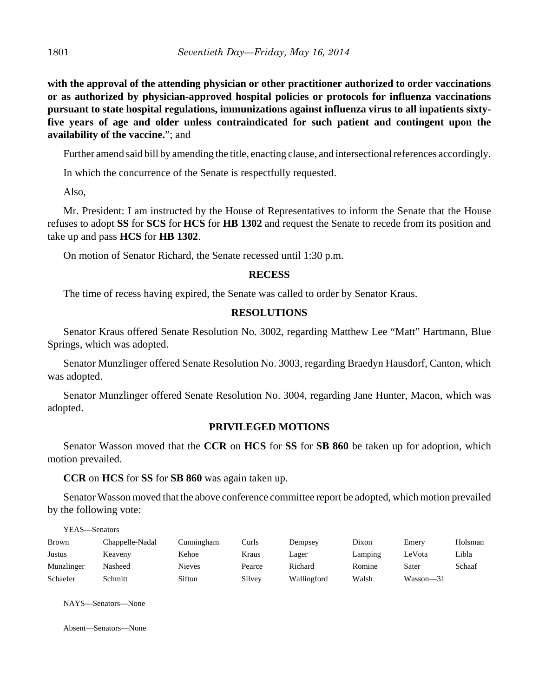**with the approval of the attending physician or other practitioner authorized to order vaccinations or as authorized by physician-approved hospital policies or protocols for influenza vaccinations pursuant to state hospital regulations, immunizations against influenza virus to all inpatients sixtyfive years of age and older unless contraindicated for such patient and contingent upon the availability of the vaccine.**"; and

Further amend said bill by amending the title, enacting clause, and intersectional references accordingly.

In which the concurrence of the Senate is respectfully requested.

Also,

Mr. President: I am instructed by the House of Representatives to inform the Senate that the House refuses to adopt **SS** for **SCS** for **HCS** for **HB 1302** and request the Senate to recede from its position and take up and pass **HCS** for **HB 1302**.

On motion of Senator Richard, the Senate recessed until 1:30 p.m.

#### **RECESS**

The time of recess having expired, the Senate was called to order by Senator Kraus.

### **RESOLUTIONS**

Senator Kraus offered Senate Resolution No. 3002, regarding Matthew Lee "Matt" Hartmann, Blue Springs, which was adopted.

Senator Munzlinger offered Senate Resolution No. 3003, regarding Braedyn Hausdorf, Canton, which was adopted.

Senator Munzlinger offered Senate Resolution No. 3004, regarding Jane Hunter, Macon, which was adopted.

#### **PRIVILEGED MOTIONS**

Senator Wasson moved that the **CCR** on **HCS** for **SS** for **SB 860** be taken up for adoption, which motion prevailed.

**CCR** on **HCS** for **SS** for **SB 860** was again taken up.

Senator Wasson moved that the above conference committee report be adopted, which motion prevailed by the following vote:

YEAS—Senators

| <b>Brown</b> | Chappelle-Nadal | Cunningham    | Curls  | Dempsey     | Dixon   | Emery     | Holsman |
|--------------|-----------------|---------------|--------|-------------|---------|-----------|---------|
| Justus       | Keaveny         | Kehoe         | Kraus  | Lager       | Lamping | LeVota    | Libla   |
| Munzlinger   | Nasheed         | <b>Nieves</b> | Pearce | Richard     | Romine  | Sater     | Schaaf  |
| Schaefer     | Schmitt         | Sifton        | Silvey | Wallingford | Walsh   | Wasson-31 |         |

NAYS—Senators—None

Absent—Senators—None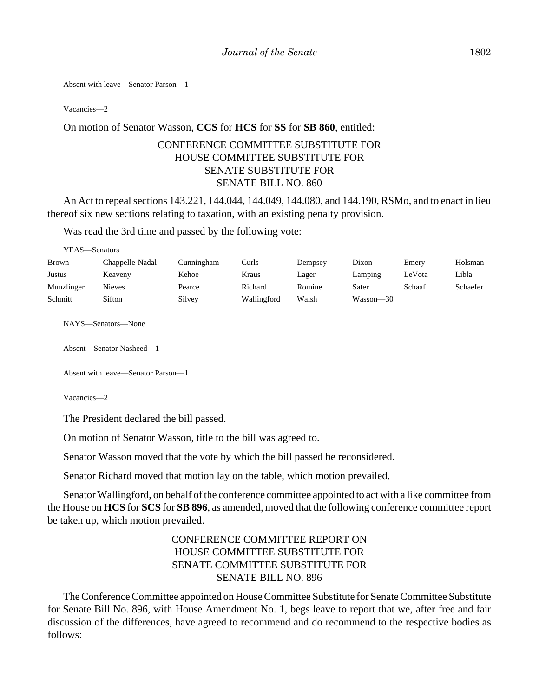Absent with leave—Senator Parson—1

Vacancies—2

#### On motion of Senator Wasson, **CCS** for **HCS** for **SS** for **SB 860**, entitled:

# CONFERENCE COMMITTEE SUBSTITUTE FOR HOUSE COMMITTEE SUBSTITUTE FOR SENATE SUBSTITUTE FOR SENATE BILL NO. 860

An Act to repeal sections 143.221, 144.044, 144.049, 144.080, and 144.190, RSMo, and to enact in lieu thereof six new sections relating to taxation, with an existing penalty provision.

Was read the 3rd time and passed by the following vote:

| YEAS—Senators |                 |            |             |         |           |        |          |
|---------------|-----------------|------------|-------------|---------|-----------|--------|----------|
| Brown         | Chappelle-Nadal | Cunningham | Curls       | Dempsey | Dixon     | Emery  | Holsman  |
| Justus        | Keaveny         | Kehoe      | Kraus       | Lager   | Lamping   | LeVota | Libla    |
| Munzlinger    | <b>Nieves</b>   | Pearce     | Richard     | Romine  | Sater     | Schaaf | Schaefer |
| Schmitt       | Sifton          | Silvey     | Wallingford | Walsh   | Wasson—30 |        |          |
|               |                 |            |             |         |           |        |          |

NAYS—Senators—None

Absent—Senator Nasheed—1

```
Absent with leave—Senator Parson—1
```
Vacancies—2

The President declared the bill passed.

On motion of Senator Wasson, title to the bill was agreed to.

Senator Wasson moved that the vote by which the bill passed be reconsidered.

Senator Richard moved that motion lay on the table, which motion prevailed.

Senator Wallingford, on behalf of the conference committee appointed to act with a like committee from the House on **HCS** for **SCS** for **SB 896**, as amended, moved that the following conference committee report be taken up, which motion prevailed.

# CONFERENCE COMMITTEE REPORT ON HOUSE COMMITTEE SUBSTITUTE FOR SENATE COMMITTEE SUBSTITUTE FOR SENATE BILL NO. 896

The Conference Committee appointed on House Committee Substitute for Senate Committee Substitute for Senate Bill No. 896, with House Amendment No. 1, begs leave to report that we, after free and fair discussion of the differences, have agreed to recommend and do recommend to the respective bodies as follows: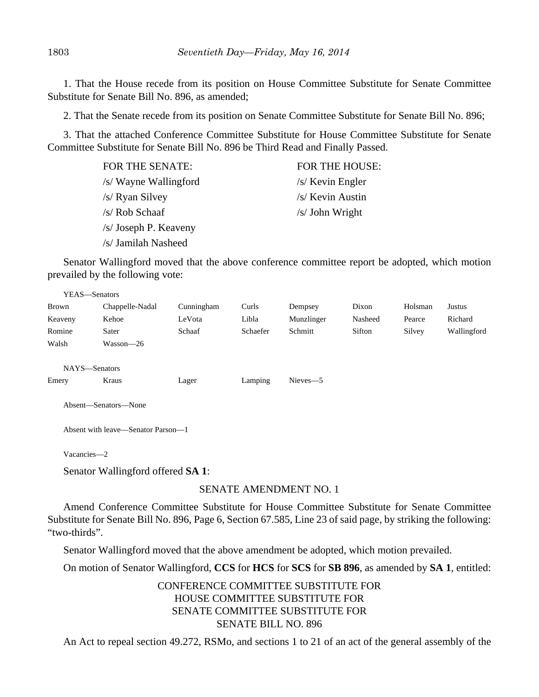1. That the House recede from its position on House Committee Substitute for Senate Committee Substitute for Senate Bill No. 896, as amended;

2. That the Senate recede from its position on Senate Committee Substitute for Senate Bill No. 896;

3. That the attached Conference Committee Substitute for House Committee Substitute for Senate Committee Substitute for Senate Bill No. 896 be Third Read and Finally Passed.

| <b>FOR THE SENATE:</b> | FOR THE HOUSE:    |
|------------------------|-------------------|
| /s/ Wayne Wallingford  | $/s$ Kevin Engler |
| /s/ Ryan Silvey        | /s/ Kevin Austin  |
| /s/ Rob Schaaf         | $/s$ John Wright  |
| /s/ Joseph P. Keaveny  |                   |
| /s/ Jamilah Nasheed    |                   |

Senator Wallingford moved that the above conference committee report be adopted, which motion prevailed by the following vote:

| YEAS-Senators |                                    |            |          |            |         |         |             |  |
|---------------|------------------------------------|------------|----------|------------|---------|---------|-------------|--|
| Brown         | Chappelle-Nadal                    | Cunningham | Curls    | Dempsey    | Dixon   | Holsman | Justus      |  |
| Keaveny       | Kehoe                              | LeVota     | Libla    | Munzlinger | Nasheed | Pearce  | Richard     |  |
| Romine        | Sater                              | Schaaf     | Schaefer | Schmitt    | Sifton  | Silvey  | Wallingford |  |
| Walsh         | Wasson—26                          |            |          |            |         |         |             |  |
|               |                                    |            |          |            |         |         |             |  |
| NAYS-Senators |                                    |            |          |            |         |         |             |  |
| Emery         | Kraus                              | Lager      | Lamping  | Nieves-5   |         |         |             |  |
|               |                                    |            |          |            |         |         |             |  |
|               | Absent-Senators-None               |            |          |            |         |         |             |  |
|               |                                    |            |          |            |         |         |             |  |
|               | Absent with leave—Senator Parson—1 |            |          |            |         |         |             |  |
|               |                                    |            |          |            |         |         |             |  |
| Vacancies-2   |                                    |            |          |            |         |         |             |  |
|               |                                    |            |          |            |         |         |             |  |

Senator Wallingford offered **SA 1**:

# SENATE AMENDMENT NO. 1

Amend Conference Committee Substitute for House Committee Substitute for Senate Committee Substitute for Senate Bill No. 896, Page 6, Section 67.585, Line 23 of said page, by striking the following: "two-thirds".

Senator Wallingford moved that the above amendment be adopted, which motion prevailed.

On motion of Senator Wallingford, **CCS** for **HCS** for **SCS** for **SB 896**, as amended by **SA 1**, entitled:

CONFERENCE COMMITTEE SUBSTITUTE FOR HOUSE COMMITTEE SUBSTITUTE FOR SENATE COMMITTEE SUBSTITUTE FOR SENATE BILL NO. 896

An Act to repeal section 49.272, RSMo, and sections 1 to 21 of an act of the general assembly of the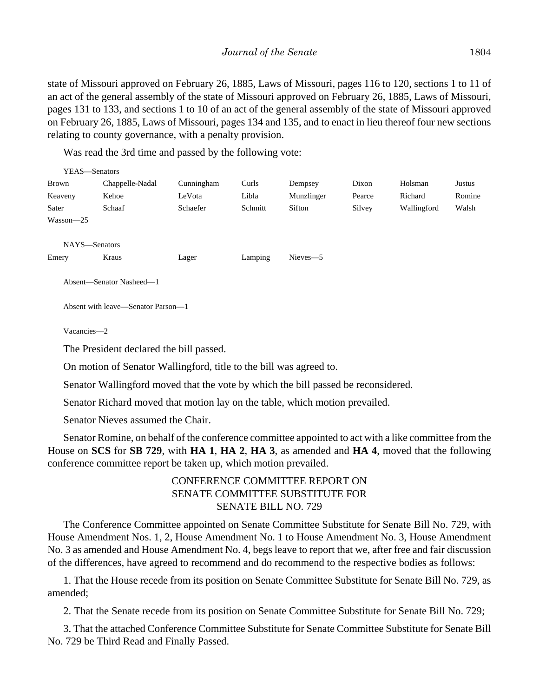state of Missouri approved on February 26, 1885, Laws of Missouri, pages 116 to 120, sections 1 to 11 of an act of the general assembly of the state of Missouri approved on February 26, 1885, Laws of Missouri, pages 131 to 133, and sections 1 to 10 of an act of the general assembly of the state of Missouri approved on February 26, 1885, Laws of Missouri, pages 134 and 135, and to enact in lieu thereof four new sections relating to county governance, with a penalty provision.

Was read the 3rd time and passed by the following vote:

|              | YEAS-Senators                                                                                                                                                                                          |            |         |            |        |             |               |
|--------------|--------------------------------------------------------------------------------------------------------------------------------------------------------------------------------------------------------|------------|---------|------------|--------|-------------|---------------|
| <b>Brown</b> | Chappelle-Nadal                                                                                                                                                                                        | Cunningham | Curls   | Dempsey    | Dixon  | Holsman     | <b>Justus</b> |
| Keaveny      | Kehoe                                                                                                                                                                                                  | LeVota     | Libla   | Munzlinger | Pearce | Richard     | Romine        |
| Sater        | Schaaf                                                                                                                                                                                                 | Schaefer   | Schmitt | Sifton     | Silvey | Wallingford | Walsh         |
| Wasson-25    |                                                                                                                                                                                                        |            |         |            |        |             |               |
|              | NAYS-Senators                                                                                                                                                                                          |            |         |            |        |             |               |
| Emery        | Kraus                                                                                                                                                                                                  | Lager      | Lamping | Nieves-5   |        |             |               |
|              | Absent-Senator Nasheed-1                                                                                                                                                                               |            |         |            |        |             |               |
|              | Absent with leave—Senator Parson—1                                                                                                                                                                     |            |         |            |        |             |               |
| Vacancies-2  |                                                                                                                                                                                                        |            |         |            |        |             |               |
|              | The President declared the bill passed.                                                                                                                                                                |            |         |            |        |             |               |
|              | On motion of Senator Wallingford, title to the bill was agreed to.                                                                                                                                     |            |         |            |        |             |               |
|              | Senator Wallingford moved that the vote by which the bill passed be reconsidered.                                                                                                                      |            |         |            |        |             |               |
|              | Senator Richard moved that motion lay on the table, which motion prevailed.                                                                                                                            |            |         |            |        |             |               |
|              | Senator Nieves assumed the Chair.                                                                                                                                                                      |            |         |            |        |             |               |
|              | Senator Romine, on behalf of the conference committee appointed to act with a like committee from the<br>House on SCS for SB 729, with HA 1, HA 2, HA 3, as amended and HA 4, moved that the following |            |         |            |        |             |               |

House on **SCS** for **SB 729**, with **HA 1**, **HA 2**, **HA 3**, as amended and **HA 4**, moved that the following conference committee report be taken up, which motion prevailed.

# CONFERENCE COMMITTEE REPORT ON SENATE COMMITTEE SUBSTITUTE FOR SENATE BILL NO. 729

The Conference Committee appointed on Senate Committee Substitute for Senate Bill No. 729, with House Amendment Nos. 1, 2, House Amendment No. 1 to House Amendment No. 3, House Amendment No. 3 as amended and House Amendment No. 4, begs leave to report that we, after free and fair discussion of the differences, have agreed to recommend and do recommend to the respective bodies as follows:

1. That the House recede from its position on Senate Committee Substitute for Senate Bill No. 729, as amended;

2. That the Senate recede from its position on Senate Committee Substitute for Senate Bill No. 729;

3. That the attached Conference Committee Substitute for Senate Committee Substitute for Senate Bill No. 729 be Third Read and Finally Passed.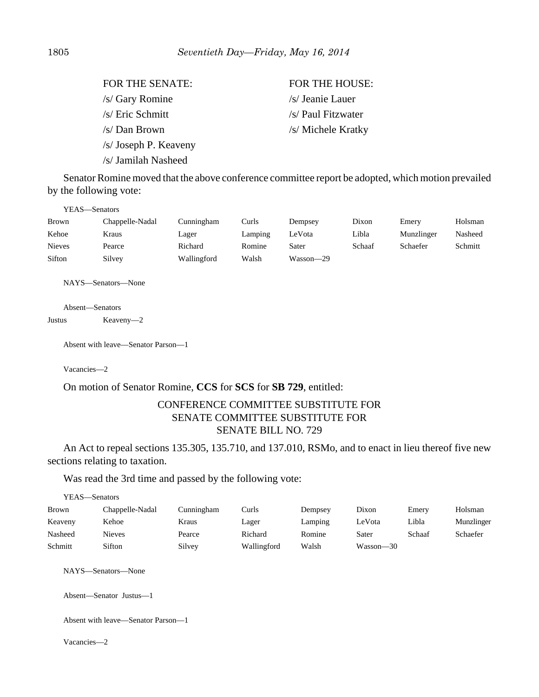| FOR THE SENATE:       | <b>FOR THE HOUSE:</b> |
|-----------------------|-----------------------|
| /s/ Gary Romine       | /s/ Jeanie Lauer      |
| /s/ Eric Schmitt      | /s/ Paul Fitzwater    |
| /s/ Dan Brown         | /s/ Michele Kratky    |
| /s/ Joseph P. Keaveny |                       |
| /s/ Jamilah Nasheed   |                       |

Senator Romine moved that the above conference committee report be adopted, which motion prevailed by the following vote:

| YEAS—Senators |                 |             |         |           |        |            |         |
|---------------|-----------------|-------------|---------|-----------|--------|------------|---------|
| Brown         | Chappelle-Nadal | Cunningham  | Curls   | Dempsey   | Dixon  | Emery      | Holsman |
| Kehoe         | Kraus           | Lager       | Lamping | LeVota    | Libla  | Munzlinger | Nasheed |
| <b>Nieves</b> | Pearce          | Richard     | Romine  | Sater     | Schaaf | Schaefer   | Schmitt |
| Sifton        | Silvey          | Wallingford | Walsh   | Wasson-29 |        |            |         |

NAYS—Senators—None

Absent—Senators Justus Keaveny—2

Absent with leave—Senator Parson—1

Vacancies—2

#### On motion of Senator Romine, **CCS** for **SCS** for **SB 729**, entitled:

## CONFERENCE COMMITTEE SUBSTITUTE FOR SENATE COMMITTEE SUBSTITUTE FOR SENATE BILL NO. 729

An Act to repeal sections 135.305, 135.710, and 137.010, RSMo, and to enact in lieu thereof five new sections relating to taxation.

Was read the 3rd time and passed by the following vote:

| YEAS—Senators |                 |            |             |         |           |        |            |
|---------------|-----------------|------------|-------------|---------|-----------|--------|------------|
| <b>Brown</b>  | Chappelle-Nadal | Cunningham | Curls       | Dempsey | Dixon     | Emery  | Holsman    |
| Keaveny       | Kehoe           | Kraus      | Lager       | Lamping | LeVota    | Libla  | Munzlinger |
| Nasheed       | Nieves          | Pearce     | Richard     | Romine  | Sater     | Schaaf | Schaefer   |
| Schmitt       | Sifton          | Silvey     | Wallingford | Walsh   | Wasson—30 |        |            |

NAYS—Senators—None

Absent—Senator Justus—1

Absent with leave—Senator Parson—1

Vacancies—2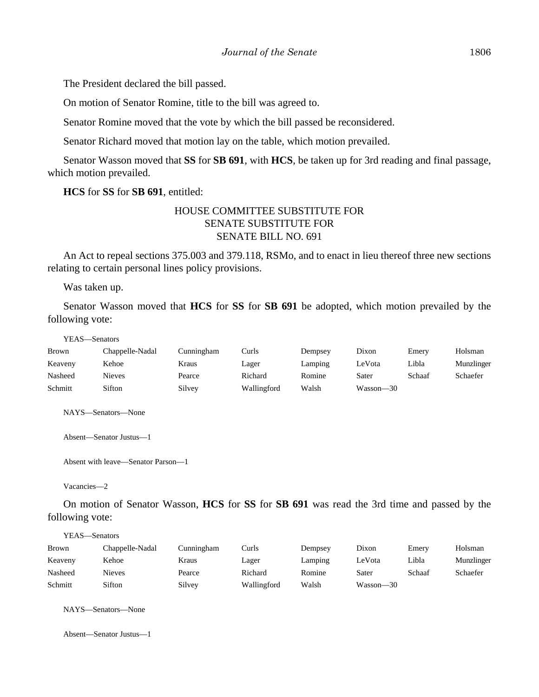The President declared the bill passed.

On motion of Senator Romine, title to the bill was agreed to.

Senator Romine moved that the vote by which the bill passed be reconsidered.

Senator Richard moved that motion lay on the table, which motion prevailed.

Senator Wasson moved that **SS** for **SB 691**, with **HCS**, be taken up for 3rd reading and final passage, which motion prevailed.

**HCS** for **SS** for **SB 691**, entitled:

### HOUSE COMMITTEE SUBSTITUTE FOR SENATE SUBSTITUTE FOR SENATE BILL NO. 691

An Act to repeal sections 375.003 and 379.118, RSMo, and to enact in lieu thereof three new sections relating to certain personal lines policy provisions.

Was taken up.

Senator Wasson moved that **HCS** for **SS** for **SB 691** be adopted, which motion prevailed by the following vote:

YEAS—Senators

| Brown   | Chappelle-Nadal | Cunningham | Curls       | Dempsey | Dixon     | Emery  | Holsman    |
|---------|-----------------|------------|-------------|---------|-----------|--------|------------|
| Keaveny | Kehoe           | Kraus      | Lager       | Lamping | LeVota    | Libla  | Munzlinger |
| Nasheed | Nieves          | Pearce     | Richard     | Romine  | Sater     | Schaaf | Schaefer   |
| Schmitt | Sifton          | Silvey     | Wallingford | Walsh   | Wasson—30 |        |            |

NAYS—Senators—None

Absent—Senator Justus—1

Absent with leave—Senator Parson—1

Vacancies—2

On motion of Senator Wasson, **HCS** for **SS** for **SB 691** was read the 3rd time and passed by the following vote:

YEAS—Senators Brown Chappelle-Nadal Cunningham Curls Dempsey Dixon Emery Holsman Keaveny Kehoe Kraus Lager Lamping LeVota Libla Munzlinger Nasheed Nieves Pearce Richard Romine Sater Schaaf Schaefer Schmitt Sifton Silvey Wallingford Walsh Wasson—30

NAYS—Senators—None

Absent—Senator Justus—1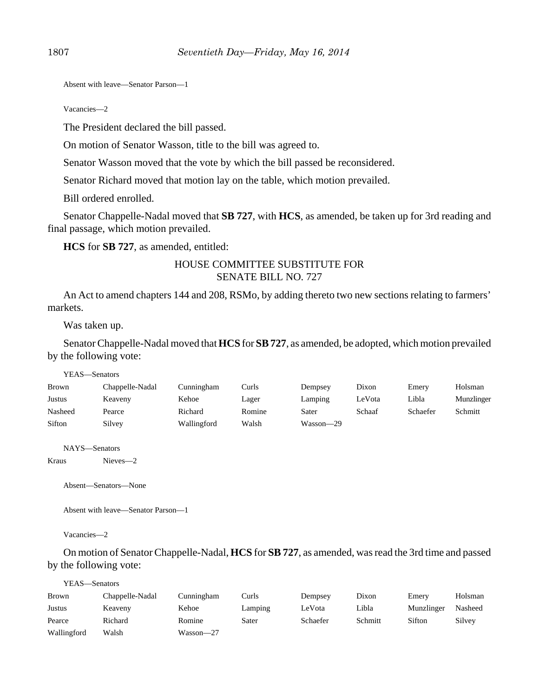Absent with leave—Senator Parson—1

Vacancies—2

The President declared the bill passed.

On motion of Senator Wasson, title to the bill was agreed to.

Senator Wasson moved that the vote by which the bill passed be reconsidered.

Senator Richard moved that motion lay on the table, which motion prevailed.

Bill ordered enrolled.

Senator Chappelle-Nadal moved that **SB 727**, with **HCS**, as amended, be taken up for 3rd reading and final passage, which motion prevailed.

**HCS** for **SB 727**, as amended, entitled:

## HOUSE COMMITTEE SUBSTITUTE FOR SENATE BILL NO. 727

An Act to amend chapters 144 and 208, RSMo, by adding thereto two new sections relating to farmers' markets.

Was taken up.

Senator Chappelle-Nadal moved that **HCS** for **SB 727**, as amended, be adopted, which motion prevailed by the following vote:

| YEAS—Senators |                 |             |        |           |        |          |            |
|---------------|-----------------|-------------|--------|-----------|--------|----------|------------|
| <b>Brown</b>  | Chappelle-Nadal | Cunningham  | Curls  | Dempsey   | Dixon  | Emery    | Holsman    |
| Justus        | Keaveny         | Kehoe       | Lager  | Lamping   | LeVota | Libla    | Munzlinger |
| Nasheed       | Pearce          | Richard     | Romine | Sater     | Schaaf | Schaefer | Schmitt    |
| Sifton        | Silvey          | Wallingford | Walsh  | Wasson—29 |        |          |            |

NAYS—Senators

Kraus Nieves—2

Absent—Senators—None

Absent with leave—Senator Parson—1

Vacancies—2

On motion of Senator Chappelle-Nadal, **HCS** for **SB 727**, as amended, was read the 3rd time and passed by the following vote:

| YEAS—Senators |                 |            |         |          |         |            |         |
|---------------|-----------------|------------|---------|----------|---------|------------|---------|
| Brown         | Chappelle-Nadal | Cunningham | Curls   | Dempsey  | Dixon   | Emery      | Holsman |
| Justus        | Keaveny         | Kehoe      | Lamping | LeVota   | Libla   | Munzlinger | Nasheed |
| Pearce        | Richard         | Romine     | Sater   | Schaefer | Schmitt | Sifton     | Silvey  |
| Wallingford   | Walsh           | Wasson—27  |         |          |         |            |         |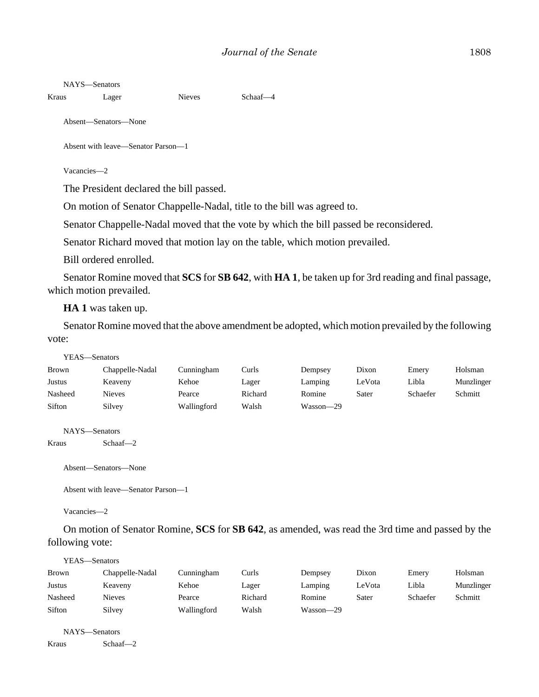#### NAYS—Senators

```
Kraus Lager Nieves Schaaf-4
```
Absent—Senators—None

Absent with leave—Senator Parson—1

Vacancies—2

The President declared the bill passed.

On motion of Senator Chappelle-Nadal, title to the bill was agreed to.

Senator Chappelle-Nadal moved that the vote by which the bill passed be reconsidered.

Senator Richard moved that motion lay on the table, which motion prevailed.

Bill ordered enrolled.

Senator Romine moved that **SCS** for **SB 642**, with **HA 1**, be taken up for 3rd reading and final passage, which motion prevailed.

**HA 1** was taken up.

Senator Romine moved that the above amendment be adopted, which motion prevailed by the following vote:

| —Senators |
|-----------|
|           |

| Brown   | Chappelle-Nadal | Cunningham  | Curls   | Dempsey   | Dixon  | Emery    | Holsman    |
|---------|-----------------|-------------|---------|-----------|--------|----------|------------|
| Justus  | Keaveny         | Kehoe       | Lager   | Lamping   | LeVota | Libla    | Munzlinger |
| Nasheed | Nieves          | Pearce      | Richard | Romine    | Sater  | Schaefer | Schmitt    |
| Sifton  | Silvey          | Wallingford | Walsh   | Wasson-29 |        |          |            |

NAYS—Senators

Kraus Schaaf—2

Absent—Senators—None

```
Absent with leave—Senator Parson—1
```
Vacancies—2

On motion of Senator Romine, **SCS** for **SB 642**, as amended, was read the 3rd time and passed by the following vote:

| YEAS—Senators |                 |             |         |           |        |          |            |
|---------------|-----------------|-------------|---------|-----------|--------|----------|------------|
| <b>Brown</b>  | Chappelle-Nadal | Cunningham  | Curls   | Dempsey   | Dixon  | Emery    | Holsman    |
| Justus        | Keaveny         | Kehoe       | Lager   | Lamping   | LeVota | Libla    | Munzlinger |
| Nasheed       | Nieves          | Pearce      | Richard | Romine    | Sater  | Schaefer | Schmitt    |
| Sifton        | Silvey          | Wallingford | Walsh   | Wasson-29 |        |          |            |

NAYS—Senators

Kraus Schaaf—2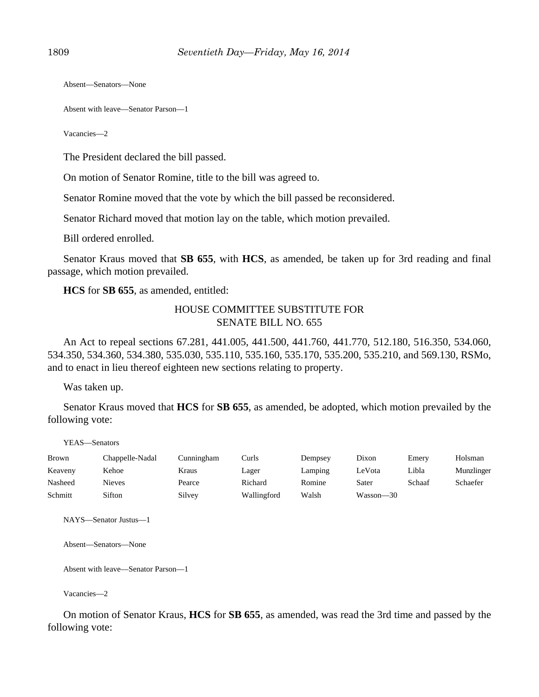Absent—Senators—None

Absent with leave—Senator Parson—1

Vacancies—2

The President declared the bill passed.

On motion of Senator Romine, title to the bill was agreed to.

Senator Romine moved that the vote by which the bill passed be reconsidered.

Senator Richard moved that motion lay on the table, which motion prevailed.

Bill ordered enrolled.

Senator Kraus moved that **SB 655**, with **HCS**, as amended, be taken up for 3rd reading and final passage, which motion prevailed.

**HCS** for **SB 655**, as amended, entitled:

### HOUSE COMMITTEE SUBSTITUTE FOR SENATE BILL NO. 655

An Act to repeal sections 67.281, 441.005, 441.500, 441.760, 441.770, 512.180, 516.350, 534.060, 534.350, 534.360, 534.380, 535.030, 535.110, 535.160, 535.170, 535.200, 535.210, and 569.130, RSMo, and to enact in lieu thereof eighteen new sections relating to property.

Was taken up.

Senator Kraus moved that **HCS** for **SB 655**, as amended, be adopted, which motion prevailed by the following vote:

YEAS—Senators

| <b>Brown</b> | Chappelle-Nadal | Cunningham | Curls       | Dempsey | Dixon     | Emery  | Holsman    |
|--------------|-----------------|------------|-------------|---------|-----------|--------|------------|
| Keaveny      | Kehoe           | Kraus      | Lager       | Lamping | LeVota    | Libla  | Munzlinger |
| Nasheed      | Nieves          | Pearce     | Richard     | Romine  | Sater     | Schaaf | Schaefer   |
| Schmitt      | Sifton          | Silvey     | Wallingford | Walsh   | Wasson—30 |        |            |

NAYS—Senator Justus—1

Absent—Senators—None

Absent with leave—Senator Parson—1

Vacancies—2

On motion of Senator Kraus, **HCS** for **SB 655**, as amended, was read the 3rd time and passed by the following vote: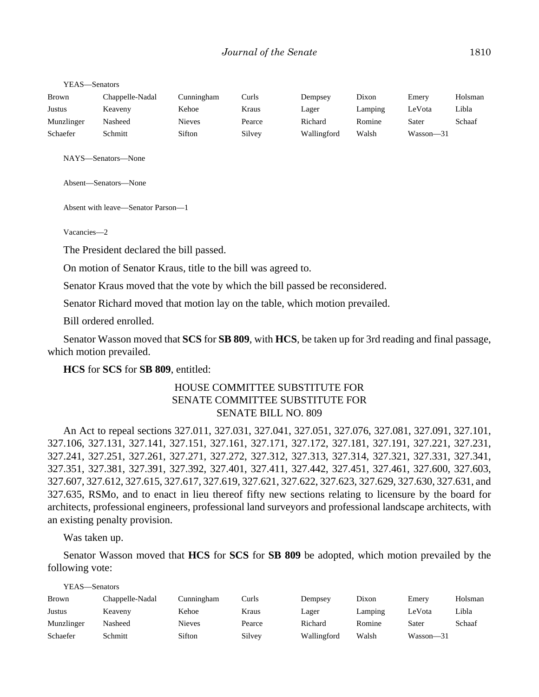| Brown      | Chappelle-Nadal | Cunningham | Curls  | Dempsey     | Dixon   | Emery     | Holsman |
|------------|-----------------|------------|--------|-------------|---------|-----------|---------|
| Justus     | Keaveny         | Kehoe      | Kraus  | Lager       | Lamping | ∟eVota    | Libla   |
| Munzlinger | Nasheed         | Nieves     | Pearce | Richard     | Romine  | Sater     | Schaaf  |
| Schaefer   | Schmitt         | Sifton     | Silvey | Wallingford | Walsh   | Wasson—31 |         |

NAYS—Senators—None

Absent—Senators—None

Absent with leave—Senator Parson—1

Vacancies—2

The President declared the bill passed.

On motion of Senator Kraus, title to the bill was agreed to.

Senator Kraus moved that the vote by which the bill passed be reconsidered.

Senator Richard moved that motion lay on the table, which motion prevailed.

Bill ordered enrolled.

Senator Wasson moved that **SCS** for **SB 809**, with **HCS**, be taken up for 3rd reading and final passage, which motion prevailed.

#### **HCS** for **SCS** for **SB 809**, entitled:

# HOUSE COMMITTEE SUBSTITUTE FOR SENATE COMMITTEE SUBSTITUTE FOR SENATE BILL NO. 809

An Act to repeal sections 327.011, 327.031, 327.041, 327.051, 327.076, 327.081, 327.091, 327.101, 327.106, 327.131, 327.141, 327.151, 327.161, 327.171, 327.172, 327.181, 327.191, 327.221, 327.231, 327.241, 327.251, 327.261, 327.271, 327.272, 327.312, 327.313, 327.314, 327.321, 327.331, 327.341, 327.351, 327.381, 327.391, 327.392, 327.401, 327.411, 327.442, 327.451, 327.461, 327.600, 327.603, 327.607, 327.612, 327.615, 327.617, 327.619, 327.621, 327.622, 327.623, 327.629, 327.630, 327.631, and 327.635, RSMo, and to enact in lieu thereof fifty new sections relating to licensure by the board for architects, professional engineers, professional land surveyors and professional landscape architects, with an existing penalty provision.

Was taken up.

Senator Wasson moved that **HCS** for **SCS** for **SB 809** be adopted, which motion prevailed by the following vote:

| YEAS—Senators |                 |               |        |             |         |           |         |
|---------------|-----------------|---------------|--------|-------------|---------|-----------|---------|
| <b>Brown</b>  | Chappelle-Nadal | Cunningham    | Curls  | Dempsey     | Dixon   | Emery     | Holsman |
| <b>Justus</b> | Keaveny         | Kehoe         | Kraus  | Lager       | Lamping | LeVota    | Libla   |
| Munzlinger    | Nasheed         | <b>Nieves</b> | Pearce | Richard     | Romine  | Sater     | Schaaf  |
| Schaefer      | Schmitt         | Sifton        | Silvey | Wallingford | Walsh   | Wasson—31 |         |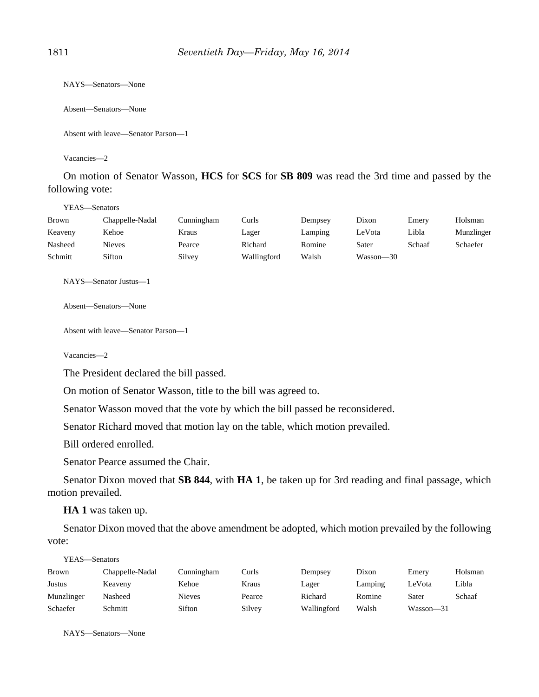NAYS—Senators—None

Absent—Senators—None

Absent with leave—Senator Parson—1

Vacancies—2

On motion of Senator Wasson, **HCS** for **SCS** for **SB 809** was read the 3rd time and passed by the following vote:

YEAS—Senators

| Brown   | Chappelle-Nadal | Cunningham | Curls       | Dempsey | Dixon     | Emery  | Holsman    |
|---------|-----------------|------------|-------------|---------|-----------|--------|------------|
| Keaveny | Kehoe           | Kraus      | Lager       | Lamping | LeVota    | Libla  | Munzlinger |
| Nasheed | Nieves          | Pearce     | Richard     | Romine  | Sater     | Schaaf | Schaefer   |
| Schmitt | Sifton          | Silvey     | Wallingford | Walsh   | Wasson-30 |        |            |

NAYS—Senator Justus—1

Absent—Senators—None

```
Absent with leave—Senator Parson—1
```
Vacancies—2

The President declared the bill passed.

On motion of Senator Wasson, title to the bill was agreed to.

Senator Wasson moved that the vote by which the bill passed be reconsidered.

Senator Richard moved that motion lay on the table, which motion prevailed.

Bill ordered enrolled.

Senator Pearce assumed the Chair.

Senator Dixon moved that **SB 844**, with **HA 1**, be taken up for 3rd reading and final passage, which motion prevailed.

**HA 1** was taken up.

Senator Dixon moved that the above amendment be adopted, which motion prevailed by the following vote:

| YEAS—Senators |                 |            |        |             |         |           |         |
|---------------|-----------------|------------|--------|-------------|---------|-----------|---------|
| <b>Brown</b>  | Chappelle-Nadal | Cunningham | Curls  | Dempsey     | Dixon   | Emery     | Holsman |
| Justus        | Keaveny         | Kehoe      | Kraus  | Lager       | Lamping | LeVota    | Libla   |
| Munzlinger    | Nasheed         | Nieves     | Pearce | Richard     | Romine  | Sater     | Schaaf  |
| Schaefer      | Schmitt         | Sifton     | Silvey | Wallingford | Walsh   | Wasson—31 |         |

NAYS—Senators—None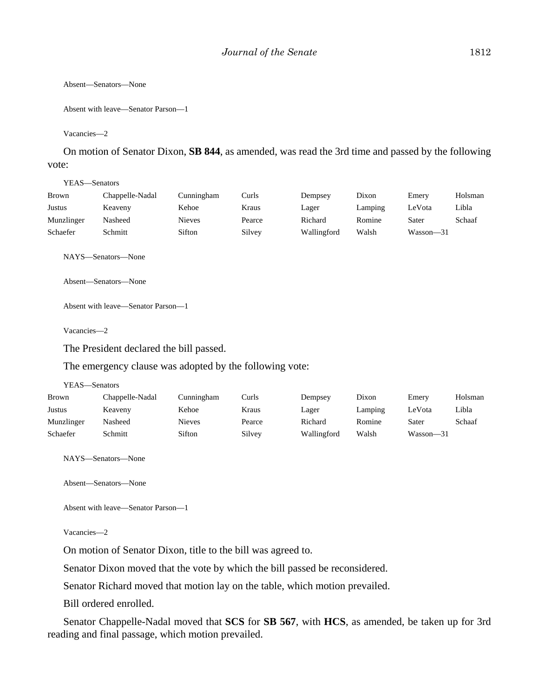Absent—Senators—None

```
Absent with leave—Senator Parson—1
```
Vacancies—2

On motion of Senator Dixon, **SB 844**, as amended, was read the 3rd time and passed by the following vote:

YEAS—Senators

| Brown      | Chappelle-Nadal | Cunningham    | Curls  | Dempsey     | Dixon   | Emery     | Holsman |
|------------|-----------------|---------------|--------|-------------|---------|-----------|---------|
| Justus     | Keaveny         | Kehoe         | Kraus  | Lager       | Lamping | LeVota    | Libla   |
| Munzlinger | Nasheed         | <b>Nieves</b> | Pearce | Richard     | Romine  | Sater     | Schaaf  |
| Schaefer   | Schmitt         | Sifton        | Silvey | Wallingford | Walsh   | Wasson-31 |         |

NAYS—Senators—None

Absent—Senators—None

Absent with leave—Senator Parson—1

Vacancies—2

The President declared the bill passed.

The emergency clause was adopted by the following vote:

YEAS—Senators

| Brown      | Chappelle-Nadal | Cunningham | Curls  | Dempsey     | Dixon   | Emery         | Holsman |
|------------|-----------------|------------|--------|-------------|---------|---------------|---------|
| Justus     | Keaveny         | Kehoe      | Kraus  | Lager       | Lamping | LeVota        | Libla   |
| Munzlinger | Nasheed         | Nieves     | Pearce | Richard     | Romine  | Sater         | Schaaf  |
| Schaefer   | Schmitt         | Sifton     | Silvey | Wallingford | Walsh   | $Wasson - 31$ |         |

NAYS—Senators—None

Absent—Senators—None

Absent with leave—Senator Parson—1

#### Vacancies—2

On motion of Senator Dixon, title to the bill was agreed to.

Senator Dixon moved that the vote by which the bill passed be reconsidered.

Senator Richard moved that motion lay on the table, which motion prevailed.

Bill ordered enrolled.

Senator Chappelle-Nadal moved that **SCS** for **SB 567**, with **HCS**, as amended, be taken up for 3rd reading and final passage, which motion prevailed.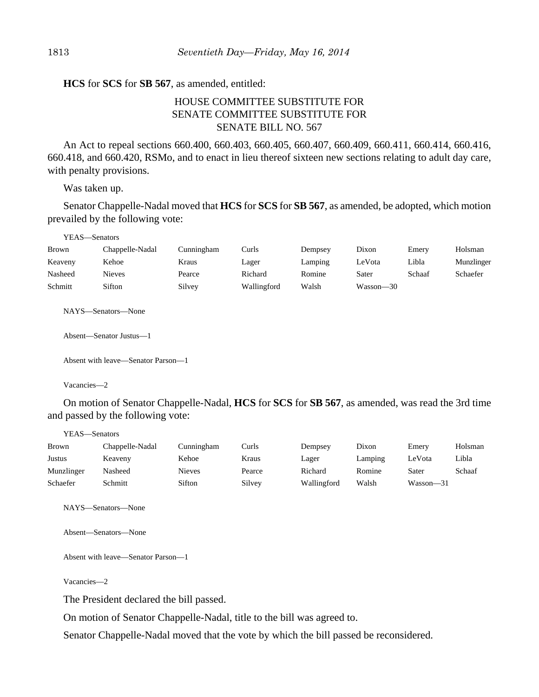#### **HCS** for **SCS** for **SB 567**, as amended, entitled:

# HOUSE COMMITTEE SUBSTITUTE FOR SENATE COMMITTEE SUBSTITUTE FOR SENATE BILL NO. 567

An Act to repeal sections 660.400, 660.403, 660.405, 660.407, 660.409, 660.411, 660.414, 660.416, 660.418, and 660.420, RSMo, and to enact in lieu thereof sixteen new sections relating to adult day care, with penalty provisions.

Was taken up.

Senator Chappelle-Nadal moved that **HCS** for **SCS** for **SB 567**, as amended, be adopted, which motion prevailed by the following vote:

| Brown   | Chappelle-Nadal | Cunningham | Curls       | Dempsey | Dixon     | Emery  | Holsman    |
|---------|-----------------|------------|-------------|---------|-----------|--------|------------|
| Keaveny | Kehoe           | Kraus      | Lager       | Lamping | LeVota    | Libla  | Munzlinger |
| Nasheed | Nieves          | Pearce     | Richard     | Romine  | Sater     | Schaaf | Schaefer   |
| Schmitt | Sifton          | Silvev     | Wallingford | Walsh   | Wasson—30 |        |            |

NAYS—Senators—None

Absent—Senator Justus—1

Absent with leave—Senator Parson—1

Vacancies—2

On motion of Senator Chappelle-Nadal, **HCS** for **SCS** for **SB 567**, as amended, was read the 3rd time and passed by the following vote:

| YEAS—Senators |                 |               |        |             |         |           |         |  |
|---------------|-----------------|---------------|--------|-------------|---------|-----------|---------|--|
| Brown         | Chappelle-Nadal | Cunningham    | Curls  | Dempsey     | Dixon   | Emery     | Holsman |  |
| Justus        | Keaveny         | Kehoe         | Kraus  | Lager       | Lamping | LeVota    | Libla   |  |
| Munzlinger    | Nasheed         | <b>Nieves</b> | Pearce | Richard     | Romine  | Sater     | Schaaf  |  |
| Schaefer      | Schmitt         | Sifton        | Silvey | Wallingford | Walsh   | Wasson—31 |         |  |

NAYS—Senators—None

Absent—Senators—None

Absent with leave—Senator Parson—1

Vacancies—2

The President declared the bill passed.

On motion of Senator Chappelle-Nadal, title to the bill was agreed to.

Senator Chappelle-Nadal moved that the vote by which the bill passed be reconsidered.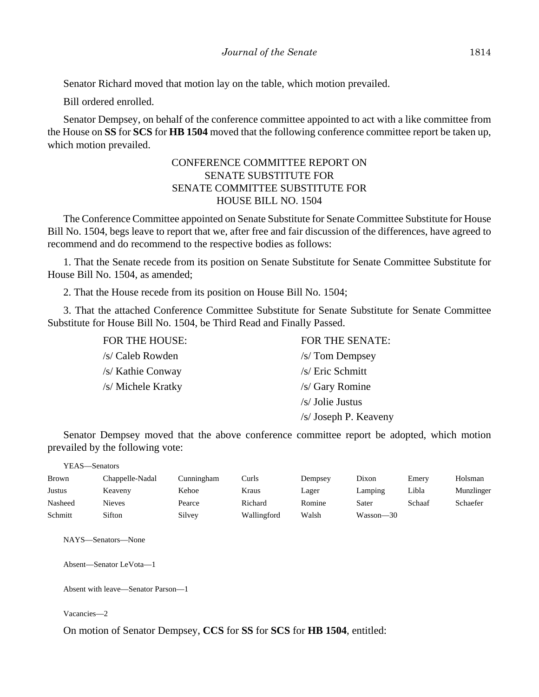Senator Richard moved that motion lay on the table, which motion prevailed.

Bill ordered enrolled.

Senator Dempsey, on behalf of the conference committee appointed to act with a like committee from the House on **SS** for **SCS** for **HB 1504** moved that the following conference committee report be taken up, which motion prevailed.

## CONFERENCE COMMITTEE REPORT ON SENATE SUBSTITUTE FOR SENATE COMMITTEE SUBSTITUTE FOR HOUSE BILL NO. 1504

The Conference Committee appointed on Senate Substitute for Senate Committee Substitute for House Bill No. 1504, begs leave to report that we, after free and fair discussion of the differences, have agreed to recommend and do recommend to the respective bodies as follows:

1. That the Senate recede from its position on Senate Substitute for Senate Committee Substitute for House Bill No. 1504, as amended;

2. That the House recede from its position on House Bill No. 1504;

3. That the attached Conference Committee Substitute for Senate Substitute for Senate Committee Substitute for House Bill No. 1504, be Third Read and Finally Passed.

| FOR THE HOUSE:     | <b>FOR THE SENATE:</b> |
|--------------------|------------------------|
| /s/ Caleb Rowden   | $/s$ Tom Dempsey       |
| /s/ Kathie Conway  | $/s/$ Eric Schmitt     |
| /s/ Michele Kratky | /s/ Gary Romine        |
|                    | $/s/$ Jolie Justus     |
|                    | /s/ Joseph P. Keaveny  |

Senator Dempsey moved that the above conference committee report be adopted, which motion prevailed by the following vote:

| YEAS—Senators |                 |            |             |         |           |        |            |  |  |
|---------------|-----------------|------------|-------------|---------|-----------|--------|------------|--|--|
| Brown         | Chappelle-Nadal | Cunningham | Curls       | Dempsey | Dixon     | Emery  | Holsman    |  |  |
| Justus        | Keaveny         | Kehoe      | Kraus       | Lager   | Lamping   | Libla  | Munzlinger |  |  |
| Nasheed       | <b>Nieves</b>   | Pearce     | Richard     | Romine  | Sater     | Schaaf | Schaefer   |  |  |
| Schmitt       | Sifton          | Silvey     | Wallingford | Walsh   | Wasson—30 |        |            |  |  |

NAYS—Senators—None

Absent—Senator LeVota—1

Absent with leave—Senator Parson—1

Vacancies—2

On motion of Senator Dempsey, **CCS** for **SS** for **SCS** for **HB 1504**, entitled: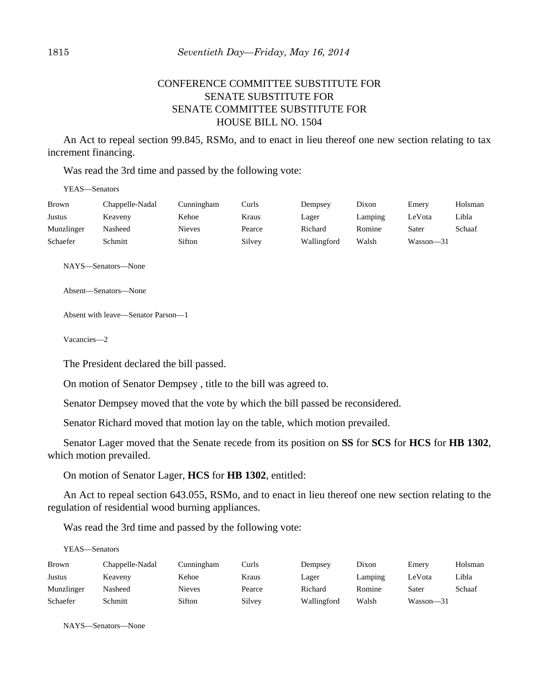# CONFERENCE COMMITTEE SUBSTITUTE FOR SENATE SUBSTITUTE FOR SENATE COMMITTEE SUBSTITUTE FOR HOUSE BILL NO. 1504

An Act to repeal section 99.845, RSMo, and to enact in lieu thereof one new section relating to tax increment financing.

Was read the 3rd time and passed by the following vote:

YEAS—Senators

| Brown      | Chappelle-Nadal | Cunningham | Curls  | Dempsey     | Dixon   | Emery     | Holsman |
|------------|-----------------|------------|--------|-------------|---------|-----------|---------|
| Justus     | Keaveny         | Kehoe      | Kraus  | Lager       | Lamping | LeVota    | Libla   |
| Munzlinger | Nasheed         | Nieves     | Pearce | Richard     | Romine  | Sater     | Schaaf  |
| Schaefer   | Schmitt         | Sifton     | Silvey | Wallingford | Walsh   | Wasson—31 |         |

NAYS—Senators—None

Absent—Senators—None

Absent with leave—Senator Parson—1

Vacancies—2

The President declared the bill passed.

On motion of Senator Dempsey , title to the bill was agreed to.

Senator Dempsey moved that the vote by which the bill passed be reconsidered.

Senator Richard moved that motion lay on the table, which motion prevailed.

Senator Lager moved that the Senate recede from its position on **SS** for **SCS** for **HCS** for **HB 1302**, which motion prevailed.

On motion of Senator Lager, **HCS** for **HB 1302**, entitled:

An Act to repeal section 643.055, RSMo, and to enact in lieu thereof one new section relating to the regulation of residential wood burning appliances.

Was read the 3rd time and passed by the following vote:

YEAS—Senators

| Brown      | Chappelle-Nadal | Cunningham    | Curls  | Dempsey     | Dixon   | Emery         | Holsman |
|------------|-----------------|---------------|--------|-------------|---------|---------------|---------|
| Justus     | Keaveny         | Kehoe         | Kraus  | Lager       | Lamping | LeVota        | Libla   |
| Munzlinger | Nasheed         | <b>Nieves</b> | Pearce | Richard     | Romine  | Sater         | Schaaf  |
| Schaefer   | Schmitt         | Sifton        | Silvey | Wallingford | Walsh   | $Wasson - 31$ |         |

NAYS—Senators—None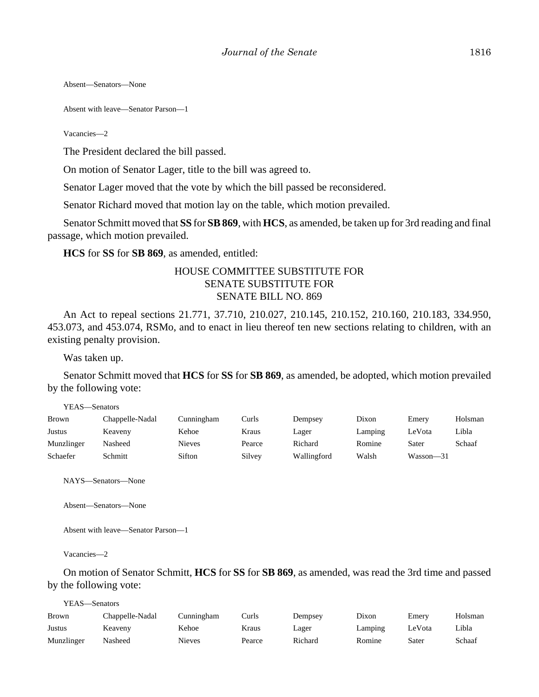Absent—Senators—None

Absent with leave—Senator Parson—1

Vacancies—2

The President declared the bill passed.

On motion of Senator Lager, title to the bill was agreed to.

Senator Lager moved that the vote by which the bill passed be reconsidered.

Senator Richard moved that motion lay on the table, which motion prevailed.

Senator Schmitt moved that **SS** for **SB 869**, with **HCS**, as amended, be taken up for 3rd reading and final passage, which motion prevailed.

**HCS** for **SS** for **SB 869**, as amended, entitled:

## HOUSE COMMITTEE SUBSTITUTE FOR SENATE SUBSTITUTE FOR SENATE BILL NO. 869

An Act to repeal sections 21.771, 37.710, 210.027, 210.145, 210.152, 210.160, 210.183, 334.950, 453.073, and 453.074, RSMo, and to enact in lieu thereof ten new sections relating to children, with an existing penalty provision.

Was taken up.

Senator Schmitt moved that **HCS** for **SS** for **SB 869**, as amended, be adopted, which motion prevailed by the following vote:

| YEAS- | -Senators |
|-------|-----------|
|       |           |

| Brown      | Chappelle-Nadal | Cunningham | Curls  | Dempsey     | Dixon   | Emery         | Holsman |
|------------|-----------------|------------|--------|-------------|---------|---------------|---------|
| Justus     | Keaveny         | Kehoe      | Kraus  | Lager       | Lamping | LeVota        | Libla   |
| Munzlinger | Nasheed         | Nieves     | Pearce | Richard     | Romine  | Sater         | Schaaf  |
| Schaefer   | Schmitt         | Sifton     | Silvey | Wallingford | Walsh   | $Wasson - 31$ |         |

NAYS—Senators—None

Absent—Senators—None

Absent with leave—Senator Parson—1

Vacancies—2

On motion of Senator Schmitt, **HCS** for **SS** for **SB 869**, as amended, was read the 3rd time and passed by the following vote:

| YEAS—Senators |                 |            |        |         |         |        |         |  |
|---------------|-----------------|------------|--------|---------|---------|--------|---------|--|
| <b>Brown</b>  | Chappelle-Nadal | Cunningham | Curls  | Dempsey | Dixon   | Emery  | Holsman |  |
| Justus        | Keaveny         | Kehoe      | Kraus  | Lager   | Lamping | LeVota | Libla   |  |
| Munzlinger    | Nasheed         | Nieves     | Pearce | Richard | Romine  | Sater  | Schaaf  |  |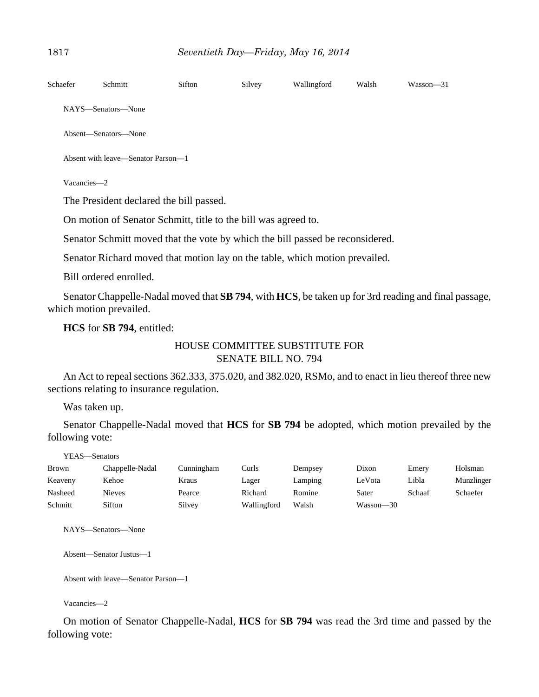| Schaefer | Schmitt                                                        | Sifton | Silvey | Wallingford | Walsh | $Wasson - 31$ |  |  |  |
|----------|----------------------------------------------------------------|--------|--------|-------------|-------|---------------|--|--|--|
|          | NAYS—Senators—None                                             |        |        |             |       |               |  |  |  |
|          | Absent—Senators—None                                           |        |        |             |       |               |  |  |  |
|          | Absent with leave—Senator Parson—1                             |        |        |             |       |               |  |  |  |
|          | Vacancies-2                                                    |        |        |             |       |               |  |  |  |
|          | The President declared the bill passed.                        |        |        |             |       |               |  |  |  |
|          | On motion of Senator Schmitt, title to the bill was agreed to. |        |        |             |       |               |  |  |  |

Senator Schmitt moved that the vote by which the bill passed be reconsidered.

Senator Richard moved that motion lay on the table, which motion prevailed.

Bill ordered enrolled.

Senator Chappelle-Nadal moved that **SB 794**, with **HCS**, be taken up for 3rd reading and final passage, which motion prevailed.

**HCS** for **SB 794**, entitled:

# HOUSE COMMITTEE SUBSTITUTE FOR SENATE BILL NO. 794

An Act to repeal sections 362.333, 375.020, and 382.020, RSMo, and to enact in lieu thereof three new sections relating to insurance regulation.

Was taken up.

Senator Chappelle-Nadal moved that **HCS** for **SB 794** be adopted, which motion prevailed by the following vote:

YEAS—Senators

| <b>Brown</b> | Chappelle-Nadal | Cunningham | Curls       | Dempsey | Dixon     | Emery  | Holsman    |
|--------------|-----------------|------------|-------------|---------|-----------|--------|------------|
| Keaveny      | Kehoe           | Kraus      | Lager       | Lamping | LeVota    | Libla  | Munzlinger |
| Nasheed      | Nieves          | Pearce     | Richard     | Romine  | Sater     | Schaaf | Schaefer   |
| Schmitt      | Sifton          | Silvey     | Wallingford | Walsh   | Wasson-30 |        |            |

NAYS—Senators—None

Absent—Senator Justus—1

Absent with leave—Senator Parson—1

Vacancies—2

On motion of Senator Chappelle-Nadal, **HCS** for **SB 794** was read the 3rd time and passed by the following vote: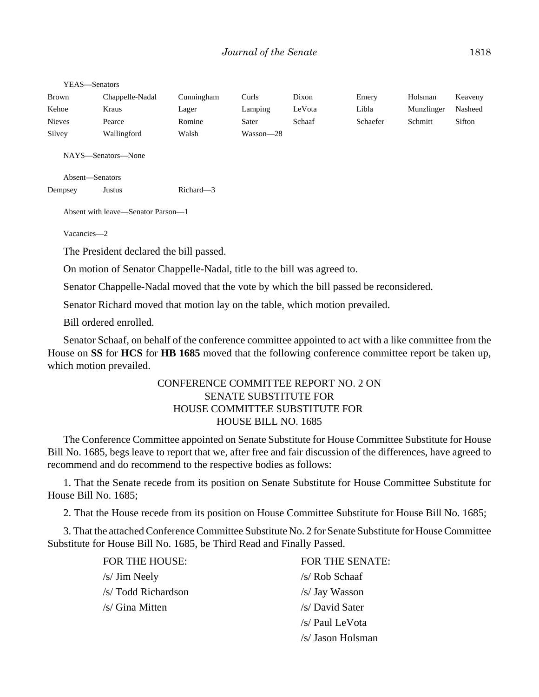| Brown         | Chappelle-Nadal | Cunningham | Curls     | Dixon  | Emery    | Holsman    | Keaveny |
|---------------|-----------------|------------|-----------|--------|----------|------------|---------|
| Kehoe         | Kraus           | Lager      | Lamping   | LeVota | Libla    | Munzlinger | Nasheed |
| <b>Nieves</b> | Pearce          | Romine     | Sater     | Schaaf | Schaefer | Schmitt    | Sifton  |
| Silvey        | Wallingford     | Walsh      | Wasson—28 |        |          |            |         |

NAYS—Senators—None

Absent—Senators

Dempsey Justus Richard—3

Absent with leave—Senator Parson—1

Vacancies—2

The President declared the bill passed.

On motion of Senator Chappelle-Nadal, title to the bill was agreed to.

Senator Chappelle-Nadal moved that the vote by which the bill passed be reconsidered.

Senator Richard moved that motion lay on the table, which motion prevailed.

Bill ordered enrolled.

Senator Schaaf, on behalf of the conference committee appointed to act with a like committee from the House on **SS** for **HCS** for **HB 1685** moved that the following conference committee report be taken up, which motion prevailed.

## CONFERENCE COMMITTEE REPORT NO. 2 ON SENATE SUBSTITUTE FOR HOUSE COMMITTEE SUBSTITUTE FOR HOUSE BILL NO. 1685

The Conference Committee appointed on Senate Substitute for House Committee Substitute for House Bill No. 1685, begs leave to report that we, after free and fair discussion of the differences, have agreed to recommend and do recommend to the respective bodies as follows:

1. That the Senate recede from its position on Senate Substitute for House Committee Substitute for House Bill No. 1685;

2. That the House recede from its position on House Committee Substitute for House Bill No. 1685;

3. That the attached Conference Committee Substitute No. 2 for Senate Substitute for House Committee Substitute for House Bill No. 1685, be Third Read and Finally Passed.

| FOR THE HOUSE:      | FOR THE SENATE:   |
|---------------------|-------------------|
| /s/ Jim Neely       | /s/ Rob Schaaf    |
| /s/ Todd Richardson | /s/ Jay Wasson    |
| /s/ Gina Mitten     | /s/ David Sater   |
|                     | /s/ Paul LeVota   |
|                     | /s/ Jason Holsman |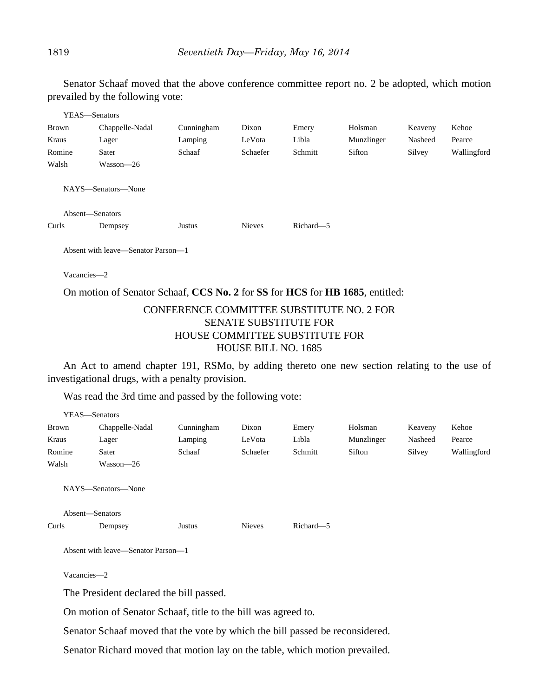Senator Schaaf moved that the above conference committee report no. 2 be adopted, which motion prevailed by the following vote:

| YEAS—Senators   |                                                                              |            |               |           |            |         |             |  |  |
|-----------------|------------------------------------------------------------------------------|------------|---------------|-----------|------------|---------|-------------|--|--|
| Brown           | Chappelle-Nadal                                                              | Cunningham | Dixon         | Emery     | Holsman    | Keaveny | Kehoe       |  |  |
| Kraus           | Lager                                                                        | Lamping    | LeVota        | Libla     | Munzlinger | Nasheed | Pearce      |  |  |
| Romine          | Sater                                                                        | Schaaf     | Schaefer      | Schmitt   | Sifton     | Silvey  | Wallingford |  |  |
| Walsh           | Wasson-26                                                                    |            |               |           |            |         |             |  |  |
|                 | NAYS—Senators—None                                                           |            |               |           |            |         |             |  |  |
| Absent-Senators |                                                                              |            |               |           |            |         |             |  |  |
| Curls           | Dempsey                                                                      | Justus     | <b>Nieves</b> | Richard-5 |            |         |             |  |  |
|                 | Absent with leave—Senator Parson—1                                           |            |               |           |            |         |             |  |  |
|                 | Vacancies-2                                                                  |            |               |           |            |         |             |  |  |
|                 | On motion of Senator Schaaf, CCS No. 2 for SS for HCS for HB 1685, entitled: |            |               |           |            |         |             |  |  |

## CONFERENCE COMMITTEE SUBSTITUTE NO. 2 FOR SENATE SUBSTITUTE FOR HOUSE COMMITTEE SUBSTITUTE FOR HOUSE BILL NO. 1685

An Act to amend chapter 191, RSMo, by adding thereto one new section relating to the use of investigational drugs, with a penalty provision.

Was read the 3rd time and passed by the following vote:

|              | YEAS-Senators                                                                |            |               |           |            |         |             |
|--------------|------------------------------------------------------------------------------|------------|---------------|-----------|------------|---------|-------------|
| <b>Brown</b> | Chappelle-Nadal                                                              | Cunningham | Dixon         | Emery     | Holsman    | Keaveny | Kehoe       |
| Kraus        | Lager                                                                        | Lamping    | LeVota        | Libla     | Munzlinger | Nasheed | Pearce      |
| Romine       | Sater                                                                        | Schaaf     | Schaefer      | Schmitt   | Sifton     | Silvey  | Wallingford |
| Walsh        | Wasson-26                                                                    |            |               |           |            |         |             |
|              | NAYS-Senators-None                                                           |            |               |           |            |         |             |
|              | Absent-Senators                                                              |            |               |           |            |         |             |
| Curls        | Dempsey                                                                      | Justus     | <b>Nieves</b> | Richard-5 |            |         |             |
|              | Absent with leave—Senator Parson—1                                           |            |               |           |            |         |             |
| Vacancies-2  |                                                                              |            |               |           |            |         |             |
|              | The President declared the bill passed.                                      |            |               |           |            |         |             |
|              | On motion of Senator Schaaf, title to the bill was agreed to.                |            |               |           |            |         |             |
|              | Senator Schaaf moved that the vote by which the bill passed be reconsidered. |            |               |           |            |         |             |

Senator Richard moved that motion lay on the table, which motion prevailed.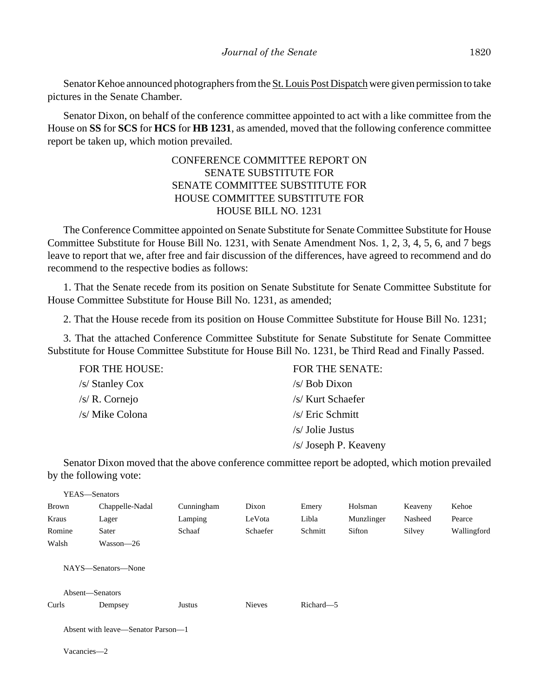Senator Kehoe announced photographers from the St. Louis Post Dispatch were given permission to take pictures in the Senate Chamber.

Senator Dixon, on behalf of the conference committee appointed to act with a like committee from the House on **SS** for **SCS** for **HCS** for **HB 1231**, as amended, moved that the following conference committee report be taken up, which motion prevailed.

# CONFERENCE COMMITTEE REPORT ON SENATE SUBSTITUTE FOR SENATE COMMITTEE SUBSTITUTE FOR HOUSE COMMITTEE SUBSTITUTE FOR HOUSE BILL NO. 1231

The Conference Committee appointed on Senate Substitute for Senate Committee Substitute for House Committee Substitute for House Bill No. 1231, with Senate Amendment Nos. 1, 2, 3, 4, 5, 6, and 7 begs leave to report that we, after free and fair discussion of the differences, have agreed to recommend and do recommend to the respective bodies as follows:

1. That the Senate recede from its position on Senate Substitute for Senate Committee Substitute for House Committee Substitute for House Bill No. 1231, as amended;

2. That the House recede from its position on House Committee Substitute for House Bill No. 1231;

3. That the attached Conference Committee Substitute for Senate Substitute for Senate Committee Substitute for House Committee Substitute for House Bill No. 1231, be Third Read and Finally Passed.

| FOR THE HOUSE:  | FOR THE SENATE:       |
|-----------------|-----------------------|
| /s/ Stanley Cox | $/s/ Bob$ Dixon       |
| /s/ R. Cornejo  | /s/ Kurt Schaefer     |
| /s/ Mike Colona | /s/ Eric Schmitt      |
|                 | $/s/$ Jolie Justus    |
|                 | /s/ Joseph P. Keaveny |

Senator Dixon moved that the above conference committee report be adopted, which motion prevailed by the following vote:

| YEAS—Senators   |                                    |            |               |           |            |         |             |  |
|-----------------|------------------------------------|------------|---------------|-----------|------------|---------|-------------|--|
| Brown           | Chappelle-Nadal                    | Cunningham | Dixon         | Emery     | Holsman    | Keaveny | Kehoe       |  |
| Kraus           | Lager                              | Lamping    | LeVota        | Libla     | Munzlinger | Nasheed | Pearce      |  |
| Romine          | Sater                              | Schaaf     | Schaefer      | Schmitt   | Sifton     | Silvey  | Wallingford |  |
| Walsh           | $Wasson-26$                        |            |               |           |            |         |             |  |
|                 | NAYS—Senators—None                 |            |               |           |            |         |             |  |
| Absent-Senators |                                    |            |               |           |            |         |             |  |
| Curls           | Dempsey                            | Justus     | <b>Nieves</b> | Richard-5 |            |         |             |  |
|                 | Absent with leave—Senator Parson—1 |            |               |           |            |         |             |  |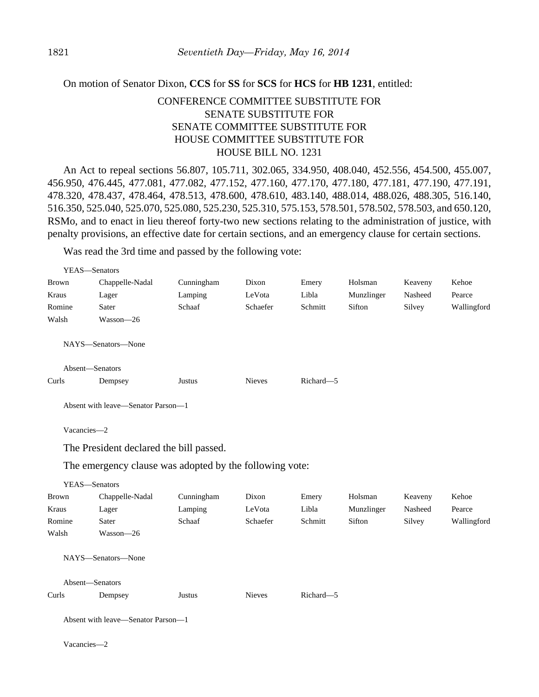### On motion of Senator Dixon, **CCS** for **SS** for **SCS** for **HCS** for **HB 1231**, entitled:

# CONFERENCE COMMITTEE SUBSTITUTE FOR SENATE SUBSTITUTE FOR SENATE COMMITTEE SUBSTITUTE FOR HOUSE COMMITTEE SUBSTITUTE FOR HOUSE BILL NO. 1231

An Act to repeal sections 56.807, 105.711, 302.065, 334.950, 408.040, 452.556, 454.500, 455.007, 456.950, 476.445, 477.081, 477.082, 477.152, 477.160, 477.170, 477.180, 477.181, 477.190, 477.191, 478.320, 478.437, 478.464, 478.513, 478.600, 478.610, 483.140, 488.014, 488.026, 488.305, 516.140, 516.350, 525.040, 525.070, 525.080, 525.230, 525.310, 575.153, 578.501, 578.502, 578.503, and 650.120, RSMo, and to enact in lieu thereof forty-two new sections relating to the administration of justice, with penalty provisions, an effective date for certain sections, and an emergency clause for certain sections.

Was read the 3rd time and passed by the following vote:

| YEAS-Senators   |                                                         |            |               |           |            |         |             |
|-----------------|---------------------------------------------------------|------------|---------------|-----------|------------|---------|-------------|
| <b>Brown</b>    | Chappelle-Nadal                                         | Cunningham | Dixon         | Emery     | Holsman    | Keaveny | Kehoe       |
| Kraus           | Lager                                                   | Lamping    | LeVota        | Libla     | Munzlinger | Nasheed | Pearce      |
| Romine          | Sater                                                   | Schaaf     | Schaefer      | Schmitt   | Sifton     | Silvey  | Wallingford |
| Walsh           | Wasson-26                                               |            |               |           |            |         |             |
|                 | NAYS-Senators-None                                      |            |               |           |            |         |             |
| Absent-Senators |                                                         |            |               |           |            |         |             |
| Curls           | Dempsey                                                 | Justus     | <b>Nieves</b> | Richard-5 |            |         |             |
|                 | Absent with leave—Senator Parson—1                      |            |               |           |            |         |             |
| Vacancies-2     |                                                         |            |               |           |            |         |             |
|                 | The President declared the bill passed.                 |            |               |           |            |         |             |
|                 | The emergency clause was adopted by the following vote: |            |               |           |            |         |             |
| YEAS-Senators   |                                                         |            |               |           |            |         |             |
| <b>Brown</b>    | Chappelle-Nadal                                         | Cunningham | Dixon         | Emery     | Holsman    | Keaveny | Kehoe       |
| Kraus           | Lager                                                   | Lamping    | LeVota        | Libla     | Munzlinger | Nasheed | Pearce      |
| Romine          | Sater                                                   | Schaaf     | Schaefer      | Schmitt   | Sifton     | Silvey  | Wallingford |
| Walsh           | Wasson-26                                               |            |               |           |            |         |             |
|                 | NAYS-Senators-None                                      |            |               |           |            |         |             |
| Absent-Senators |                                                         |            |               |           |            |         |             |
| Curls           | Dempsey                                                 | Justus     | <b>Nieves</b> | Richard-5 |            |         |             |
|                 | Absent with leave—Senator Parson—1                      |            |               |           |            |         |             |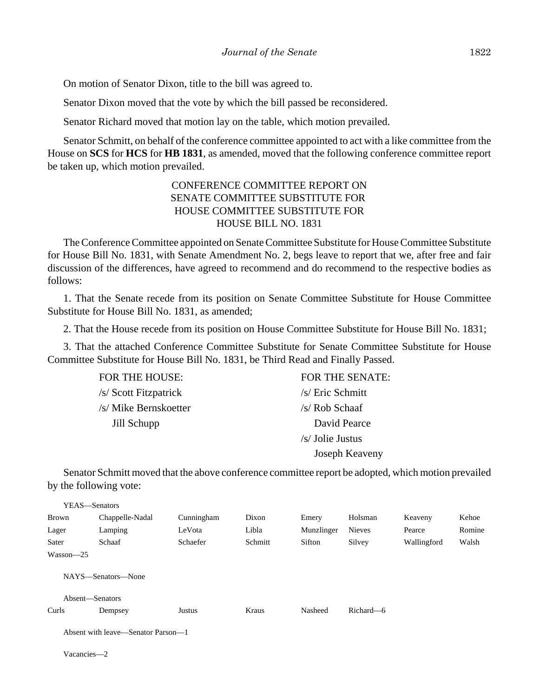On motion of Senator Dixon, title to the bill was agreed to.

Senator Dixon moved that the vote by which the bill passed be reconsidered.

Senator Richard moved that motion lay on the table, which motion prevailed.

Senator Schmitt, on behalf of the conference committee appointed to act with a like committee from the House on **SCS** for **HCS** for **HB 1831**, as amended, moved that the following conference committee report be taken up, which motion prevailed.

# CONFERENCE COMMITTEE REPORT ON SENATE COMMITTEE SUBSTITUTE FOR HOUSE COMMITTEE SUBSTITUTE FOR HOUSE BILL NO. 1831

The Conference Committee appointed on Senate Committee Substitute for House Committee Substitute for House Bill No. 1831, with Senate Amendment No. 2, begs leave to report that we, after free and fair discussion of the differences, have agreed to recommend and do recommend to the respective bodies as follows:

1. That the Senate recede from its position on Senate Committee Substitute for House Committee Substitute for House Bill No. 1831, as amended;

2. That the House recede from its position on House Committee Substitute for House Bill No. 1831;

3. That the attached Conference Committee Substitute for Senate Committee Substitute for House Committee Substitute for House Bill No. 1831, be Third Read and Finally Passed.

| FOR THE HOUSE:        | FOR THE SENATE:  |
|-----------------------|------------------|
| /s/ Scott Fitzpatrick | /s/ Eric Schmitt |
| /s/ Mike Bernskoetter | /s/ Rob Schaaf   |
| Jill Schupp           | David Pearce     |
|                       | /s/ Jolie Justus |
|                       | Joseph Keaveny   |
|                       |                  |

Senator Schmitt moved that the above conference committee report be adopted, which motion prevailed by the following vote:

| YEAS—Senators   |                                    |            |         |            |               |             |        |
|-----------------|------------------------------------|------------|---------|------------|---------------|-------------|--------|
| <b>Brown</b>    | Chappelle-Nadal                    | Cunningham | Dixon   | Emery      | Holsman       | Keaveny     | Kehoe  |
| Lager           | Lamping                            | LeVota     | Libla   | Munzlinger | <b>Nieves</b> | Pearce      | Romine |
| Sater           | Schaaf                             | Schaefer   | Schmitt | Sifton     | Silvey        | Wallingford | Walsh  |
| Wasson-25       |                                    |            |         |            |               |             |        |
| Absent-Senators | NAYS—Senators—None                 |            |         |            |               |             |        |
| Curls           | Dempsey                            | Justus     | Kraus   | Nasheed    | Richard—6     |             |        |
|                 | Absent with leave—Senator Parson—1 |            |         |            |               |             |        |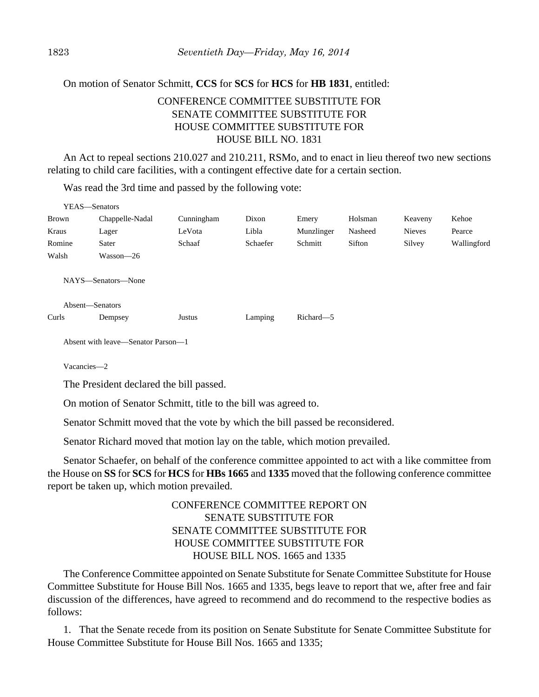### On motion of Senator Schmitt, **CCS** for **SCS** for **HCS** for **HB 1831**, entitled:

# CONFERENCE COMMITTEE SUBSTITUTE FOR SENATE COMMITTEE SUBSTITUTE FOR HOUSE COMMITTEE SUBSTITUTE FOR HOUSE BILL NO. 1831

An Act to repeal sections 210.027 and 210.211, RSMo, and to enact in lieu thereof two new sections relating to child care facilities, with a contingent effective date for a certain section.

Was read the 3rd time and passed by the following vote:

| YEAS—Senators   |                    |            |          |            |         |               |             |
|-----------------|--------------------|------------|----------|------------|---------|---------------|-------------|
| Brown           | Chappelle-Nadal    | Cunningham | Dixon    | Emery      | Holsman | Keaveny       | Kehoe       |
| Kraus           | Lager              | LeVota     | Libla    | Munzlinger | Nasheed | <b>Nieves</b> | Pearce      |
| Romine          | Sater              | Schaaf     | Schaefer | Schmitt    | Sifton  | Silvey        | Wallingford |
| Walsh           | Wasson-26          |            |          |            |         |               |             |
|                 | NAYS—Senators—None |            |          |            |         |               |             |
| Absent-Senators |                    |            |          |            |         |               |             |
| Curls           | Dempsey            | Justus     | Lamping  | Richard-5  |         |               |             |

Absent with leave—Senator Parson—1

Vacancies—2

 $\frac{1}{2}$ 

The President declared the bill passed.

On motion of Senator Schmitt, title to the bill was agreed to.

Senator Schmitt moved that the vote by which the bill passed be reconsidered.

Senator Richard moved that motion lay on the table, which motion prevailed.

Senator Schaefer, on behalf of the conference committee appointed to act with a like committee from the House on **SS** for **SCS** for **HCS** for **HBs 1665** and **1335** moved that the following conference committee report be taken up, which motion prevailed.

> CONFERENCE COMMITTEE REPORT ON SENATE SUBSTITUTE FOR SENATE COMMITTEE SUBSTITUTE FOR HOUSE COMMITTEE SUBSTITUTE FOR HOUSE BILL NOS. 1665 and 1335

The Conference Committee appointed on Senate Substitute for Senate Committee Substitute for House Committee Substitute for House Bill Nos. 1665 and 1335, begs leave to report that we, after free and fair discussion of the differences, have agreed to recommend and do recommend to the respective bodies as follows:

1. That the Senate recede from its position on Senate Substitute for Senate Committee Substitute for House Committee Substitute for House Bill Nos. 1665 and 1335;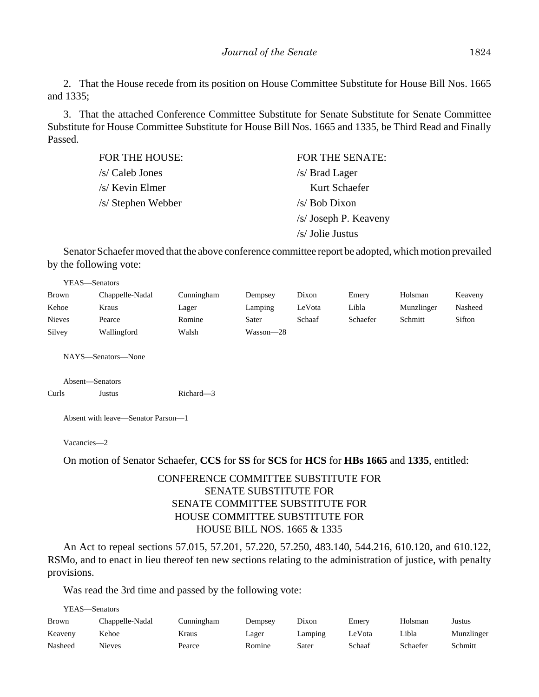2. That the House recede from its position on House Committee Substitute for House Bill Nos. 1665 and 1335;

3. That the attached Conference Committee Substitute for Senate Substitute for Senate Committee Substitute for House Committee Substitute for House Bill Nos. 1665 and 1335, be Third Read and Finally Passed.

| FOR THE HOUSE:     | <b>FOR THE SENATE:</b> |
|--------------------|------------------------|
| /s/ Caleb Jones    | /s/ Brad Lager         |
| /s/ Kevin Elmer    | Kurt Schaefer          |
| /s/ Stephen Webber | $/s$ Bob Dixon         |
|                    | /s/ Joseph P. Keaveny  |
|                    | /s/ Jolie Justus       |

Senator Schaefer moved that the above conference committee report be adopted, which motion prevailed by the following vote:

| YEAS—Senators |                 |            |           |        |          |            |         |
|---------------|-----------------|------------|-----------|--------|----------|------------|---------|
| <b>Brown</b>  | Chappelle-Nadal | Cunningham | Dempsey   | Dixon  | Emery    | Holsman    | Keaveny |
| Kehoe         | Kraus           | Lager      | Lamping   | LeVota | Libla    | Munzlinger | Nasheed |
| <b>Nieves</b> | Pearce          | Romine     | Sater     | Schaaf | Schaefer | Schmitt    | Sifton  |
| Silvey        | Wallingford     | Walsh      | Wasson—28 |        |          |            |         |

NAYS—Senators—None

Absent—Senators Curls Justus Richard—3

Absent with leave—Senator Parson—1

Vacancies—2

On motion of Senator Schaefer, **CCS** for **SS** for **SCS** for **HCS** for **HBs 1665** and **1335**, entitled:

# CONFERENCE COMMITTEE SUBSTITUTE FOR SENATE SUBSTITUTE FOR SENATE COMMITTEE SUBSTITUTE FOR HOUSE COMMITTEE SUBSTITUTE FOR HOUSE BILL NOS. 1665 & 1335

An Act to repeal sections 57.015, 57.201, 57.220, 57.250, 483.140, 544.216, 610.120, and 610.122, RSMo, and to enact in lieu thereof ten new sections relating to the administration of justice, with penalty provisions.

Was read the 3rd time and passed by the following vote:

YEAS—Senators

| <b>Brown</b> | Chappelle-Nadal | Cunningham | Dempsey | Dixon   | Emery  | Holsman  | Justus     |
|--------------|-----------------|------------|---------|---------|--------|----------|------------|
| Keaveny      | Kehoe           | Kraus      | Lager   | Lamping | LeVota | ∟ibla    | Munzlinger |
| Nasheed      | <b>Nieves</b>   | Pearce     | Romine  | Sater   | Schaaf | Schaefer | Schmitt    |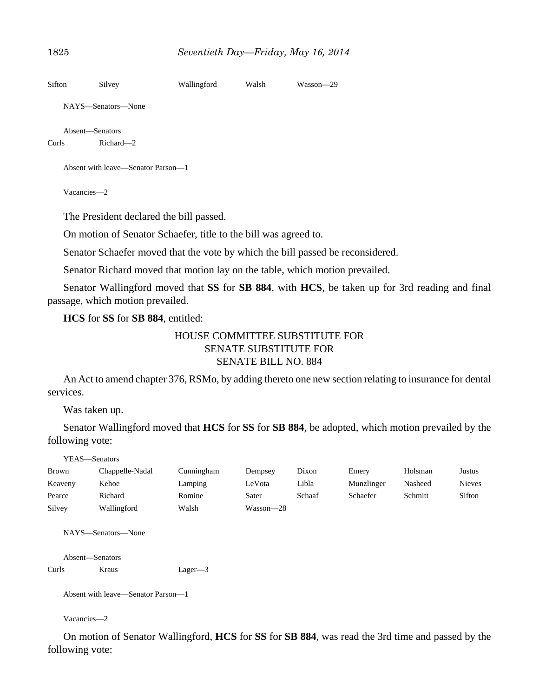```
Sifton Silvey Wallingford Walsh Wasson—29
   NAYS—Senators—None
   Absent—Senators
Curls Richard—2
   Absent with leave—Senator Parson—1
   Vacancies—2
   The President declared the bill passed.
   On motion of Senator Schaefer, title to the bill was agreed to.
   Senator Schaefer moved that the vote by which the bill passed be reconsidered.
```
Senator Richard moved that motion lay on the table, which motion prevailed.

Senator Wallingford moved that **SS** for **SB 884**, with **HCS**, be taken up for 3rd reading and final passage, which motion prevailed.

**HCS** for **SS** for **SB 884**, entitled:

## HOUSE COMMITTEE SUBSTITUTE FOR SENATE SUBSTITUTE FOR SENATE BILL NO. 884

An Act to amend chapter 376, RSMo, by adding thereto one new section relating to insurance for dental services.

Was taken up.

Senator Wallingford moved that **HCS** for **SS** for **SB 884**, be adopted, which motion prevailed by the following vote:

YEAS—Senators

| <b>Brown</b> | Chappelle-Nadal | Cunningham | Dempsey   | Dixon  | Emery      | Holsman | Justus        |
|--------------|-----------------|------------|-----------|--------|------------|---------|---------------|
| Keaveny      | Kehoe           | Lamping    | LeVota    | Libla  | Munzlinger | Nasheed | <b>Nieves</b> |
| Pearce       | Richard         | Romine     | Sater     | Schaaf | Schaefer   | Schmitt | Sifton        |
| Silvey       | Wallingford     | Walsh      | Wasson—28 |        |            |         |               |

NAYS—Senators—None

```
Absent—Senators
Curls Kraus Lager—3
```
Absent with leave—Senator Parson—1

Vacancies—2

On motion of Senator Wallingford, **HCS** for **SS** for **SB 884**, was read the 3rd time and passed by the following vote: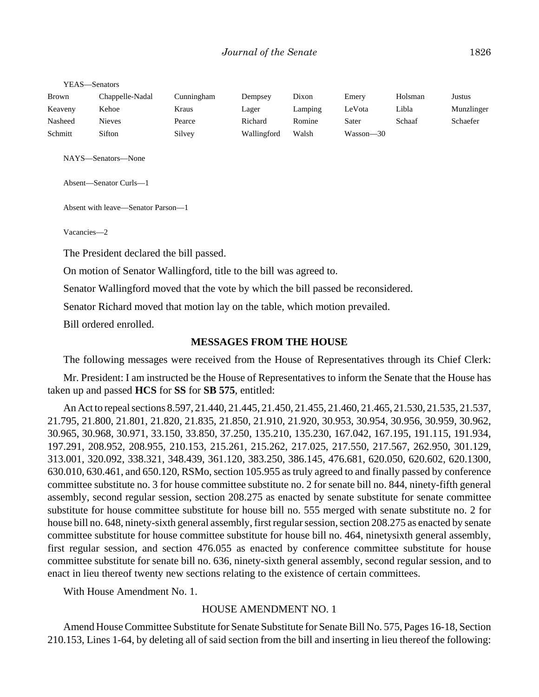YEAS—Senators

| <b>Brown</b> | Chappelle-Nadal | Cunningham | Dempsey     | Dixon   | Emerv     | Holsman | Justus     |
|--------------|-----------------|------------|-------------|---------|-----------|---------|------------|
| Keaveny      | Kehoe           | Kraus      | Lager       | Lamping | ∟eVota    | Libla   | Munzlinger |
| Nasheed      | Nieves          | Pearce     | Richard     | Romine  | Sater     | Schaaf  | Schaefer   |
| Schmitt      | Sifton          | Silvey     | Wallingford | Walsh   | Wasson—30 |         |            |

NAYS—Senators—None

Absent—Senator Curls—1

Absent with leave—Senator Parson—1

Vacancies—2

The President declared the bill passed.

On motion of Senator Wallingford, title to the bill was agreed to.

Senator Wallingford moved that the vote by which the bill passed be reconsidered.

Senator Richard moved that motion lay on the table, which motion prevailed.

Bill ordered enrolled.

#### **MESSAGES FROM THE HOUSE**

The following messages were received from the House of Representatives through its Chief Clerk:

Mr. President: I am instructed be the House of Representatives to inform the Senate that the House has taken up and passed **HCS** for **SS** for **SB 575**, entitled:

An Act to repeal sections 8.597, 21.440, 21.445, 21.450, 21.455, 21.460, 21.465, 21.530, 21.535, 21.537, 21.795, 21.800, 21.801, 21.820, 21.835, 21.850, 21.910, 21.920, 30.953, 30.954, 30.956, 30.959, 30.962, 30.965, 30.968, 30.971, 33.150, 33.850, 37.250, 135.210, 135.230, 167.042, 167.195, 191.115, 191.934, 197.291, 208.952, 208.955, 210.153, 215.261, 215.262, 217.025, 217.550, 217.567, 262.950, 301.129, 313.001, 320.092, 338.321, 348.439, 361.120, 383.250, 386.145, 476.681, 620.050, 620.602, 620.1300, 630.010, 630.461, and 650.120, RSMo, section 105.955 as truly agreed to and finally passed by conference committee substitute no. 3 for house committee substitute no. 2 for senate bill no. 844, ninety-fifth general assembly, second regular session, section 208.275 as enacted by senate substitute for senate committee substitute for house committee substitute for house bill no. 555 merged with senate substitute no. 2 for house bill no. 648, ninety-sixth general assembly, first regular session, section 208.275 as enacted by senate committee substitute for house committee substitute for house bill no. 464, ninetysixth general assembly, first regular session, and section 476.055 as enacted by conference committee substitute for house committee substitute for senate bill no. 636, ninety-sixth general assembly, second regular session, and to enact in lieu thereof twenty new sections relating to the existence of certain committees.

With House Amendment No. 1.

#### HOUSE AMENDMENT NO. 1

Amend House Committee Substitute for Senate Substitute for Senate Bill No. 575, Pages 16-18, Section 210.153, Lines 1-64, by deleting all of said section from the bill and inserting in lieu thereof the following: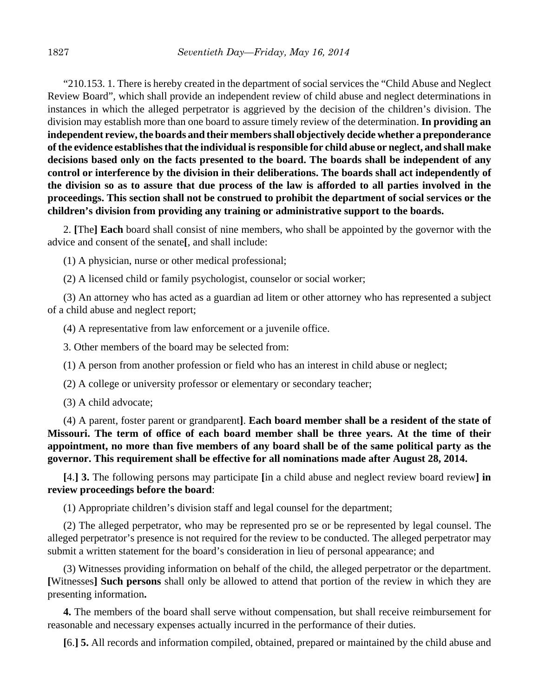"210.153. 1. There is hereby created in the department of social services the "Child Abuse and Neglect Review Board", which shall provide an independent review of child abuse and neglect determinations in instances in which the alleged perpetrator is aggrieved by the decision of the children's division. The division may establish more than one board to assure timely review of the determination. **In providing an independent review, the boards and their members shall objectively decide whether a preponderance of the evidence establishes that the individual is responsible for child abuse or neglect, and shall make decisions based only on the facts presented to the board. The boards shall be independent of any control or interference by the division in their deliberations. The boards shall act independently of the division so as to assure that due process of the law is afforded to all parties involved in the proceedings. This section shall not be construed to prohibit the department of social services or the children's division from providing any training or administrative support to the boards.**

2. **[**The**] Each** board shall consist of nine members, who shall be appointed by the governor with the advice and consent of the senate**[**, and shall include:

(1) A physician, nurse or other medical professional;

(2) A licensed child or family psychologist, counselor or social worker;

(3) An attorney who has acted as a guardian ad litem or other attorney who has represented a subject of a child abuse and neglect report;

(4) A representative from law enforcement or a juvenile office.

3. Other members of the board may be selected from:

(1) A person from another profession or field who has an interest in child abuse or neglect;

(2) A college or university professor or elementary or secondary teacher;

(3) A child advocate;

(4) A parent, foster parent or grandparent**]**. **Each board member shall be a resident of the state of Missouri. The term of office of each board member shall be three years. At the time of their appointment, no more than five members of any board shall be of the same political party as the governor. This requirement shall be effective for all nominations made after August 28, 2014.**

**[**4.**] 3.** The following persons may participate **[**in a child abuse and neglect review board review**] in review proceedings before the board**:

(1) Appropriate children's division staff and legal counsel for the department;

(2) The alleged perpetrator, who may be represented pro se or be represented by legal counsel. The alleged perpetrator's presence is not required for the review to be conducted. The alleged perpetrator may submit a written statement for the board's consideration in lieu of personal appearance; and

(3) Witnesses providing information on behalf of the child, the alleged perpetrator or the department. **[**Witnesses**] Such persons** shall only be allowed to attend that portion of the review in which they are presenting information**.**

**4.** The members of the board shall serve without compensation, but shall receive reimbursement for reasonable and necessary expenses actually incurred in the performance of their duties.

**[**6.**] 5.** All records and information compiled, obtained, prepared or maintained by the child abuse and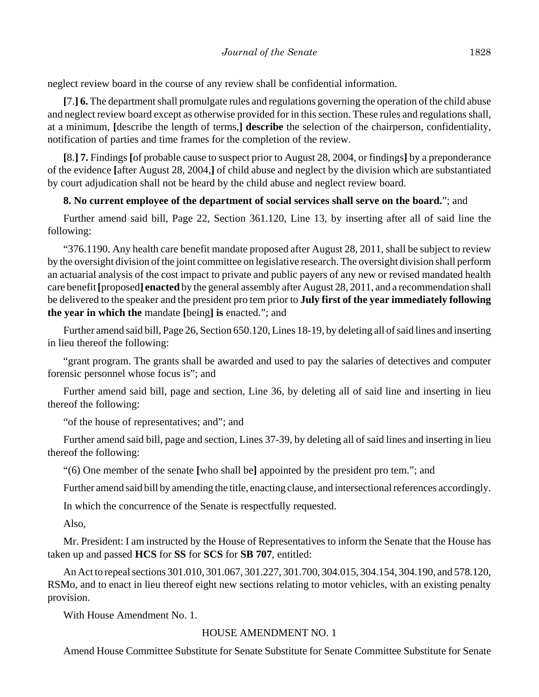neglect review board in the course of any review shall be confidential information.

**[**7.**] 6.** The department shall promulgate rules and regulations governing the operation of the child abuse and neglect review board except as otherwise provided for in this section. These rules and regulations shall, at a minimum, **[**describe the length of terms,**] describe** the selection of the chairperson, confidentiality, notification of parties and time frames for the completion of the review.

**[**8.**] 7.** Findings **[**of probable cause to suspect prior to August 28, 2004, or findings**]** by a preponderance of the evidence **[**after August 28, 2004,**]** of child abuse and neglect by the division which are substantiated by court adjudication shall not be heard by the child abuse and neglect review board.

## **8. No current employee of the department of social services shall serve on the board.**"; and

Further amend said bill, Page 22, Section 361.120, Line 13, by inserting after all of said line the following:

"376.1190. Any health care benefit mandate proposed after August 28, 2011, shall be subject to review by the oversight division of the joint committee on legislative research. The oversight division shall perform an actuarial analysis of the cost impact to private and public payers of any new or revised mandated health care benefit **[**proposed**] enacted** by the general assembly after August 28, 2011, and a recommendation shall be delivered to the speaker and the president pro tem prior to **July first of the year immediately following the year in which the** mandate **[**being**] is** enacted."; and

Further amend said bill, Page 26, Section 650.120, Lines 18-19, by deleting all of said lines and inserting in lieu thereof the following:

"grant program. The grants shall be awarded and used to pay the salaries of detectives and computer forensic personnel whose focus is"; and

Further amend said bill, page and section, Line 36, by deleting all of said line and inserting in lieu thereof the following:

"of the house of representatives; and"; and

Further amend said bill, page and section, Lines 37-39, by deleting all of said lines and inserting in lieu thereof the following:

"(6) One member of the senate **[**who shall be**]** appointed by the president pro tem."; and

Further amend said bill by amending the title, enacting clause, and intersectional references accordingly.

In which the concurrence of the Senate is respectfully requested.

Also,

Mr. President: I am instructed by the House of Representatives to inform the Senate that the House has taken up and passed **HCS** for **SS** for **SCS** for **SB 707**, entitled:

An Act to repeal sections 301.010, 301.067, 301.227, 301.700, 304.015, 304.154, 304.190, and 578.120, RSMo, and to enact in lieu thereof eight new sections relating to motor vehicles, with an existing penalty provision.

With House Amendment No. 1.

# HOUSE AMENDMENT NO. 1

Amend House Committee Substitute for Senate Substitute for Senate Committee Substitute for Senate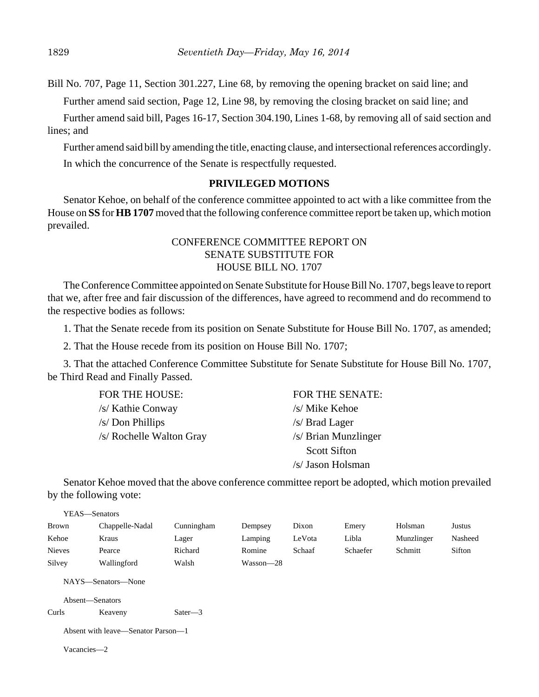Bill No. 707, Page 11, Section 301.227, Line 68, by removing the opening bracket on said line; and

Further amend said section, Page 12, Line 98, by removing the closing bracket on said line; and

Further amend said bill, Pages 16-17, Section 304.190, Lines 1-68, by removing all of said section and lines; and

Further amend said bill by amending the title, enacting clause, and intersectional references accordingly. In which the concurrence of the Senate is respectfully requested.

### **PRIVILEGED MOTIONS**

Senator Kehoe, on behalf of the conference committee appointed to act with a like committee from the House on **SS** for **HB 1707** moved that the following conference committee report be taken up, which motion prevailed.

# CONFERENCE COMMITTEE REPORT ON SENATE SUBSTITUTE FOR HOUSE BILL NO. 1707

The Conference Committee appointed on Senate Substitute for House Bill No. 1707, begs leave to report that we, after free and fair discussion of the differences, have agreed to recommend and do recommend to the respective bodies as follows:

1. That the Senate recede from its position on Senate Substitute for House Bill No. 1707, as amended;

2. That the House recede from its position on House Bill No. 1707;

3. That the attached Conference Committee Substitute for Senate Substitute for House Bill No. 1707, be Third Read and Finally Passed.

| FOR THE HOUSE:           | FOR THE SENATE:      |
|--------------------------|----------------------|
| /s/ Kathie Conway        | /s/ Mike Kehoe       |
| /s/ Don Phillips         | $/s/$ Brad Lager     |
| /s/ Rochelle Walton Gray | /s/ Brian Munzlinger |
|                          | <b>Scott Sifton</b>  |
|                          | /s/ Jason Holsman    |

Senator Kehoe moved that the above conference committee report be adopted, which motion prevailed by the following vote:

| YEAS—Senators |                 |            |           |        |          |            |         |
|---------------|-----------------|------------|-----------|--------|----------|------------|---------|
| <b>Brown</b>  | Chappelle-Nadal | Cunningham | Dempsey   | Dixon  | Emery    | Holsman    | Justus  |
| Kehoe         | Kraus           | Lager      | Lamping   | LeVota | Libla    | Munzlinger | Nasheed |
| <b>Nieves</b> | Pearce          | Richard    | Romine    | Schaaf | Schaefer | Schmitt    | Sifton  |
| Silvey        | Wallingford     | Walsh      | Wasson—28 |        |          |            |         |

NAYS—Senators—None

Absent—Senators

```
Curls Keaveny Sater—3
```

|  | Absent with leave—Senator Parson—1 |  |
|--|------------------------------------|--|
|  |                                    |  |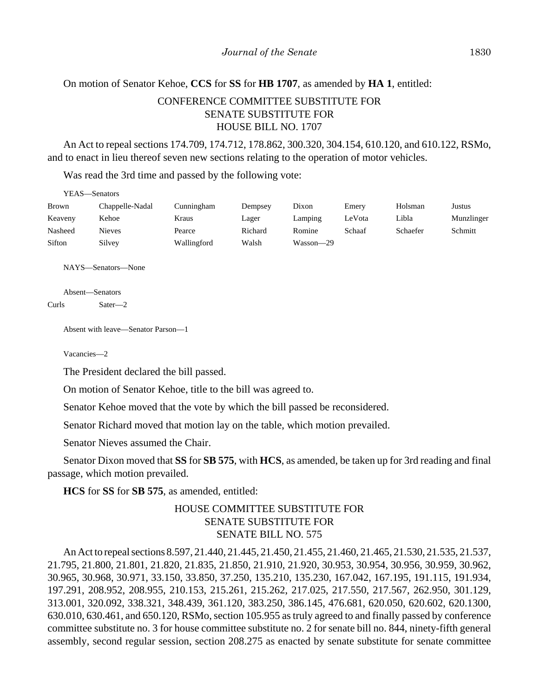## On motion of Senator Kehoe, **CCS** for **SS** for **HB 1707**, as amended by **HA 1**, entitled:

# CONFERENCE COMMITTEE SUBSTITUTE FOR SENATE SUBSTITUTE FOR HOUSE BILL NO. 1707

An Act to repeal sections 174.709, 174.712, 178.862, 300.320, 304.154, 610.120, and 610.122, RSMo, and to enact in lieu thereof seven new sections relating to the operation of motor vehicles.

Was read the 3rd time and passed by the following vote:

| YEAS—Senators |                 |             |         |           |        |          |            |  |  |
|---------------|-----------------|-------------|---------|-----------|--------|----------|------------|--|--|
| <b>Brown</b>  | Chappelle-Nadal | Cunningham  | Dempsey | Dixon     | Emery  | Holsman  | Justus     |  |  |
| Keaveny       | Kehoe           | Kraus       | Lager   | Lamping   | LeVota | Libla    | Munzlinger |  |  |
| Nasheed       | Nieves          | Pearce      | Richard | Romine    | Schaaf | Schaefer | Schmitt    |  |  |
| Sifton        | Silvey          | Wallingford | Walsh   | Wasson-29 |        |          |            |  |  |

NAYS—Senators—None

Absent—Senators Curls Sater—2

Absent with leave—Senator Parson—1

Vacancies—2

The President declared the bill passed.

On motion of Senator Kehoe, title to the bill was agreed to.

Senator Kehoe moved that the vote by which the bill passed be reconsidered.

Senator Richard moved that motion lay on the table, which motion prevailed.

Senator Nieves assumed the Chair.

Senator Dixon moved that **SS** for **SB 575**, with **HCS**, as amended, be taken up for 3rd reading and final passage, which motion prevailed.

**HCS** for **SS** for **SB 575**, as amended, entitled:

# HOUSE COMMITTEE SUBSTITUTE FOR SENATE SUBSTITUTE FOR SENATE BILL NO. 575

An Act to repeal sections 8.597, 21.440, 21.445, 21.450, 21.455, 21.460, 21.465, 21.530, 21.535, 21.537, 21.795, 21.800, 21.801, 21.820, 21.835, 21.850, 21.910, 21.920, 30.953, 30.954, 30.956, 30.959, 30.962, 30.965, 30.968, 30.971, 33.150, 33.850, 37.250, 135.210, 135.230, 167.042, 167.195, 191.115, 191.934, 197.291, 208.952, 208.955, 210.153, 215.261, 215.262, 217.025, 217.550, 217.567, 262.950, 301.129, 313.001, 320.092, 338.321, 348.439, 361.120, 383.250, 386.145, 476.681, 620.050, 620.602, 620.1300, 630.010, 630.461, and 650.120, RSMo, section 105.955 as truly agreed to and finally passed by conference committee substitute no. 3 for house committee substitute no. 2 for senate bill no. 844, ninety-fifth general assembly, second regular session, section 208.275 as enacted by senate substitute for senate committee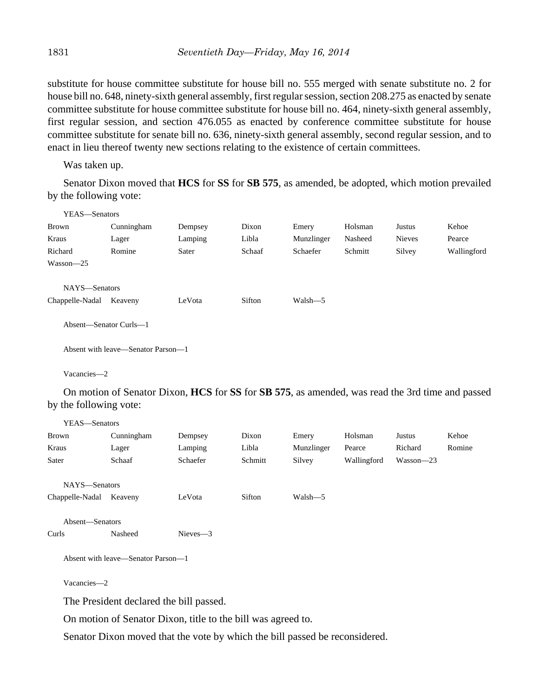substitute for house committee substitute for house bill no. 555 merged with senate substitute no. 2 for house bill no. 648, ninety-sixth general assembly, first regular session, section 208.275 as enacted by senate committee substitute for house committee substitute for house bill no. 464, ninety-sixth general assembly, first regular session, and section 476.055 as enacted by conference committee substitute for house committee substitute for senate bill no. 636, ninety-sixth general assembly, second regular session, and to enact in lieu thereof twenty new sections relating to the existence of certain committees.

Was taken up.

Senator Dixon moved that **HCS** for **SS** for **SB 575**, as amended, be adopted, which motion prevailed by the following vote:

| Kehoe       |
|-------------|
| Pearce      |
| Wallingford |
|             |
|             |
|             |
|             |
|             |
|             |
|             |
|             |
|             |
|             |

On motion of Senator Dixon, **HCS** for **SS** for **SB 575**, as amended, was read the 3rd time and passed by the following vote:

| YEAS-Senators   |                                         |             |         |            |             |           |        |
|-----------------|-----------------------------------------|-------------|---------|------------|-------------|-----------|--------|
| Brown           | Cunningham                              | Dempsey     | Dixon   | Emery      | Holsman     | Justus    | Kehoe  |
| Kraus           | Lager                                   | Lamping     | Libla   | Munzlinger | Pearce      | Richard   | Romine |
| Sater           | Schaaf                                  | Schaefer    | Schmitt | Silvey     | Wallingford | Wasson-23 |        |
| NAYS-Senators   |                                         |             |         |            |             |           |        |
| Chappelle-Nadal | Keaveny                                 | LeVota      | Sifton  | Walsh-5    |             |           |        |
| Absent-Senators |                                         |             |         |            |             |           |        |
| Curls           | Nasheed                                 | $Nieves -3$ |         |            |             |           |        |
|                 | Absent with leave—Senator Parson—1      |             |         |            |             |           |        |
| Vacancies-2     |                                         |             |         |            |             |           |        |
|                 | The President declared the bill passed. |             |         |            |             |           |        |

On motion of Senator Dixon, title to the bill was agreed to.

Senator Dixon moved that the vote by which the bill passed be reconsidered.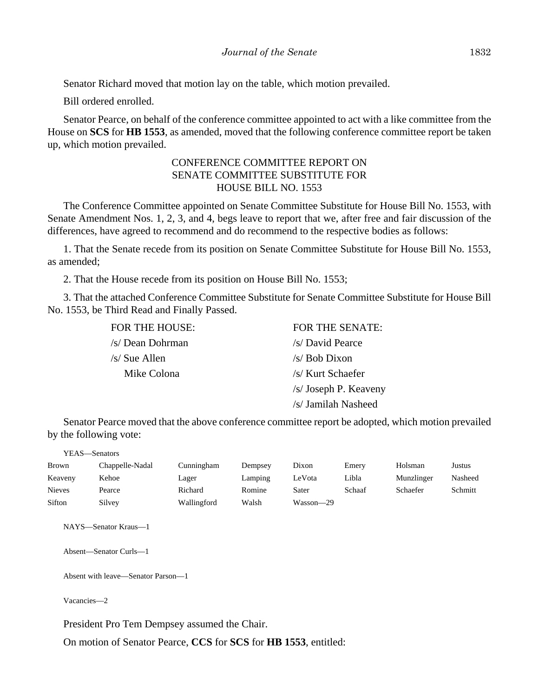Senator Richard moved that motion lay on the table, which motion prevailed.

Bill ordered enrolled.

Senator Pearce, on behalf of the conference committee appointed to act with a like committee from the House on **SCS** for **HB 1553**, as amended, moved that the following conference committee report be taken up, which motion prevailed.

## CONFERENCE COMMITTEE REPORT ON SENATE COMMITTEE SUBSTITUTE FOR HOUSE BILL NO. 1553

The Conference Committee appointed on Senate Committee Substitute for House Bill No. 1553, with Senate Amendment Nos. 1, 2, 3, and 4, begs leave to report that we, after free and fair discussion of the differences, have agreed to recommend and do recommend to the respective bodies as follows:

1. That the Senate recede from its position on Senate Committee Substitute for House Bill No. 1553, as amended;

2. That the House recede from its position on House Bill No. 1553;

3. That the attached Conference Committee Substitute for Senate Committee Substitute for House Bill No. 1553, be Third Read and Finally Passed.

| <b>FOR THE HOUSE:</b> | FOR THE SENATE:       |
|-----------------------|-----------------------|
| /s/ Dean Dohrman      | /s/ David Pearce      |
| $/s/$ Sue Allen       | /s/ Bob Dixon         |
| Mike Colona           | /s/ Kurt Schaefer     |
|                       | /s/ Joseph P. Keaveny |
|                       | /s/ Jamilah Nasheed   |

Senator Pearce moved that the above conference committee report be adopted, which motion prevailed by the following vote:

|               | YEAS—Senators   |             |         |           |        |            |         |
|---------------|-----------------|-------------|---------|-----------|--------|------------|---------|
| Brown         | Chappelle-Nadal | Cunningham  | Dempsey | Dixon     | Emery  | Holsman    | Justus  |
| Keaveny       | Kehoe           | Lager       | Lamping | LeVota    | Libla  | Munzlinger | Nasheed |
| <b>Nieves</b> | Pearce          | Richard     | Romine  | Sater     | Schaaf | Schaefer   | Schmitt |
| Sifton        | Silvey          | Wallingford | Walsh   | Wasson-29 |        |            |         |
|               |                 |             |         |           |        |            |         |

NAYS—Senator Kraus—1

Absent—Senator Curls—1

Absent with leave—Senator Parson—1

Vacancies—2

President Pro Tem Dempsey assumed the Chair.

On motion of Senator Pearce, **CCS** for **SCS** for **HB 1553**, entitled: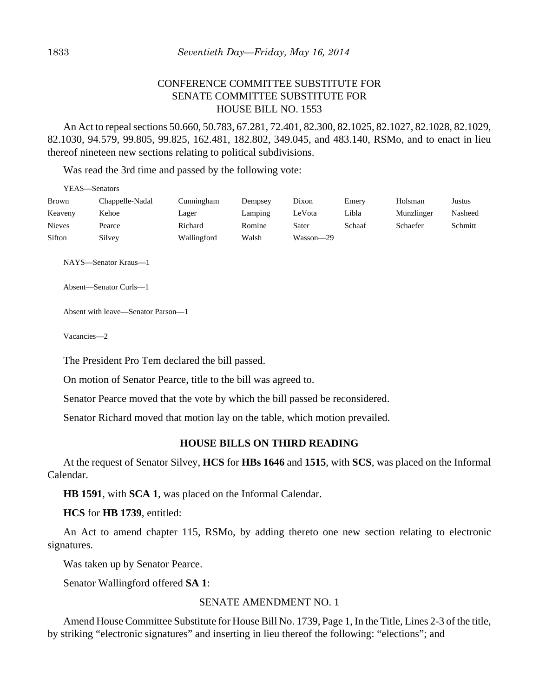# CONFERENCE COMMITTEE SUBSTITUTE FOR SENATE COMMITTEE SUBSTITUTE FOR HOUSE BILL NO. 1553

An Act to repeal sections 50.660, 50.783, 67.281, 72.401, 82.300, 82.1025, 82.1027, 82.1028, 82.1029, 82.1030, 94.579, 99.805, 99.825, 162.481, 182.802, 349.045, and 483.140, RSMo, and to enact in lieu thereof nineteen new sections relating to political subdivisions.

Was read the 3rd time and passed by the following vote:

|               | YEAS—Senators   |             |         |           |        |            |         |
|---------------|-----------------|-------------|---------|-----------|--------|------------|---------|
| <b>Brown</b>  | Chappelle-Nadal | Cunningham  | Dempsey | Dixon     | Emery  | Holsman    | Justus  |
| Keaveny       | Kehoe           | Lager       | Lamping | LeVota    | Libla  | Munzlinger | Nasheed |
| <b>Nieves</b> | Pearce          | Richard     | Romine  | Sater     | Schaaf | Schaefer   | Schmitt |
| Sifton        | Silvey          | Wallingford | Walsh   | Wasson—29 |        |            |         |
|               |                 |             |         |           |        |            |         |

NAYS—Senator Kraus—1

Absent—Senator Curls—1

Absent with leave—Senator Parson—1

Vacancies—2

The President Pro Tem declared the bill passed.

On motion of Senator Pearce, title to the bill was agreed to.

Senator Pearce moved that the vote by which the bill passed be reconsidered.

Senator Richard moved that motion lay on the table, which motion prevailed.

## **HOUSE BILLS ON THIRD READING**

At the request of Senator Silvey, **HCS** for **HBs 1646** and **1515**, with **SCS**, was placed on the Informal Calendar.

**HB 1591**, with **SCA 1**, was placed on the Informal Calendar.

**HCS** for **HB 1739**, entitled:

An Act to amend chapter 115, RSMo, by adding thereto one new section relating to electronic signatures.

Was taken up by Senator Pearce.

Senator Wallingford offered **SA 1**:

## SENATE AMENDMENT NO. 1

Amend House Committee Substitute for House Bill No. 1739, Page 1, In the Title, Lines 2-3 of the title, by striking "electronic signatures" and inserting in lieu thereof the following: "elections"; and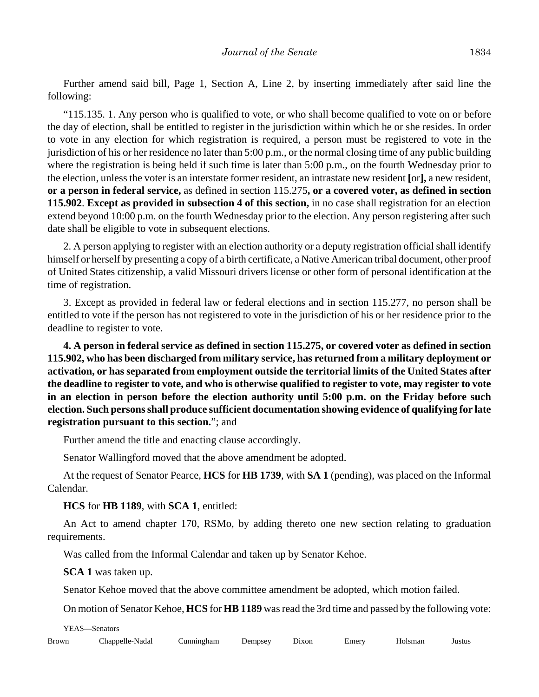Further amend said bill, Page 1, Section A, Line 2, by inserting immediately after said line the following:

"115.135. 1. Any person who is qualified to vote, or who shall become qualified to vote on or before the day of election, shall be entitled to register in the jurisdiction within which he or she resides. In order to vote in any election for which registration is required, a person must be registered to vote in the jurisdiction of his or her residence no later than 5:00 p.m., or the normal closing time of any public building where the registration is being held if such time is later than 5:00 p.m., on the fourth Wednesday prior to the election, unless the voter is an interstate former resident, an intrastate new resident **[**or**],** a new resident, **or a person in federal service,** as defined in section 115.275**, or a covered voter, as defined in section 115.902**. **Except as provided in subsection 4 of this section,** in no case shall registration for an election extend beyond 10:00 p.m. on the fourth Wednesday prior to the election. Any person registering after such date shall be eligible to vote in subsequent elections.

2. A person applying to register with an election authority or a deputy registration official shall identify himself or herself by presenting a copy of a birth certificate, a Native American tribal document, other proof of United States citizenship, a valid Missouri drivers license or other form of personal identification at the time of registration.

3. Except as provided in federal law or federal elections and in section 115.277, no person shall be entitled to vote if the person has not registered to vote in the jurisdiction of his or her residence prior to the deadline to register to vote.

**4. A person in federal service as defined in section 115.275, or covered voter as defined in section 115.902, who has been discharged from military service, has returned from a military deployment or activation, or has separated from employment outside the territorial limits of the United States after the deadline to register to vote, and who is otherwise qualified to register to vote, may register to vote in an election in person before the election authority until 5:00 p.m. on the Friday before such election. Such persons shall produce sufficient documentation showing evidence of qualifying for late registration pursuant to this section.**"; and

Further amend the title and enacting clause accordingly.

Senator Wallingford moved that the above amendment be adopted.

At the request of Senator Pearce, **HCS** for **HB 1739**, with **SA 1** (pending), was placed on the Informal Calendar.

**HCS** for **HB 1189**, with **SCA 1**, entitled:

An Act to amend chapter 170, RSMo, by adding thereto one new section relating to graduation requirements.

Was called from the Informal Calendar and taken up by Senator Kehoe.

**SCA 1** was taken up.

Senator Kehoe moved that the above committee amendment be adopted, which motion failed.

On motion of Senator Kehoe, **HCS** for **HB 1189** was read the 3rd time and passed by the following vote:

YEAS—Senators

| Brown | Chappelle-Nadal | ∆unnıngham<br>the contract of the contract of the contract of the contract of the contract of | Dempsey | <b>Jixon</b> | Emerv | Holsman | Justus |
|-------|-----------------|-----------------------------------------------------------------------------------------------|---------|--------------|-------|---------|--------|
|-------|-----------------|-----------------------------------------------------------------------------------------------|---------|--------------|-------|---------|--------|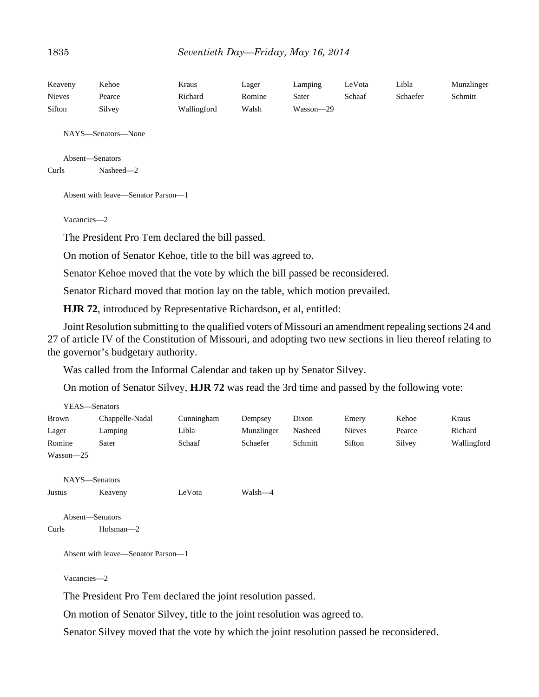| Keaveny       | Kehoe  | Kraus       | Lager  | Lamping   | LeVota | Libla    | Munzlinger |
|---------------|--------|-------------|--------|-----------|--------|----------|------------|
| <b>Nieves</b> | Pearce | Richard     | Romine | Sater     | Schaaf | Schaefer | Schmitt    |
| Sifton        | Silvey | Wallingford | Walsh  | Wasson-29 |        |          |            |

NAYS—Senators—None

```
Absent—Senators
Curls Nasheed—2
```
Absent with leave—Senator Parson—1

Vacancies—2

The President Pro Tem declared the bill passed.

On motion of Senator Kehoe, title to the bill was agreed to.

Senator Kehoe moved that the vote by which the bill passed be reconsidered.

Senator Richard moved that motion lay on the table, which motion prevailed.

**HJR 72**, introduced by Representative Richardson, et al, entitled:

Joint Resolution submitting to the qualified voters of Missouri an amendment repealing sections 24 and 27 of article IV of the Constitution of Missouri, and adopting two new sections in lieu thereof relating to the governor's budgetary authority.

Was called from the Informal Calendar and taken up by Senator Silvey.

On motion of Senator Silvey, **HJR 72** was read the 3rd time and passed by the following vote:

|              | YEAS-Senators                      |            |            |         |               |        |             |
|--------------|------------------------------------|------------|------------|---------|---------------|--------|-------------|
| <b>Brown</b> | Chappelle-Nadal                    | Cunningham | Dempsey    | Dixon   | Emery         | Kehoe  | Kraus       |
| Lager        | Lamping                            | Libla      | Munzlinger | Nasheed | <b>Nieves</b> | Pearce | Richard     |
| Romine       | Sater                              | Schaaf     | Schaefer   | Schmitt | Sifton        | Silvey | Wallingford |
| Wasson-25    |                                    |            |            |         |               |        |             |
|              | NAYS-Senators                      |            |            |         |               |        |             |
| Justus       | Keaveny                            | LeVota     | Walsh—4    |         |               |        |             |
|              | Absent-Senators                    |            |            |         |               |        |             |
| Curls        | $Holsman-2$                        |            |            |         |               |        |             |
|              | Absent with leave—Senator Parson—1 |            |            |         |               |        |             |
| Vacancies-2  |                                    |            |            |         |               |        |             |

The President Pro Tem declared the joint resolution passed.

On motion of Senator Silvey, title to the joint resolution was agreed to.

Senator Silvey moved that the vote by which the joint resolution passed be reconsidered.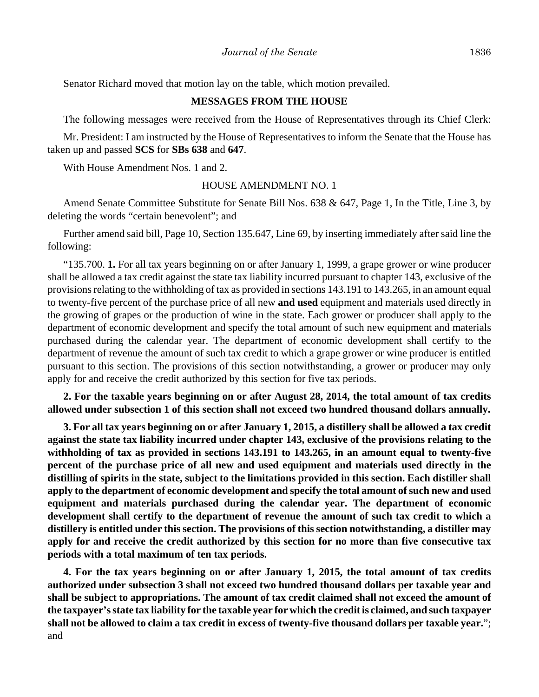Senator Richard moved that motion lay on the table, which motion prevailed.

## **MESSAGES FROM THE HOUSE**

The following messages were received from the House of Representatives through its Chief Clerk:

Mr. President: I am instructed by the House of Representatives to inform the Senate that the House has taken up and passed **SCS** for **SBs 638** and **647**.

With House Amendment Nos. 1 and 2.

#### HOUSE AMENDMENT NO. 1

Amend Senate Committee Substitute for Senate Bill Nos. 638 & 647, Page 1, In the Title, Line 3, by deleting the words "certain benevolent"; and

Further amend said bill, Page 10, Section 135.647, Line 69, by inserting immediately after said line the following:

"135.700. **1.** For all tax years beginning on or after January 1, 1999, a grape grower or wine producer shall be allowed a tax credit against the state tax liability incurred pursuant to chapter 143, exclusive of the provisions relating to the withholding of tax as provided in sections 143.191 to 143.265, in an amount equal to twenty-five percent of the purchase price of all new **and used** equipment and materials used directly in the growing of grapes or the production of wine in the state. Each grower or producer shall apply to the department of economic development and specify the total amount of such new equipment and materials purchased during the calendar year. The department of economic development shall certify to the department of revenue the amount of such tax credit to which a grape grower or wine producer is entitled pursuant to this section. The provisions of this section notwithstanding, a grower or producer may only apply for and receive the credit authorized by this section for five tax periods.

**2. For the taxable years beginning on or after August 28, 2014, the total amount of tax credits allowed under subsection 1 of this section shall not exceed two hundred thousand dollars annually.**

**3. For all tax years beginning on or after January 1, 2015, a distillery shall be allowed a tax credit against the state tax liability incurred under chapter 143, exclusive of the provisions relating to the withholding of tax as provided in sections 143.191 to 143.265, in an amount equal to twenty-five percent of the purchase price of all new and used equipment and materials used directly in the distilling of spirits in the state, subject to the limitations provided in this section. Each distiller shall apply to the department of economic development and specify the total amount of such new and used equipment and materials purchased during the calendar year. The department of economic development shall certify to the department of revenue the amount of such tax credit to which a distillery is entitled under this section. The provisions of this section notwithstanding, a distiller may apply for and receive the credit authorized by this section for no more than five consecutive tax periods with a total maximum of ten tax periods.**

**4. For the tax years beginning on or after January 1, 2015, the total amount of tax credits authorized under subsection 3 shall not exceed two hundred thousand dollars per taxable year and shall be subject to appropriations. The amount of tax credit claimed shall not exceed the amount of the taxpayer's state tax liability for the taxable year for which the credit is claimed, and such taxpayer shall not be allowed to claim a tax credit in excess of twenty-five thousand dollars per taxable year.**"; and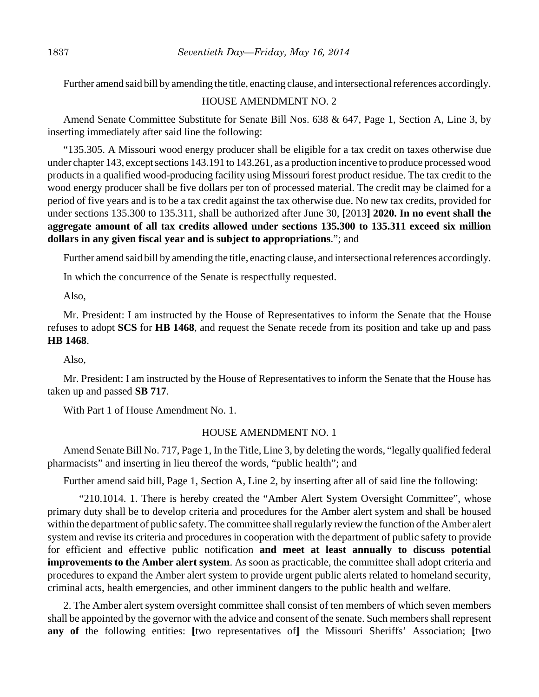Further amend said bill by amending the title, enacting clause, and intersectional references accordingly.

## HOUSE AMENDMENT NO. 2

Amend Senate Committee Substitute for Senate Bill Nos. 638 & 647, Page 1, Section A, Line 3, by inserting immediately after said line the following:

"135.305. A Missouri wood energy producer shall be eligible for a tax credit on taxes otherwise due under chapter 143, except sections 143.191 to 143.261, as a production incentive to produce processed wood products in a qualified wood-producing facility using Missouri forest product residue. The tax credit to the wood energy producer shall be five dollars per ton of processed material. The credit may be claimed for a period of five years and is to be a tax credit against the tax otherwise due. No new tax credits, provided for under sections 135.300 to 135.311, shall be authorized after June 30, **[**2013**] 2020. In no event shall the aggregate amount of all tax credits allowed under sections 135.300 to 135.311 exceed six million dollars in any given fiscal year and is subject to appropriations**."; and

Further amend said bill by amending the title, enacting clause, and intersectional references accordingly.

In which the concurrence of the Senate is respectfully requested.

Also,

Mr. President: I am instructed by the House of Representatives to inform the Senate that the House refuses to adopt **SCS** for **HB 1468**, and request the Senate recede from its position and take up and pass **HB 1468**.

Also,

Mr. President: I am instructed by the House of Representatives to inform the Senate that the House has taken up and passed **SB 717**.

With Part 1 of House Amendment No. 1.

#### HOUSE AMENDMENT NO. 1

Amend Senate Bill No. 717, Page 1, In the Title, Line 3, by deleting the words, "legally qualified federal pharmacists" and inserting in lieu thereof the words, "public health"; and

Further amend said bill, Page 1, Section A, Line 2, by inserting after all of said line the following:

"210.1014. 1. There is hereby created the "Amber Alert System Oversight Committee", whose primary duty shall be to develop criteria and procedures for the Amber alert system and shall be housed within the department of public safety. The committee shall regularly review the function of the Amber alert system and revise its criteria and procedures in cooperation with the department of public safety to provide for efficient and effective public notification **and meet at least annually to discuss potential improvements to the Amber alert system**. As soon as practicable, the committee shall adopt criteria and procedures to expand the Amber alert system to provide urgent public alerts related to homeland security, criminal acts, health emergencies, and other imminent dangers to the public health and welfare.

2. The Amber alert system oversight committee shall consist of ten members of which seven members shall be appointed by the governor with the advice and consent of the senate. Such members shall represent **any of** the following entities: **[**two representatives of**]** the Missouri Sheriffs' Association; **[**two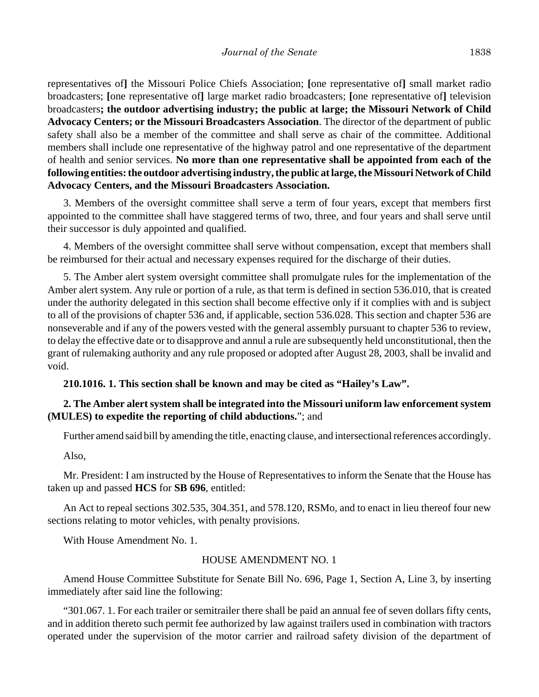representatives of**]** the Missouri Police Chiefs Association; **[**one representative of**]** small market radio broadcasters; **[**one representative of**]** large market radio broadcasters; **[**one representative of**]** television broadcasters**; the outdoor advertising industry; the public at large; the Missouri Network of Child Advocacy Centers; or the Missouri Broadcasters Association**. The director of the department of public safety shall also be a member of the committee and shall serve as chair of the committee. Additional members shall include one representative of the highway patrol and one representative of the department of health and senior services. **No more than one representative shall be appointed from each of the following entities: the outdoor advertising industry, the public at large, the Missouri Network of Child Advocacy Centers, and the Missouri Broadcasters Association.**

3. Members of the oversight committee shall serve a term of four years, except that members first appointed to the committee shall have staggered terms of two, three, and four years and shall serve until their successor is duly appointed and qualified.

4. Members of the oversight committee shall serve without compensation, except that members shall be reimbursed for their actual and necessary expenses required for the discharge of their duties.

5. The Amber alert system oversight committee shall promulgate rules for the implementation of the Amber alert system. Any rule or portion of a rule, as that term is defined in section 536.010, that is created under the authority delegated in this section shall become effective only if it complies with and is subject to all of the provisions of chapter 536 and, if applicable, section 536.028. This section and chapter 536 are nonseverable and if any of the powers vested with the general assembly pursuant to chapter 536 to review, to delay the effective date or to disapprove and annul a rule are subsequently held unconstitutional, then the grant of rulemaking authority and any rule proposed or adopted after August 28, 2003, shall be invalid and void.

### **210.1016. 1. This section shall be known and may be cited as "Hailey's Law".**

## **2. The Amber alert system shall be integrated into the Missouri uniform law enforcement system (MULES) to expedite the reporting of child abductions.**"; and

Further amend said bill by amending the title, enacting clause, and intersectional references accordingly.

Also,

Mr. President: I am instructed by the House of Representatives to inform the Senate that the House has taken up and passed **HCS** for **SB 696**, entitled:

An Act to repeal sections 302.535, 304.351, and 578.120, RSMo, and to enact in lieu thereof four new sections relating to motor vehicles, with penalty provisions.

With House Amendment No. 1.

#### HOUSE AMENDMENT NO. 1

Amend House Committee Substitute for Senate Bill No. 696, Page 1, Section A, Line 3, by inserting immediately after said line the following:

"301.067. 1. For each trailer or semitrailer there shall be paid an annual fee of seven dollars fifty cents, and in addition thereto such permit fee authorized by law against trailers used in combination with tractors operated under the supervision of the motor carrier and railroad safety division of the department of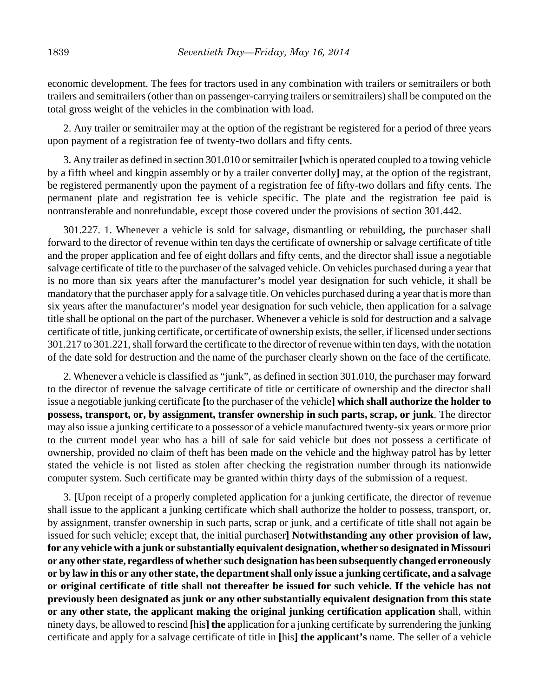economic development. The fees for tractors used in any combination with trailers or semitrailers or both trailers and semitrailers (other than on passenger-carrying trailers or semitrailers) shall be computed on the total gross weight of the vehicles in the combination with load.

2. Any trailer or semitrailer may at the option of the registrant be registered for a period of three years upon payment of a registration fee of twenty-two dollars and fifty cents.

3. Any trailer as defined in section 301.010 or semitrailer **[**which is operated coupled to a towing vehicle by a fifth wheel and kingpin assembly or by a trailer converter dolly**]** may, at the option of the registrant, be registered permanently upon the payment of a registration fee of fifty-two dollars and fifty cents. The permanent plate and registration fee is vehicle specific. The plate and the registration fee paid is nontransferable and nonrefundable, except those covered under the provisions of section 301.442.

301.227. 1. Whenever a vehicle is sold for salvage, dismantling or rebuilding, the purchaser shall forward to the director of revenue within ten days the certificate of ownership or salvage certificate of title and the proper application and fee of eight dollars and fifty cents, and the director shall issue a negotiable salvage certificate of title to the purchaser of the salvaged vehicle. On vehicles purchased during a year that is no more than six years after the manufacturer's model year designation for such vehicle, it shall be mandatory that the purchaser apply for a salvage title. On vehicles purchased during a year that is more than six years after the manufacturer's model year designation for such vehicle, then application for a salvage title shall be optional on the part of the purchaser. Whenever a vehicle is sold for destruction and a salvage certificate of title, junking certificate, or certificate of ownership exists, the seller, if licensed under sections 301.217 to 301.221, shall forward the certificate to the director of revenue within ten days, with the notation of the date sold for destruction and the name of the purchaser clearly shown on the face of the certificate.

2. Whenever a vehicle is classified as "junk", as defined in section 301.010, the purchaser may forward to the director of revenue the salvage certificate of title or certificate of ownership and the director shall issue a negotiable junking certificate **[**to the purchaser of the vehicle**] which shall authorize the holder to possess, transport, or, by assignment, transfer ownership in such parts, scrap, or junk**. The director may also issue a junking certificate to a possessor of a vehicle manufactured twenty-six years or more prior to the current model year who has a bill of sale for said vehicle but does not possess a certificate of ownership, provided no claim of theft has been made on the vehicle and the highway patrol has by letter stated the vehicle is not listed as stolen after checking the registration number through its nationwide computer system. Such certificate may be granted within thirty days of the submission of a request.

3. **[**Upon receipt of a properly completed application for a junking certificate, the director of revenue shall issue to the applicant a junking certificate which shall authorize the holder to possess, transport, or, by assignment, transfer ownership in such parts, scrap or junk, and a certificate of title shall not again be issued for such vehicle; except that, the initial purchaser**] Notwithstanding any other provision of law, for any vehicle with a junk or substantially equivalent designation, whether so designated in Missouri or any other state, regardless of whether such designation has been subsequently changed erroneously or by law in this or any other state, the department shall only issue a junking certificate, and a salvage or original certificate of title shall not thereafter be issued for such vehicle. If the vehicle has not previously been designated as junk or any other substantially equivalent designation from this state or any other state, the applicant making the original junking certification application** shall, within ninety days, be allowed to rescind **[**his**] the** application for a junking certificate by surrendering the junking certificate and apply for a salvage certificate of title in **[**his**] the applicant's** name. The seller of a vehicle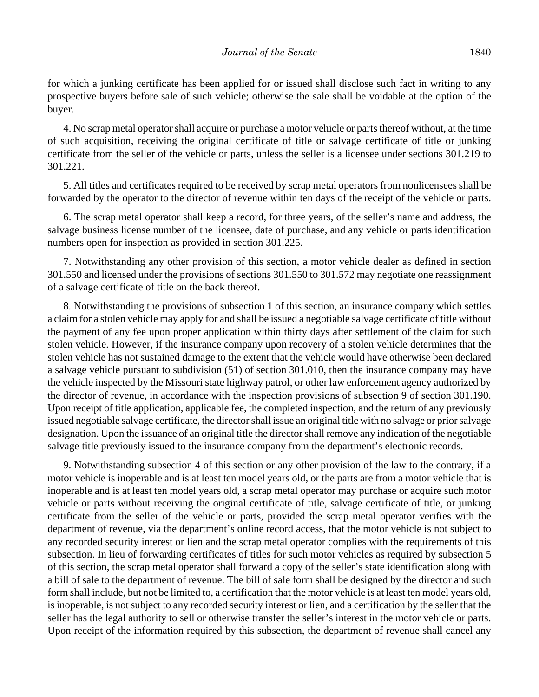for which a junking certificate has been applied for or issued shall disclose such fact in writing to any prospective buyers before sale of such vehicle; otherwise the sale shall be voidable at the option of the buyer.

4. No scrap metal operator shall acquire or purchase a motor vehicle or parts thereof without, at the time of such acquisition, receiving the original certificate of title or salvage certificate of title or junking certificate from the seller of the vehicle or parts, unless the seller is a licensee under sections 301.219 to 301.221.

5. All titles and certificates required to be received by scrap metal operators from nonlicensees shall be forwarded by the operator to the director of revenue within ten days of the receipt of the vehicle or parts.

6. The scrap metal operator shall keep a record, for three years, of the seller's name and address, the salvage business license number of the licensee, date of purchase, and any vehicle or parts identification numbers open for inspection as provided in section 301.225.

7. Notwithstanding any other provision of this section, a motor vehicle dealer as defined in section 301.550 and licensed under the provisions of sections 301.550 to 301.572 may negotiate one reassignment of a salvage certificate of title on the back thereof.

8. Notwithstanding the provisions of subsection 1 of this section, an insurance company which settles a claim for a stolen vehicle may apply for and shall be issued a negotiable salvage certificate of title without the payment of any fee upon proper application within thirty days after settlement of the claim for such stolen vehicle. However, if the insurance company upon recovery of a stolen vehicle determines that the stolen vehicle has not sustained damage to the extent that the vehicle would have otherwise been declared a salvage vehicle pursuant to subdivision (51) of section 301.010, then the insurance company may have the vehicle inspected by the Missouri state highway patrol, or other law enforcement agency authorized by the director of revenue, in accordance with the inspection provisions of subsection 9 of section 301.190. Upon receipt of title application, applicable fee, the completed inspection, and the return of any previously issued negotiable salvage certificate, the director shall issue an original title with no salvage or prior salvage designation. Upon the issuance of an original title the director shall remove any indication of the negotiable salvage title previously issued to the insurance company from the department's electronic records.

9. Notwithstanding subsection 4 of this section or any other provision of the law to the contrary, if a motor vehicle is inoperable and is at least ten model years old, or the parts are from a motor vehicle that is inoperable and is at least ten model years old, a scrap metal operator may purchase or acquire such motor vehicle or parts without receiving the original certificate of title, salvage certificate of title, or junking certificate from the seller of the vehicle or parts, provided the scrap metal operator verifies with the department of revenue, via the department's online record access, that the motor vehicle is not subject to any recorded security interest or lien and the scrap metal operator complies with the requirements of this subsection. In lieu of forwarding certificates of titles for such motor vehicles as required by subsection 5 of this section, the scrap metal operator shall forward a copy of the seller's state identification along with a bill of sale to the department of revenue. The bill of sale form shall be designed by the director and such form shall include, but not be limited to, a certification that the motor vehicle is at least ten model years old, is inoperable, is not subject to any recorded security interest or lien, and a certification by the seller that the seller has the legal authority to sell or otherwise transfer the seller's interest in the motor vehicle or parts. Upon receipt of the information required by this subsection, the department of revenue shall cancel any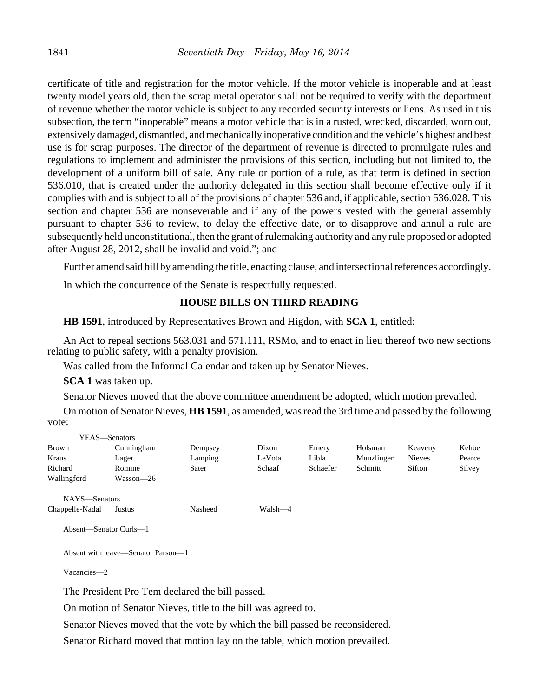certificate of title and registration for the motor vehicle. If the motor vehicle is inoperable and at least twenty model years old, then the scrap metal operator shall not be required to verify with the department of revenue whether the motor vehicle is subject to any recorded security interests or liens. As used in this subsection, the term "inoperable" means a motor vehicle that is in a rusted, wrecked, discarded, worn out, extensively damaged, dismantled, and mechanically inoperative condition and the vehicle's highest and best use is for scrap purposes. The director of the department of revenue is directed to promulgate rules and regulations to implement and administer the provisions of this section, including but not limited to, the development of a uniform bill of sale. Any rule or portion of a rule, as that term is defined in section 536.010, that is created under the authority delegated in this section shall become effective only if it complies with and is subject to all of the provisions of chapter 536 and, if applicable, section 536.028. This section and chapter 536 are nonseverable and if any of the powers vested with the general assembly pursuant to chapter 536 to review, to delay the effective date, or to disapprove and annul a rule are subsequently held unconstitutional, then the grant of rulemaking authority and any rule proposed or adopted after August 28, 2012, shall be invalid and void."; and

Further amend said bill by amending the title, enacting clause, and intersectional references accordingly.

In which the concurrence of the Senate is respectfully requested.

## **HOUSE BILLS ON THIRD READING**

**HB 1591**, introduced by Representatives Brown and Higdon, with **SCA 1**, entitled:

An Act to repeal sections 563.031 and 571.111, RSMo, and to enact in lieu thereof two new sections relating to public safety, with a penalty provision.

Was called from the Informal Calendar and taken up by Senator Nieves.

**SCA 1** was taken up.

Senator Nieves moved that the above committee amendment be adopted, which motion prevailed.

On motion of Senator Nieves, **HB 1591**, as amended, was read the 3rd time and passed by the following vote:

|                 | YEAS-Senators |         |         |          |            |               |        |
|-----------------|---------------|---------|---------|----------|------------|---------------|--------|
| <b>Brown</b>    | Cunningham    | Dempsey | Dixon   | Emery    | Holsman    | Keaveny       | Kehoe  |
| Kraus           | Lager         | Lamping | LeVota  | Libla    | Munzlinger | <b>Nieves</b> | Pearce |
| Richard         | Romine        | Sater   | Schaaf  | Schaefer | Schmitt    | Sifton        | Silvey |
| Wallingford     | Wasson—26     |         |         |          |            |               |        |
| NAYS-Senators   |               |         |         |          |            |               |        |
| Chappelle-Nadal | Justus        | Nasheed | Walsh—4 |          |            |               |        |

```
Absent—Senator Curls—1
```
Absent with leave—Senator Parson—1

Vacancies—2

The President Pro Tem declared the bill passed.

On motion of Senator Nieves, title to the bill was agreed to.

Senator Nieves moved that the vote by which the bill passed be reconsidered.

Senator Richard moved that motion lay on the table, which motion prevailed.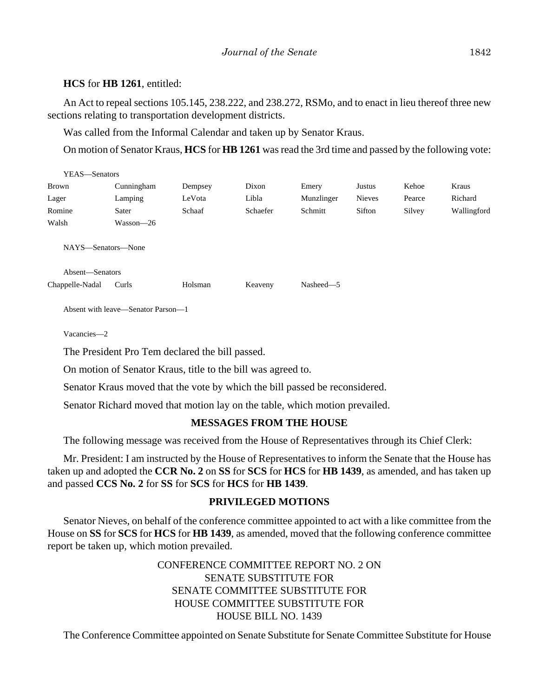## **HCS** for **HB 1261**, entitled:

An Act to repeal sections 105.145, 238.222, and 238.272, RSMo, and to enact in lieu thereof three new sections relating to transportation development districts.

Was called from the Informal Calendar and taken up by Senator Kraus.

On motion of Senator Kraus, **HCS** for **HB 1261** was read the 3rd time and passed by the following vote:

| YEAS-Senators                         |                                    |         |          |            |               |        |             |
|---------------------------------------|------------------------------------|---------|----------|------------|---------------|--------|-------------|
| Brown                                 | Cunningham                         | Dempsey | Dixon    | Emery      | Justus        | Kehoe  | Kraus       |
| Lager                                 | Lamping                            | LeVota  | Libla    | Munzlinger | <b>Nieves</b> | Pearce | Richard     |
| Romine                                | Sater                              | Schaaf  | Schaefer | Schmitt    | Sifton        | Silvey | Wallingford |
| Walsh                                 | Wasson-26                          |         |          |            |               |        |             |
| NAYS—Senators—None<br>Absent-Senators |                                    |         |          |            |               |        |             |
| Chappelle-Nadal                       | Curls                              | Holsman | Keaveny  | Nasheed-5  |               |        |             |
|                                       | Absent with leave—Senator Parson—1 |         |          |            |               |        |             |
| Vacancies-2                           |                                    |         |          |            |               |        |             |

The President Pro Tem declared the bill passed.

On motion of Senator Kraus, title to the bill was agreed to.

Senator Kraus moved that the vote by which the bill passed be reconsidered.

Senator Richard moved that motion lay on the table, which motion prevailed.

## **MESSAGES FROM THE HOUSE**

The following message was received from the House of Representatives through its Chief Clerk:

Mr. President: I am instructed by the House of Representatives to inform the Senate that the House has taken up and adopted the **CCR No. 2** on **SS** for **SCS** for **HCS** for **HB 1439**, as amended, and has taken up and passed **CCS No. 2** for **SS** for **SCS** for **HCS** for **HB 1439**.

## **PRIVILEGED MOTIONS**

Senator Nieves, on behalf of the conference committee appointed to act with a like committee from the House on **SS** for **SCS** for **HCS** for **HB 1439**, as amended, moved that the following conference committee report be taken up, which motion prevailed.

> CONFERENCE COMMITTEE REPORT NO. 2 ON SENATE SUBSTITUTE FOR SENATE COMMITTEE SUBSTITUTE FOR HOUSE COMMITTEE SUBSTITUTE FOR HOUSE BILL NO. 1439

The Conference Committee appointed on Senate Substitute for Senate Committee Substitute for House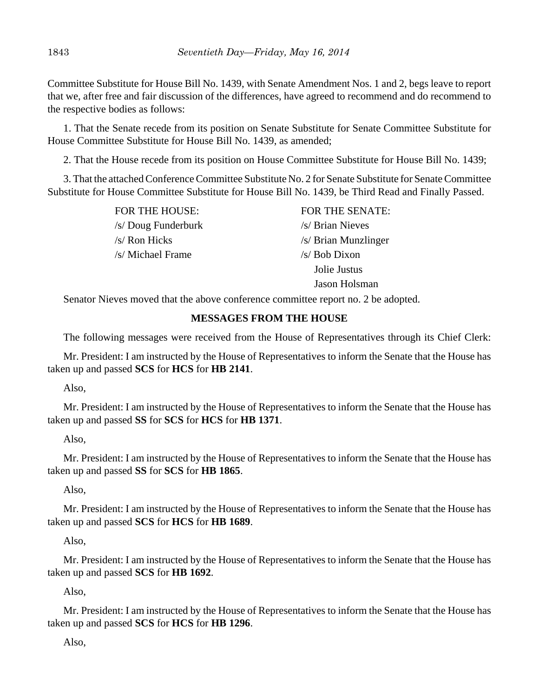Committee Substitute for House Bill No. 1439, with Senate Amendment Nos. 1 and 2, begs leave to report that we, after free and fair discussion of the differences, have agreed to recommend and do recommend to the respective bodies as follows:

1. That the Senate recede from its position on Senate Substitute for Senate Committee Substitute for House Committee Substitute for House Bill No. 1439, as amended;

2. That the House recede from its position on House Committee Substitute for House Bill No. 1439;

3. That the attached Conference Committee Substitute No. 2 for Senate Substitute for Senate Committee Substitute for House Committee Substitute for House Bill No. 1439, be Third Read and Finally Passed.

> /s/ Doug Funderburk /s/ Brian Nieves  $\sqrt{s}$  Ron Hicks  $\sqrt{s}$  Brian Munzlinger /s/ Michael Frame /s/ Bob Dixon

FOR THE HOUSE: FOR THE SENATE: Jolie Justus Jason Holsman

Senator Nieves moved that the above conference committee report no. 2 be adopted.

# **MESSAGES FROM THE HOUSE**

The following messages were received from the House of Representatives through its Chief Clerk:

Mr. President: I am instructed by the House of Representatives to inform the Senate that the House has taken up and passed **SCS** for **HCS** for **HB 2141**.

Also,

Mr. President: I am instructed by the House of Representatives to inform the Senate that the House has taken up and passed **SS** for **SCS** for **HCS** for **HB 1371**.

Also,

Mr. President: I am instructed by the House of Representatives to inform the Senate that the House has taken up and passed **SS** for **SCS** for **HB 1865**.

Also,

Mr. President: I am instructed by the House of Representatives to inform the Senate that the House has taken up and passed **SCS** for **HCS** for **HB 1689**.

Also,

Mr. President: I am instructed by the House of Representatives to inform the Senate that the House has taken up and passed **SCS** for **HB 1692**.

Also,

Mr. President: I am instructed by the House of Representatives to inform the Senate that the House has taken up and passed **SCS** for **HCS** for **HB 1296**.

Also,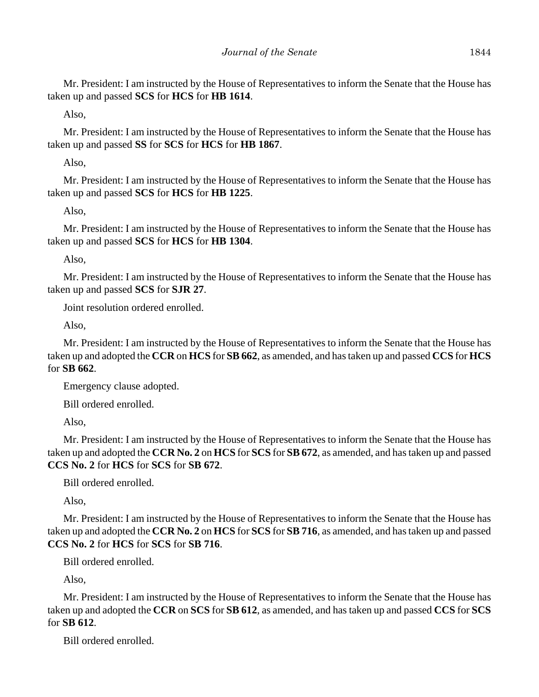Mr. President: I am instructed by the House of Representatives to inform the Senate that the House has taken up and passed **SCS** for **HCS** for **HB 1614**.

Also,

Mr. President: I am instructed by the House of Representatives to inform the Senate that the House has taken up and passed **SS** for **SCS** for **HCS** for **HB 1867**.

Also,

Mr. President: I am instructed by the House of Representatives to inform the Senate that the House has taken up and passed **SCS** for **HCS** for **HB 1225**.

Also,

Mr. President: I am instructed by the House of Representatives to inform the Senate that the House has taken up and passed **SCS** for **HCS** for **HB 1304**.

Also,

Mr. President: I am instructed by the House of Representatives to inform the Senate that the House has taken up and passed **SCS** for **SJR 27**.

Joint resolution ordered enrolled.

Also,

Mr. President: I am instructed by the House of Representatives to inform the Senate that the House has taken up and adopted the **CCR** on **HCS** for **SB 662**, as amended, and has taken up and passed **CCS** for **HCS** for **SB 662**.

Emergency clause adopted.

Bill ordered enrolled.

Also,

Mr. President: I am instructed by the House of Representatives to inform the Senate that the House has taken up and adopted the **CCR No. 2** on **HCS** for **SCS** for **SB 672**, as amended, and has taken up and passed **CCS No. 2** for **HCS** for **SCS** for **SB 672**.

Bill ordered enrolled.

Also,

Mr. President: I am instructed by the House of Representatives to inform the Senate that the House has taken up and adopted the **CCR No. 2** on **HCS** for **SCS** for **SB 716**, as amended, and has taken up and passed **CCS No. 2** for **HCS** for **SCS** for **SB 716**.

Bill ordered enrolled.

Also,

Mr. President: I am instructed by the House of Representatives to inform the Senate that the House has taken up and adopted the **CCR** on **SCS** for **SB 612**, as amended, and has taken up and passed **CCS** for **SCS** for **SB 612**.

Bill ordered enrolled.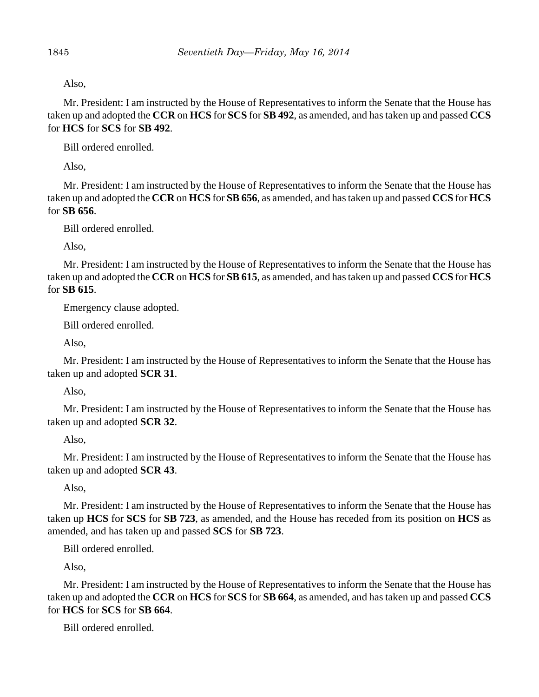Also,

Mr. President: I am instructed by the House of Representatives to inform the Senate that the House has taken up and adopted the **CCR** on **HCS** for **SCS** for **SB 492**, as amended, and has taken up and passed **CCS** for **HCS** for **SCS** for **SB 492**.

Bill ordered enrolled.

Also,

Mr. President: I am instructed by the House of Representatives to inform the Senate that the House has taken up and adopted the **CCR** on **HCS** for **SB 656**, as amended, and has taken up and passed **CCS** for **HCS** for **SB 656**.

Bill ordered enrolled.

Also,

Mr. President: I am instructed by the House of Representatives to inform the Senate that the House has taken up and adopted the **CCR** on **HCS** for **SB 615**, as amended, and has taken up and passed **CCS** for **HCS** for **SB 615**.

Emergency clause adopted.

Bill ordered enrolled.

Also,

Mr. President: I am instructed by the House of Representatives to inform the Senate that the House has taken up and adopted **SCR 31**.

Also,

Mr. President: I am instructed by the House of Representatives to inform the Senate that the House has taken up and adopted **SCR 32**.

Also,

Mr. President: I am instructed by the House of Representatives to inform the Senate that the House has taken up and adopted **SCR 43**.

Also,

Mr. President: I am instructed by the House of Representatives to inform the Senate that the House has taken up **HCS** for **SCS** for **SB 723**, as amended, and the House has receded from its position on **HCS** as amended, and has taken up and passed **SCS** for **SB 723**.

Bill ordered enrolled.

Also,

Mr. President: I am instructed by the House of Representatives to inform the Senate that the House has taken up and adopted the **CCR** on **HCS** for **SCS** for **SB 664**, as amended, and has taken up and passed **CCS** for **HCS** for **SCS** for **SB 664**.

Bill ordered enrolled.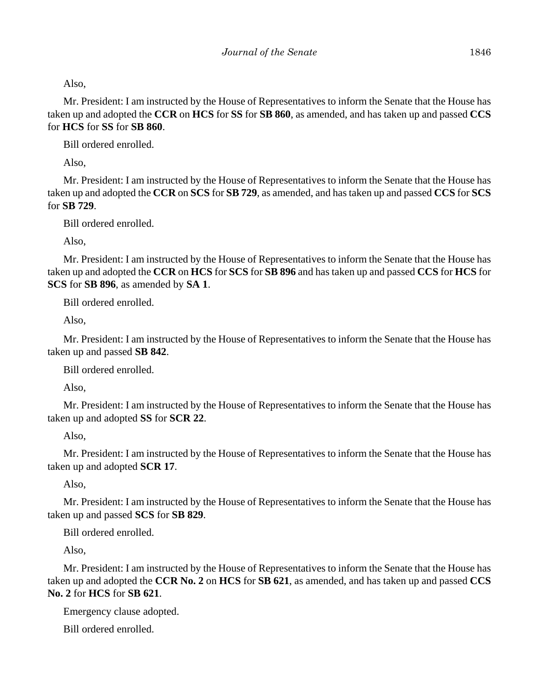Also,

Mr. President: I am instructed by the House of Representatives to inform the Senate that the House has taken up and adopted the **CCR** on **HCS** for **SS** for **SB 860**, as amended, and has taken up and passed **CCS** for **HCS** for **SS** for **SB 860**.

Bill ordered enrolled.

Also,

Mr. President: I am instructed by the House of Representatives to inform the Senate that the House has taken up and adopted the **CCR** on **SCS** for **SB 729**, as amended, and has taken up and passed **CCS** for **SCS** for **SB 729**.

Bill ordered enrolled.

Also,

Mr. President: I am instructed by the House of Representatives to inform the Senate that the House has taken up and adopted the **CCR** on **HCS** for **SCS** for **SB 896** and has taken up and passed **CCS** for **HCS** for **SCS** for **SB 896**, as amended by **SA 1**.

Bill ordered enrolled.

Also,

Mr. President: I am instructed by the House of Representatives to inform the Senate that the House has taken up and passed **SB 842**.

Bill ordered enrolled.

Also,

Mr. President: I am instructed by the House of Representatives to inform the Senate that the House has taken up and adopted **SS** for **SCR 22**.

## Also,

Mr. President: I am instructed by the House of Representatives to inform the Senate that the House has taken up and adopted **SCR 17**.

Also,

Mr. President: I am instructed by the House of Representatives to inform the Senate that the House has taken up and passed **SCS** for **SB 829**.

Bill ordered enrolled.

Also,

Mr. President: I am instructed by the House of Representatives to inform the Senate that the House has taken up and adopted the **CCR No. 2** on **HCS** for **SB 621**, as amended, and has taken up and passed **CCS No. 2** for **HCS** for **SB 621**.

Emergency clause adopted.

Bill ordered enrolled.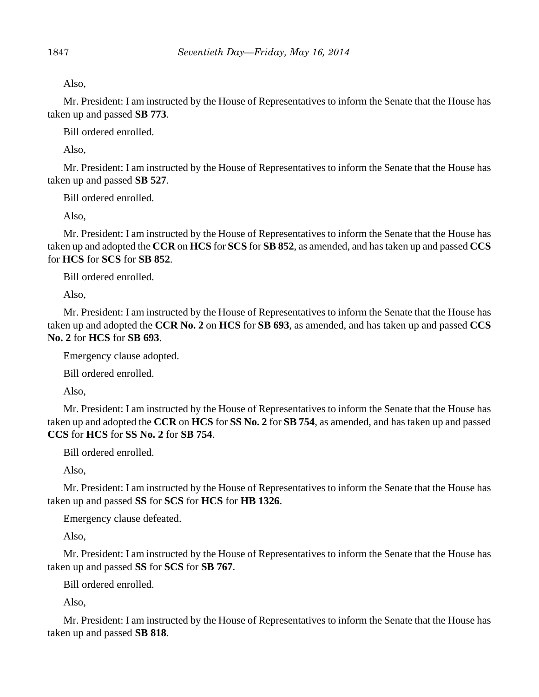Also,

Mr. President: I am instructed by the House of Representatives to inform the Senate that the House has taken up and passed **SB 773**.

Bill ordered enrolled.

Also,

Mr. President: I am instructed by the House of Representatives to inform the Senate that the House has taken up and passed **SB 527**.

Bill ordered enrolled.

Also,

Mr. President: I am instructed by the House of Representatives to inform the Senate that the House has taken up and adopted the **CCR** on **HCS** for **SCS** for **SB 852**, as amended, and has taken up and passed **CCS** for **HCS** for **SCS** for **SB 852**.

Bill ordered enrolled.

Also,

Mr. President: I am instructed by the House of Representatives to inform the Senate that the House has taken up and adopted the **CCR No. 2** on **HCS** for **SB 693**, as amended, and has taken up and passed **CCS No. 2** for **HCS** for **SB 693**.

Emergency clause adopted.

Bill ordered enrolled.

Also,

Mr. President: I am instructed by the House of Representatives to inform the Senate that the House has taken up and adopted the **CCR** on **HCS** for **SS No. 2** for **SB 754**, as amended, and has taken up and passed **CCS** for **HCS** for **SS No. 2** for **SB 754**.

Bill ordered enrolled.

Also,

Mr. President: I am instructed by the House of Representatives to inform the Senate that the House has taken up and passed **SS** for **SCS** for **HCS** for **HB 1326**.

Emergency clause defeated.

Also,

Mr. President: I am instructed by the House of Representatives to inform the Senate that the House has taken up and passed **SS** for **SCS** for **SB 767**.

Bill ordered enrolled.

Also,

Mr. President: I am instructed by the House of Representatives to inform the Senate that the House has taken up and passed **SB 818**.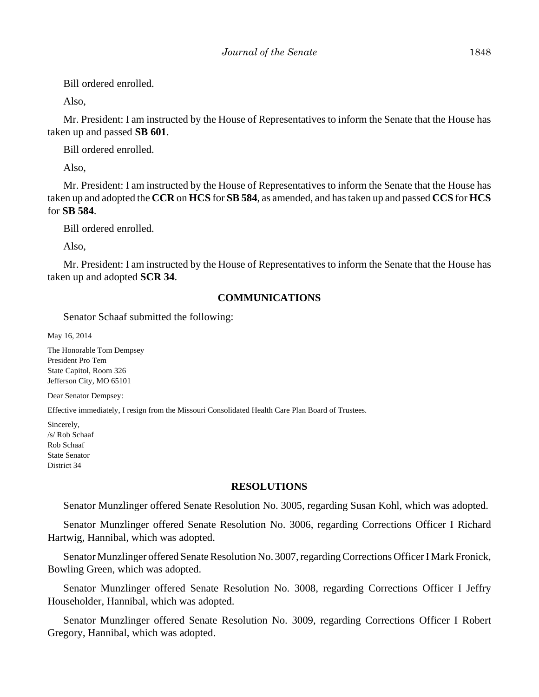Bill ordered enrolled.

Also,

Mr. President: I am instructed by the House of Representatives to inform the Senate that the House has taken up and passed **SB 601**.

Bill ordered enrolled.

Also,

Mr. President: I am instructed by the House of Representatives to inform the Senate that the House has taken up and adopted the **CCR** on **HCS** for **SB 584**, as amended, and has taken up and passed **CCS** for **HCS** for **SB 584**.

Bill ordered enrolled.

Also,

Mr. President: I am instructed by the House of Representatives to inform the Senate that the House has taken up and adopted **SCR 34**.

# **COMMUNICATIONS**

Senator Schaaf submitted the following:

May 16, 2014

The Honorable Tom Dempsey President Pro Tem State Capitol, Room 326 Jefferson City, MO 65101

Dear Senator Dempsey:

Effective immediately, I resign from the Missouri Consolidated Health Care Plan Board of Trustees.

Sincerely, /s/ Rob Schaaf Rob Schaaf State Senator District 34

# **RESOLUTIONS**

Senator Munzlinger offered Senate Resolution No. 3005, regarding Susan Kohl, which was adopted.

Senator Munzlinger offered Senate Resolution No. 3006, regarding Corrections Officer I Richard Hartwig, Hannibal, which was adopted.

Senator Munzlinger offered Senate Resolution No. 3007, regarding Corrections Officer I Mark Fronick, Bowling Green, which was adopted.

Senator Munzlinger offered Senate Resolution No. 3008, regarding Corrections Officer I Jeffry Householder, Hannibal, which was adopted.

Senator Munzlinger offered Senate Resolution No. 3009, regarding Corrections Officer I Robert Gregory, Hannibal, which was adopted.